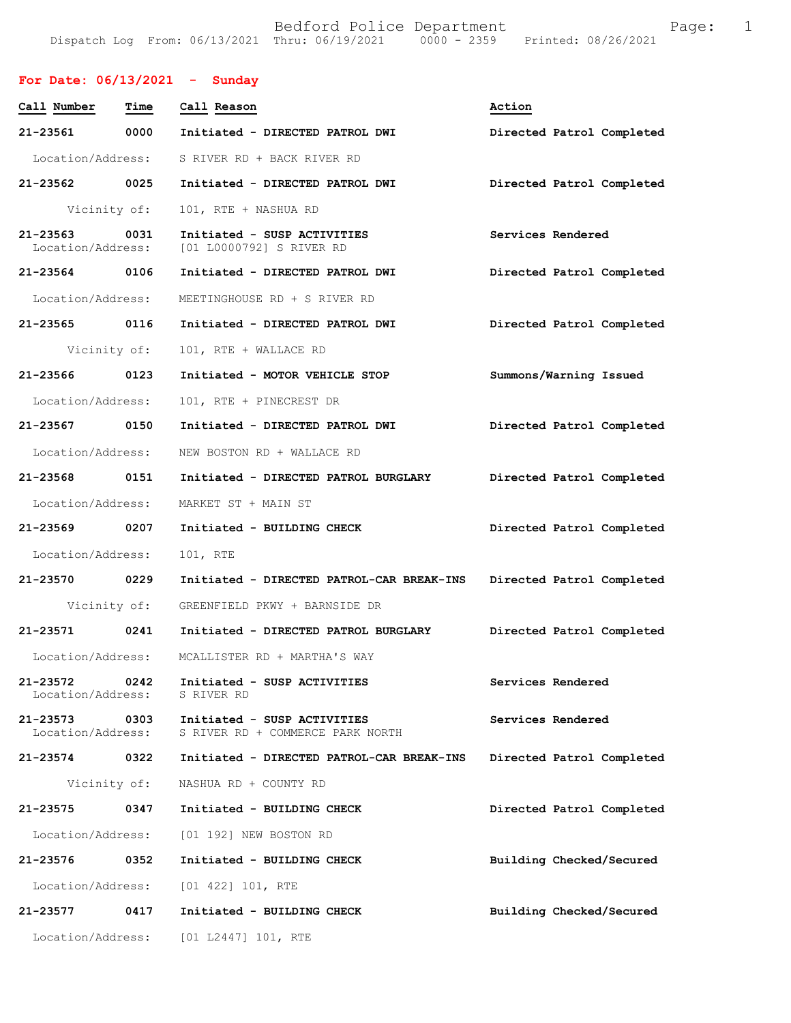## **For Date: 06/13/2021 - Sunday**

| Call Number                   | Time         | Call Reason                                                     | Action                    |  |  |
|-------------------------------|--------------|-----------------------------------------------------------------|---------------------------|--|--|
| 21-23561                      | 0000         | Initiated - DIRECTED PATROL DWI<br>Directed Patrol Completed    |                           |  |  |
| Location/Address:             |              | S RIVER RD + BACK RIVER RD                                      |                           |  |  |
| 21-23562 0025                 |              | Initiated - DIRECTED PATROL DWI                                 | Directed Patrol Completed |  |  |
|                               | Vicinity of: | 101, RTE + NASHUA RD                                            |                           |  |  |
| 21-23563<br>Location/Address: | 0031         | Initiated - SUSP ACTIVITIES<br>[01 L0000792] S RIVER RD         | Services Rendered         |  |  |
| 21-23564 0106                 |              | Initiated - DIRECTED PATROL DWI                                 | Directed Patrol Completed |  |  |
| Location/Address:             |              | MEETINGHOUSE RD + S RIVER RD                                    |                           |  |  |
| 21-23565 0116                 |              | Initiated - DIRECTED PATROL DWI                                 | Directed Patrol Completed |  |  |
|                               | Vicinity of: | 101, RTE + WALLACE RD                                           |                           |  |  |
| 21-23566 0123                 |              | Initiated - MOTOR VEHICLE STOP                                  | Summons/Warning Issued    |  |  |
| Location/Address:             |              | 101, RTE + PINECREST DR                                         |                           |  |  |
| 21-23567 0150                 |              | Initiated - DIRECTED PATROL DWI                                 | Directed Patrol Completed |  |  |
| Location/Address:             |              | NEW BOSTON RD + WALLACE RD                                      |                           |  |  |
| 21-23568 0151                 |              | Initiated - DIRECTED PATROL BURGLARY                            | Directed Patrol Completed |  |  |
| Location/Address:             |              | MARKET ST + MAIN ST                                             |                           |  |  |
| 21-23569 0207                 |              | Initiated - BUILDING CHECK                                      | Directed Patrol Completed |  |  |
| Location/Address:             |              | 101, RTE                                                        |                           |  |  |
| 21-23570 0229                 |              | Initiated - DIRECTED PATROL-CAR BREAK-INS                       | Directed Patrol Completed |  |  |
|                               | Vicinity of: | GREENFIELD PKWY + BARNSIDE DR                                   |                           |  |  |
| 21-23571 0241                 |              | Initiated - DIRECTED PATROL BURGLARY                            | Directed Patrol Completed |  |  |
| Location/Address:             |              | MCALLISTER RD + MARTHA'S WAY                                    |                           |  |  |
| 21-23572<br>Location/Address: | 0242         | Initiated - SUSP ACTIVITIES<br>S RIVER RD                       | Services Rendered         |  |  |
| 21-23573<br>Location/Address: | 0303         | Initiated - SUSP ACTIVITIES<br>S RIVER RD + COMMERCE PARK NORTH | Services Rendered         |  |  |
| 21-23574                      | 0322         | Initiated - DIRECTED PATROL-CAR BREAK-INS                       | Directed Patrol Completed |  |  |
|                               | Vicinity of: | NASHUA RD + COUNTY RD                                           |                           |  |  |
| 21-23575                      | 0347         | Initiated - BUILDING CHECK                                      | Directed Patrol Completed |  |  |
| Location/Address:             |              | [01 192] NEW BOSTON RD                                          |                           |  |  |
| 21-23576 0352                 |              | Initiated - BUILDING CHECK                                      | Building Checked/Secured  |  |  |
| Location/Address:             |              | $[01 422] 101$ , RTE                                            |                           |  |  |
| 21-23577                      | 0417         | Initiated - BUILDING CHECK                                      | Building Checked/Secured  |  |  |
| Location/Address:             |              | [01 L2447] 101, RTE                                             |                           |  |  |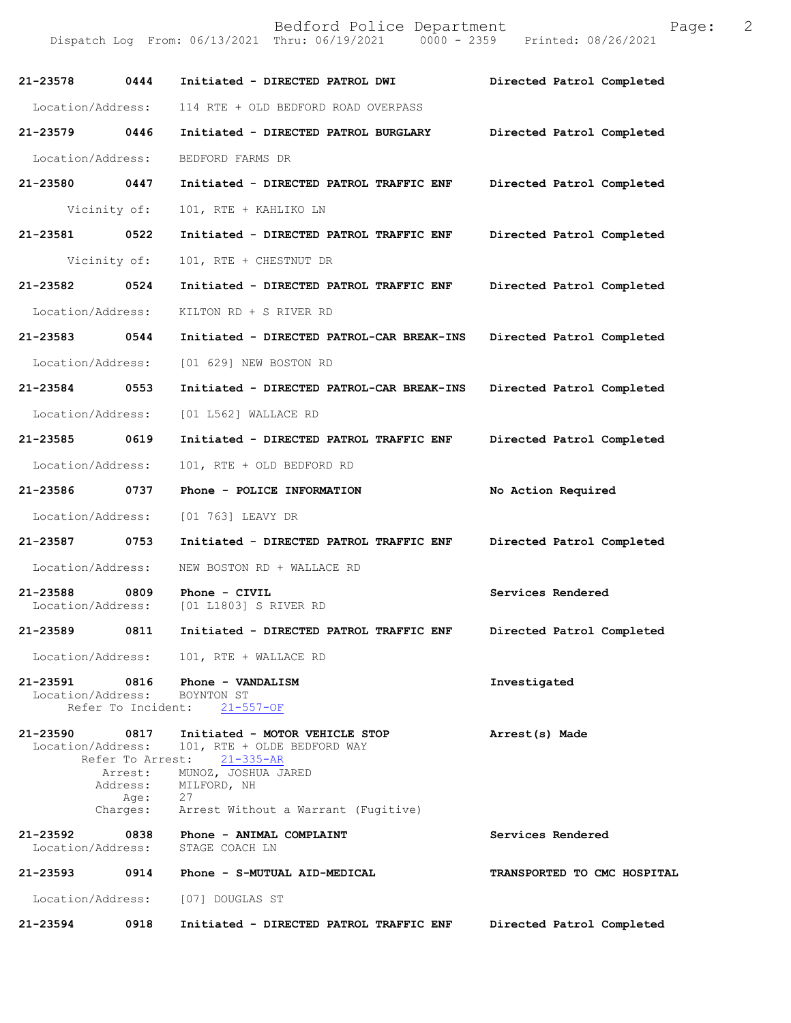Bedford Police Department The Control Page: 2

Dispatch Log From: 06/13/2021 Thru: 06/19/2021 0000 - 2359 Printed: 08/26/2021

| 21-23578                      | 0444              | Initiated - DIRECTED PATROL DWI                                                                 | Directed Patrol Completed   |
|-------------------------------|-------------------|-------------------------------------------------------------------------------------------------|-----------------------------|
| Location/Address:             |                   | 114 RTE + OLD BEDFORD ROAD OVERPASS                                                             |                             |
| $21 - 23579$                  | 0446              | Initiated - DIRECTED PATROL BURGLARY                                                            | Directed Patrol Completed   |
| Location/Address:             |                   | BEDFORD FARMS DR                                                                                |                             |
| 21-23580 0447                 |                   | Initiated - DIRECTED PATROL TRAFFIC ENF                                                         | Directed Patrol Completed   |
|                               | Vicinity of:      | 101, RTE + KAHLIKO LN                                                                           |                             |
| 21-23581                      | 0522              | Initiated - DIRECTED PATROL TRAFFIC ENF                                                         | Directed Patrol Completed   |
|                               | Vicinity of:      | 101, RTE + CHESTNUT DR                                                                          |                             |
| 21-23582                      | 0524              | Initiated - DIRECTED PATROL TRAFFIC ENF                                                         | Directed Patrol Completed   |
| Location/Address:             |                   | KILTON RD + S RIVER RD                                                                          |                             |
| 21-23583                      | 0544              | Initiated - DIRECTED PATROL-CAR BREAK-INS                                                       | Directed Patrol Completed   |
| Location/Address:             |                   | [01 629] NEW BOSTON RD                                                                          |                             |
| 21-23584                      | 0553              | Initiated - DIRECTED PATROL-CAR BREAK-INS                                                       | Directed Patrol Completed   |
| Location/Address:             |                   | [01 L562] WALLACE RD                                                                            |                             |
| 21-23585 0619                 |                   | Initiated - DIRECTED PATROL TRAFFIC ENF                                                         | Directed Patrol Completed   |
| Location/Address:             |                   | 101, RTE + OLD BEDFORD RD                                                                       |                             |
| 21-23586                      | 0737              | Phone - POLICE INFORMATION                                                                      | No Action Required          |
| Location/Address:             |                   | [01 763] LEAVY DR                                                                               |                             |
| 21-23587                      | 0753              | Initiated - DIRECTED PATROL TRAFFIC ENF                                                         | Directed Patrol Completed   |
| Location/Address:             |                   | NEW BOSTON RD + WALLACE RD                                                                      |                             |
| 21-23588<br>Location/Address: | 0809              | Phone - CIVIL<br>[01 L1803] S RIVER RD                                                          | Services Rendered           |
| 21-23589                      | 0811              | Initiated - DIRECTED PATROL TRAFFIC ENF                                                         | Directed Patrol Completed   |
|                               |                   | Location/Address: 101, RTE + WALLACE RD                                                         |                             |
|                               |                   | 21-23591 0816 Phone - VANDALISM<br>Location/Address: BOYNTON ST<br>Refer To Incident: 21-557-OF | Investigated                |
| 21-23590 0817                 | Location/Address: | Initiated - MOTOR VEHICLE STOP<br>101, RTE + OLDE BEDFORD WAY<br>Refer To Arrest: 21-335-AR     | Arrest(s) Made              |
|                               |                   | Arrest: MUNOZ, JOSHUA JARED<br>Address: MILFORD, NH                                             |                             |
|                               |                   | Age: 27<br>Charges: Arrest Without a Warrant (Fugitive)                                         |                             |
|                               | Location/Address: | 21-23592 0838 Phone - ANIMAL COMPLAINT<br>STAGE COACH LN                                        | Services Rendered           |
| 21-23593                      |                   | 0914 Phone - S-MUTUAL AID-MEDICAL                                                               | TRANSPORTED TO CMC HOSPITAL |
|                               |                   | Location/Address: [07] DOUGLAS ST                                                               |                             |
| 21-23594                      | 0918              | Initiated - DIRECTED PATROL TRAFFIC ENF                                                         | Directed Patrol Completed   |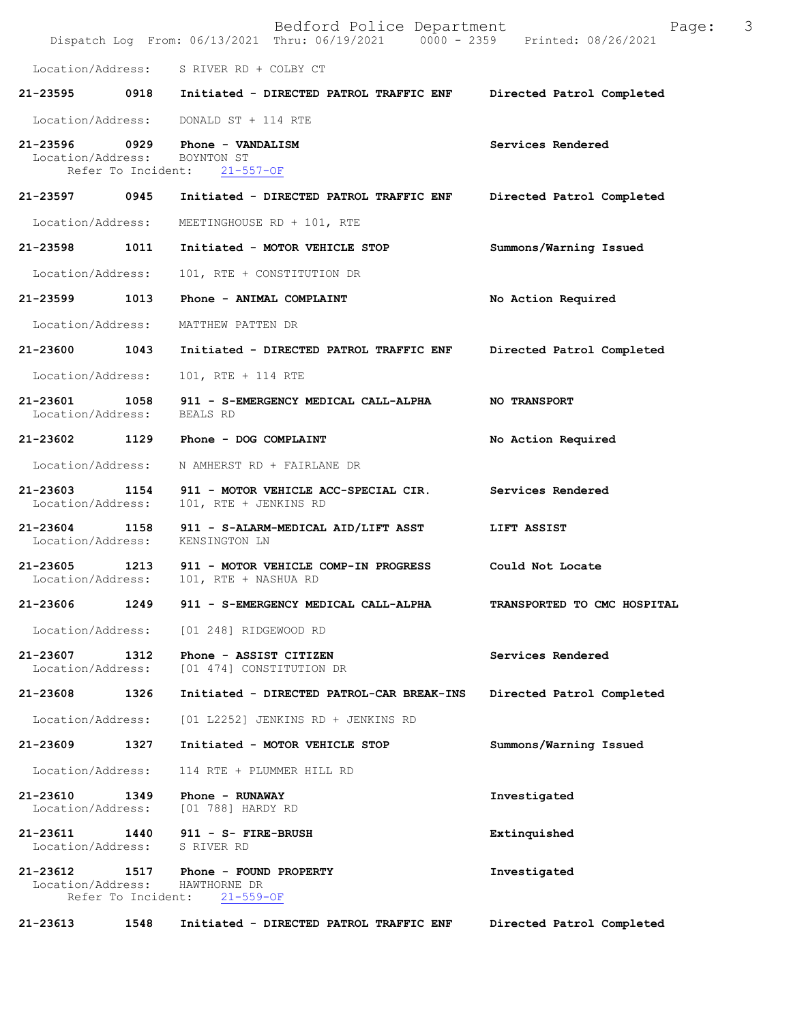|                               |                            | Bedford Police Department<br>Dispatch Log From: 06/13/2021 Thru: 06/19/2021 0000 - 2359 Printed: 08/26/2021 | 3<br>Page:                         |
|-------------------------------|----------------------------|-------------------------------------------------------------------------------------------------------------|------------------------------------|
| Location/Address:             |                            | S RIVER RD + COLBY CT                                                                                       |                                    |
| 21-23595                      | 0918                       | Initiated - DIRECTED PATROL TRAFFIC ENF                                                                     | Directed Patrol Completed          |
| Location/Address:             |                            | DONALD ST + 114 RTE                                                                                         |                                    |
| 21-23596<br>Location/Address: | 0929<br>Refer To Incident: | Phone - VANDALISM<br>BOYNTON ST<br>$21 - 557 - OF$                                                          | Services Rendered                  |
| 21-23597                      | 0945                       | Initiated - DIRECTED PATROL TRAFFIC ENF                                                                     | Directed Patrol Completed          |
| Location/Address:             |                            | MEETINGHOUSE RD + 101, RTE                                                                                  |                                    |
| 21-23598                      | 1011                       | Initiated - MOTOR VEHICLE STOP                                                                              | Summons/Warning Issued             |
| Location/Address:             |                            | 101, RTE + CONSTITUTION DR                                                                                  |                                    |
| 21-23599                      | 1013                       | Phone - ANIMAL COMPLAINT                                                                                    | No Action Required                 |
| Location/Address:             |                            | MATTHEW PATTEN DR                                                                                           |                                    |
| 21-23600                      | 1043                       | Initiated - DIRECTED PATROL TRAFFIC ENF                                                                     | Directed Patrol Completed          |
| Location/Address:             |                            | 101, RTE + 114 RTE                                                                                          |                                    |
| 21-23601<br>Location/Address: | 1058                       | 911 - S-EMERGENCY MEDICAL CALL-ALPHA<br>BEALS RD                                                            | <b>NO TRANSPORT</b>                |
| 21-23602                      | 1129                       | Phone - DOG COMPLAINT                                                                                       | No Action Required                 |
| Location/Address:             |                            | N AMHERST RD + FAIRLANE DR                                                                                  |                                    |
| 21-23603<br>Location/Address: | 1154                       | 911 - MOTOR VEHICLE ACC-SPECIAL CIR.<br>101, RTE + JENKINS RD                                               | Services Rendered                  |
| 21-23604<br>Location/Address: | 1158                       | 911 - S-ALARM-MEDICAL AID/LIFT ASST<br>KENSINGTON LN                                                        | LIFT ASSIST                        |
| 21-23605<br>Location/Address: | 1213                       | 911 - MOTOR VEHICLE COMP-IN PROGRESS<br>101, RTE + NASHUA RD                                                | Could Not Locate                   |
| 21-23606                      | 1249                       | 911 - S-EMERGENCY MEDICAL CALL-ALPHA                                                                        | <b>TRANSPORTED TO CMC HOSPITAL</b> |
| Location/Address:             |                            | [01 248] RIDGEWOOD RD                                                                                       |                                    |
| 21-23607<br>Location/Address: | 1312                       | Phone - ASSIST CITIZEN<br>[01 474] CONSTITUTION DR                                                          | Services Rendered                  |
| 21-23608                      | 1326                       | Initiated - DIRECTED PATROL-CAR BREAK-INS                                                                   | Directed Patrol Completed          |
| Location/Address:             |                            | [01 L2252] JENKINS RD + JENKINS RD                                                                          |                                    |
| 21-23609                      | 1327                       | Initiated - MOTOR VEHICLE STOP                                                                              | Summons/Warning Issued             |
| Location/Address:             |                            | 114 RTE + PLUMMER HILL RD                                                                                   |                                    |
| 21-23610<br>Location/Address: | 1349                       | Phone - RUNAWAY<br>[01 788] HARDY RD                                                                        | Investigated                       |
| 21-23611<br>Location/Address: | 1440                       | 911 - S- FIRE-BRUSH<br>S RIVER RD                                                                           | Extinquished                       |
| 21-23612<br>Location/Address: | 1517<br>Refer To Incident: | Phone - FOUND PROPERTY<br>HAWTHORNE DR<br>$21 - 559 - OF$                                                   | Investigated                       |
| 21-23613                      | 1548                       | Initiated - DIRECTED PATROL TRAFFIC ENF                                                                     | Directed Patrol Completed          |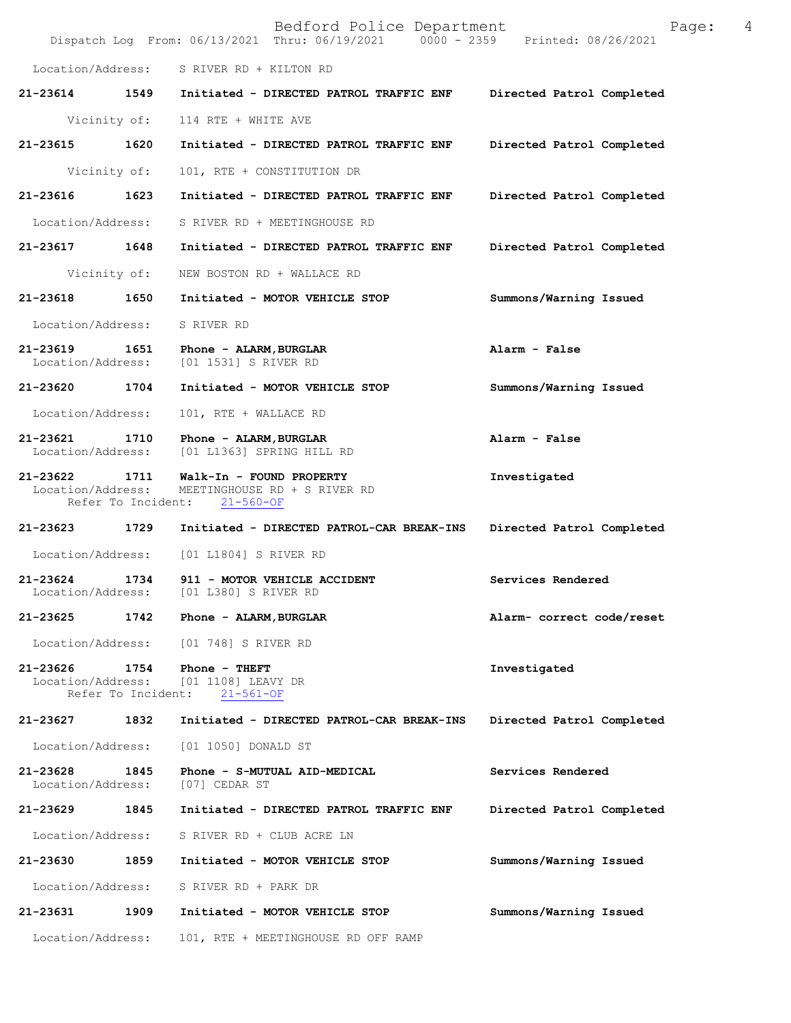|                                    |                            | Bedford Police Department<br>Dispatch Log From: 06/13/2021 Thru: 06/19/2021 0000 - 2359 Printed: 08/26/2021 | 4<br>Page:                |
|------------------------------------|----------------------------|-------------------------------------------------------------------------------------------------------------|---------------------------|
| Location/Address:                  |                            | S RIVER RD + KILTON RD                                                                                      |                           |
| 21-23614                           | 1549                       | Initiated - DIRECTED PATROL TRAFFIC ENF                                                                     | Directed Patrol Completed |
|                                    | Vicinity of:               | 114 RTE + WHITE AVE                                                                                         |                           |
| 21-23615                           | 1620                       | Initiated - DIRECTED PATROL TRAFFIC ENF                                                                     | Directed Patrol Completed |
|                                    | Vicinity of:               | 101, RTE + CONSTITUTION DR                                                                                  |                           |
| 21-23616                           | 1623                       | Initiated - DIRECTED PATROL TRAFFIC ENF                                                                     | Directed Patrol Completed |
| Location/Address:                  |                            | S RIVER RD + MEETINGHOUSE RD                                                                                |                           |
| 21-23617 1648                      |                            | Initiated - DIRECTED PATROL TRAFFIC ENF                                                                     | Directed Patrol Completed |
|                                    | Vicinity of:               | NEW BOSTON RD + WALLACE RD                                                                                  |                           |
| 21-23618                           | 1650                       | Initiated - MOTOR VEHICLE STOP                                                                              | Summons/Warning Issued    |
| Location/Address:                  |                            | S RIVER RD                                                                                                  |                           |
| 21-23619 1651<br>Location/Address: |                            | Phone - ALARM, BURGLAR<br>[01 1531] S RIVER RD                                                              | Alarm - False             |
| 21-23620 1704                      |                            | Initiated - MOTOR VEHICLE STOP                                                                              | Summons/Warning Issued    |
| Location/Address:                  |                            | 101, RTE + WALLACE RD                                                                                       |                           |
| 21-23621 1710<br>Location/Address: |                            | Phone - ALARM, BURGLAR<br>[01 L1363] SPRING HILL RD                                                         | Alarm - False             |
| 21-23622 1711<br>Location/Address: |                            | Walk-In - FOUND PROPERTY<br>MEETINGHOUSE RD + S RIVER RD<br>Refer To Incident: 21-560-OF                    | Investigated              |
| 21-23623                           | 1729                       | Initiated - DIRECTED PATROL-CAR BREAK-INS                                                                   | Directed Patrol Completed |
| Location/Address:                  |                            | [01 L1804] S RIVER RD                                                                                       |                           |
| $21 - 23624$<br>Location/Address:  | 1734                       | 911 - MOTOR VEHICLE ACCIDENT<br>[01 L380] S RIVER RD                                                        | Services Rendered         |
| 21-23625                           | 1742                       | Phone - ALARM, BURGLAR                                                                                      | Alarm- correct code/reset |
| Location/Address:                  |                            | [01 748] S RIVER RD                                                                                         |                           |
| 21-23626                           | 1754<br>Refer To Incident: | Phone - THEFT<br>Location/Address: [01 1108] LEAVY DR<br>$21 - 561 - OF$                                    | Investigated              |
| 21-23627                           | 1832                       | Initiated - DIRECTED PATROL-CAR BREAK-INS                                                                   | Directed Patrol Completed |
| Location/Address:                  |                            | [01 1050] DONALD ST                                                                                         |                           |
| 21-23628<br>Location/Address:      | 1845                       | Phone - S-MUTUAL AID-MEDICAL<br>[07] CEDAR ST                                                               | Services Rendered         |
| 21-23629                           | 1845                       | Initiated - DIRECTED PATROL TRAFFIC ENF                                                                     | Directed Patrol Completed |
| Location/Address:                  |                            | S RIVER RD + CLUB ACRE LN                                                                                   |                           |
| 21-23630                           | 1859                       | Initiated - MOTOR VEHICLE STOP                                                                              | Summons/Warning Issued    |
| Location/Address:                  |                            | S RIVER RD + PARK DR                                                                                        |                           |
| 21-23631                           | 1909                       | Initiated - MOTOR VEHICLE STOP                                                                              | Summons/Warning Issued    |
| Location/Address:                  |                            | 101, RTE + MEETINGHOUSE RD OFF RAMP                                                                         |                           |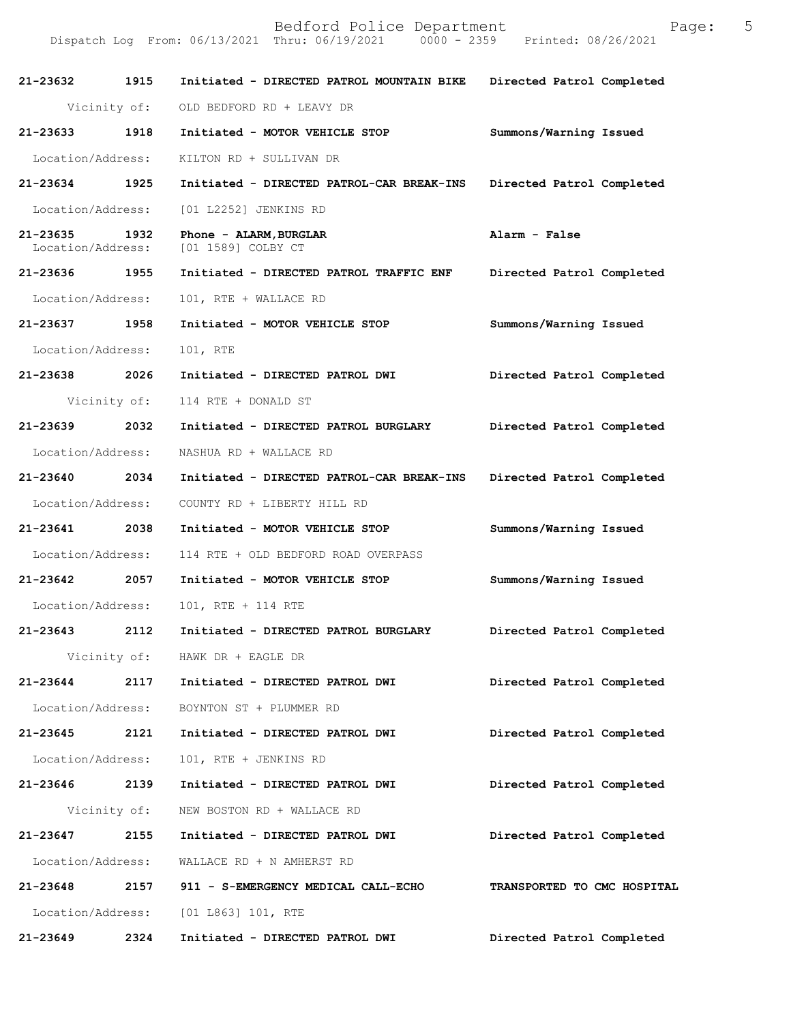| 21-23632 1915                 |              | Initiated - DIRECTED PATROL MOUNTAIN BIKE    | Directed Patrol Completed   |
|-------------------------------|--------------|----------------------------------------------|-----------------------------|
|                               | Vicinity of: | OLD BEDFORD RD + LEAVY DR                    |                             |
| 21-23633 1918                 |              | Initiated - MOTOR VEHICLE STOP               | Summons/Warning Issued      |
| Location/Address:             |              | KILTON RD + SULLIVAN DR                      |                             |
| 21-23634 1925                 |              | Initiated - DIRECTED PATROL-CAR BREAK-INS    | Directed Patrol Completed   |
| Location/Address:             |              | [01 L2252] JENKINS RD                        |                             |
| 21-23635<br>Location/Address: | 1932         | Phone - ALARM, BURGLAR<br>[01 1589] COLBY CT | Alarm - False               |
| 21-23636 1955                 |              | Initiated - DIRECTED PATROL TRAFFIC ENF      | Directed Patrol Completed   |
| Location/Address:             |              | 101, RTE + WALLACE RD                        |                             |
| 21-23637 1958                 |              | Initiated - MOTOR VEHICLE STOP               | Summons/Warning Issued      |
| Location/Address:             |              | 101, RTE                                     |                             |
| 21-23638                      | 2026         | Initiated - DIRECTED PATROL DWI              | Directed Patrol Completed   |
|                               | Vicinity of: | 114 RTE + DONALD ST                          |                             |
| 21-23639 2032                 |              | Initiated - DIRECTED PATROL BURGLARY         | Directed Patrol Completed   |
| Location/Address:             |              | NASHUA RD + WALLACE RD                       |                             |
| 21-23640 2034                 |              | Initiated - DIRECTED PATROL-CAR BREAK-INS    | Directed Patrol Completed   |
| Location/Address:             |              | COUNTY RD + LIBERTY HILL RD                  |                             |
| 21-23641 2038                 |              | Initiated - MOTOR VEHICLE STOP               | Summons/Warning Issued      |
| Location/Address:             |              | 114 RTE + OLD BEDFORD ROAD OVERPASS          |                             |
| 21-23642 2057                 |              | Initiated - MOTOR VEHICLE STOP               | Summons/Warning Issued      |
| Location/Address:             |              | 101, RTE + 114 RTE                           |                             |
| 21-23643 2112                 |              | Initiated - DIRECTED PATROL BURGLARY         | Directed Patrol Completed   |
|                               |              | Vicinity of: HAWK DR + EAGLE DR              |                             |
| 21-23644                      |              | 2117 Initiated - DIRECTED PATROL DWI         | Directed Patrol Completed   |
|                               |              | Location/Address: BOYNTON ST + PLUMMER RD    |                             |
| 21-23645 2121                 |              | Initiated - DIRECTED PATROL DWI              | Directed Patrol Completed   |
| Location/Address:             |              | 101, RTE + JENKINS RD                        |                             |
| 21-23646 2139                 |              | Initiated - DIRECTED PATROL DWI              | Directed Patrol Completed   |
|                               |              | Vicinity of: NEW BOSTON RD + WALLACE RD      |                             |
| 21-23647                      | 2155         | Initiated - DIRECTED PATROL DWI              | Directed Patrol Completed   |
| Location/Address:             |              | WALLACE RD + N AMHERST RD                    |                             |
| 21-23648                      | 2157         | 911 - S-EMERGENCY MEDICAL CALL-ECHO          | TRANSPORTED TO CMC HOSPITAL |
|                               |              | Location/Address: [01 L863] 101, RTE         |                             |
| 21-23649                      | 2324         | Initiated - DIRECTED PATROL DWI              | Directed Patrol Completed   |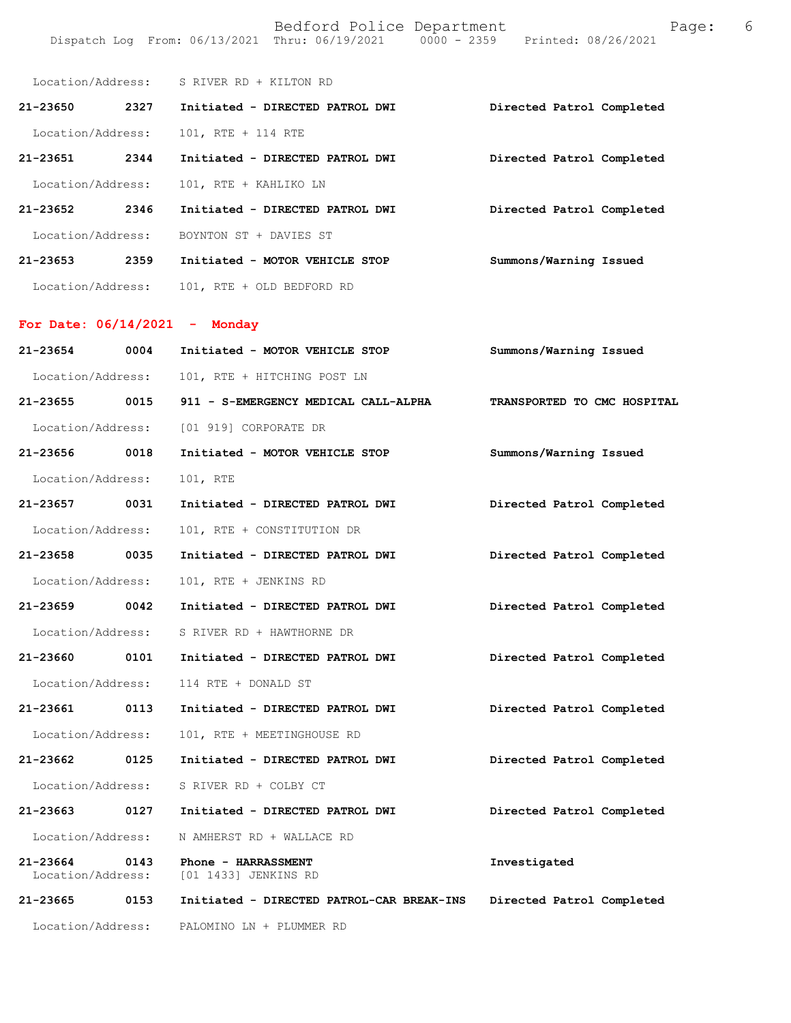|                                 |      | Location/Address: S RIVER RD + KILTON RD           |                             |
|---------------------------------|------|----------------------------------------------------|-----------------------------|
|                                 |      | 21-23650 2327 Initiated - DIRECTED PATROL DWI      | Directed Patrol Completed   |
| Location/Address:               |      | 101, RTE + 114 RTE                                 |                             |
| 21-23651 2344                   |      | Initiated - DIRECTED PATROL DWI                    | Directed Patrol Completed   |
| Location/Address:               |      | 101, RTE + KAHLIKO LN                              |                             |
| 21-23652 2346                   |      | Initiated - DIRECTED PATROL DWI                    | Directed Patrol Completed   |
|                                 |      | Location/Address: BOYNTON ST + DAVIES ST           |                             |
| 21-23653 2359                   |      | Initiated - MOTOR VEHICLE STOP                     | Summons/Warning Issued      |
|                                 |      | Location/Address: 101, RTE + OLD BEDFORD RD        |                             |
| For Date: $06/14/2021$ - Monday |      |                                                    |                             |
|                                 |      |                                                    |                             |
| 21-23654 0004                   |      | Initiated - MOTOR VEHICLE STOP                     | Summons/Warning Issued      |
|                                 |      | Location/Address: 101, RTE + HITCHING POST LN      |                             |
|                                 |      | 21-23655 0015 911 - S-EMERGENCY MEDICAL CALL-ALPHA | TRANSPORTED TO CMC HOSPITAL |
|                                 |      | Location/Address: [01 919] CORPORATE DR            |                             |
| 21-23656 0018                   |      | Initiated - MOTOR VEHICLE STOP                     | Summons/Warning Issued      |
| Location/Address:               |      | 101, RTE                                           |                             |
| 21-23657 0031                   |      | Initiated - DIRECTED PATROL DWI                    | Directed Patrol Completed   |
| Location/Address:               |      | 101, RTE + CONSTITUTION DR                         |                             |
| 21-23658 0035                   |      | Initiated - DIRECTED PATROL DWI                    | Directed Patrol Completed   |
| Location/Address:               |      | 101, RTE + JENKINS RD                              |                             |
| 21-23659 0042                   |      | Initiated - DIRECTED PATROL DWI                    | Directed Patrol Completed   |
| Location/Address:               |      | S RIVER RD + HAWTHORNE DR                          |                             |
| 21-23660                        | 0101 | Initiated - DIRECTED PATROL DWI                    | Directed Patrol Completed   |
| Location/Address:               |      | 114 RTE + DONALD ST                                |                             |
| 21-23661                        | 0113 | Initiated - DIRECTED PATROL DWI                    | Directed Patrol Completed   |
| Location/Address:               |      | 101, RTE + MEETINGHOUSE RD                         |                             |
| 21-23662                        | 0125 | Initiated - DIRECTED PATROL DWI                    | Directed Patrol Completed   |
| Location/Address:               |      | S RIVER RD + COLBY CT                              |                             |
| 21-23663                        | 0127 | Initiated - DIRECTED PATROL DWI                    | Directed Patrol Completed   |
| Location/Address:               |      | N AMHERST RD + WALLACE RD                          |                             |
| 21-23664<br>Location/Address:   | 0143 | Phone - HARRASSMENT<br>[01 1433] JENKINS RD        | Investigated                |
| 21-23665                        | 0153 | Initiated - DIRECTED PATROL-CAR BREAK-INS          | Directed Patrol Completed   |
| Location/Address:               |      | PALOMINO LN + PLUMMER RD                           |                             |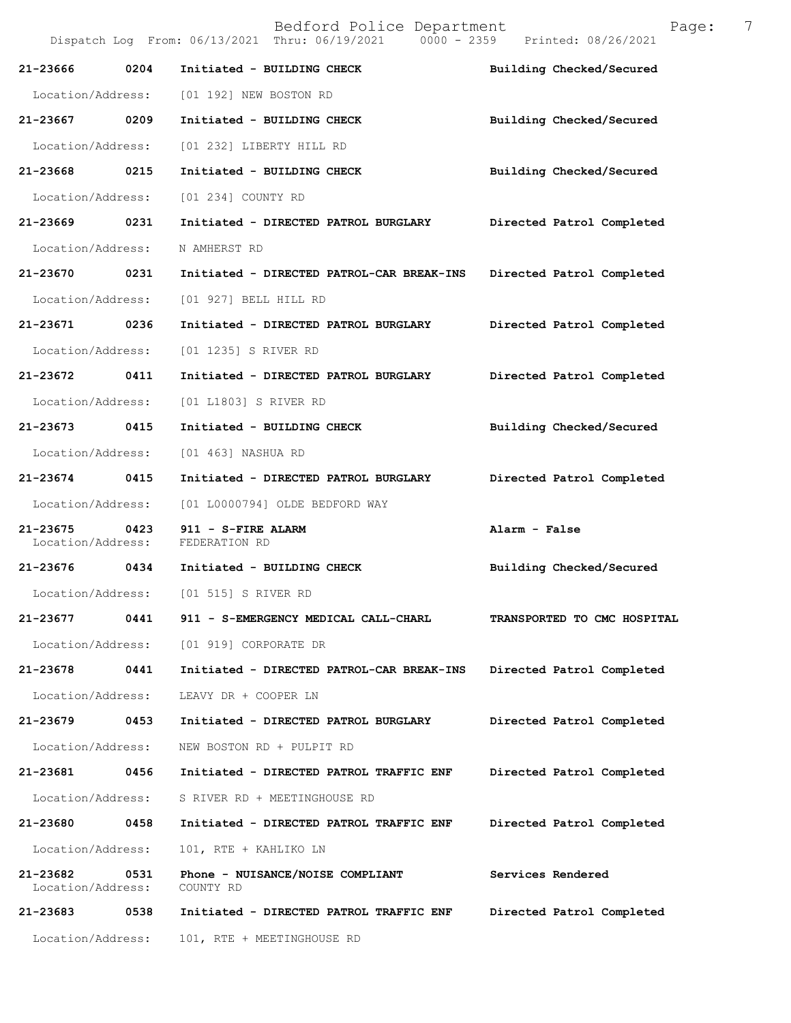| Location/Address:             |      | 101, RTE + MEETINGHOUSE RD                                                     |                             |
|-------------------------------|------|--------------------------------------------------------------------------------|-----------------------------|
| 21-23683                      | 0538 | Initiated - DIRECTED PATROL TRAFFIC ENF                                        | Directed Patrol Completed   |
| 21-23682<br>Location/Address: | 0531 | Phone - NUISANCE/NOISE COMPLIANT<br>COUNTY RD                                  | Services Rendered           |
| Location/Address:             |      | 101, RTE + KAHLIKO LN                                                          |                             |
| 21-23680                      | 0458 | Initiated - DIRECTED PATROL TRAFFIC ENF                                        | Directed Patrol Completed   |
| Location/Address:             |      | S RIVER RD + MEETINGHOUSE RD                                                   |                             |
| 21-23681                      | 0456 | Initiated - DIRECTED PATROL TRAFFIC ENF                                        | Directed Patrol Completed   |
| Location/Address:             |      | NEW BOSTON RD + PULPIT RD                                                      |                             |
| 21-23679                      | 0453 | Initiated - DIRECTED PATROL BURGLARY                                           | Directed Patrol Completed   |
| Location/Address:             |      | LEAVY DR + COOPER LN                                                           |                             |
| 21-23678                      | 0441 | Initiated - DIRECTED PATROL-CAR BREAK-INS                                      | Directed Patrol Completed   |
| Location/Address:             |      | [01 919] CORPORATE DR                                                          |                             |
| 21-23677                      | 0441 | 911 - S-EMERGENCY MEDICAL CALL-CHARL                                           | TRANSPORTED TO CMC HOSPITAL |
|                               |      | Location/Address: [01 515] S RIVER RD                                          |                             |
|                               |      | 21-23676 0434 Initiated - BUILDING CHECK                                       | Building Checked/Secured    |
| 21-23675<br>Location/Address: | 0423 | 911 - S-FIRE ALARM<br>FEDERATION RD                                            | Alarm - False               |
| Location/Address:             |      | [01 L0000794] OLDE BEDFORD WAY                                                 |                             |
| 21-23674 0415                 |      | Initiated - DIRECTED PATROL BURGLARY                                           | Directed Patrol Completed   |
| Location/Address:             |      | [01 463] NASHUA RD                                                             |                             |
| 21-23673 0415                 |      | Initiated - BUILDING CHECK                                                     | Building Checked/Secured    |
| Location/Address:             |      | [01 L1803] S RIVER RD                                                          |                             |
| 21-23672                      | 0411 | Initiated - DIRECTED PATROL BURGLARY                                           | Directed Patrol Completed   |
| Location/Address:             |      | [01 1235] S RIVER RD                                                           |                             |
| 21-23671 0236                 |      | Initiated - DIRECTED PATROL BURGLARY                                           | Directed Patrol Completed   |
| Location/Address:             |      | [01 927] BELL HILL RD                                                          |                             |
| 21-23670 0231                 |      | Initiated - DIRECTED PATROL-CAR BREAK-INS                                      | Directed Patrol Completed   |
| Location/Address:             |      | N AMHERST RD                                                                   |                             |
| 21-23669                      | 0231 | Initiated - DIRECTED PATROL BURGLARY                                           | Directed Patrol Completed   |
| Location/Address:             |      | [01 234] COUNTY RD                                                             |                             |
| 21-23668 0215                 |      | Initiated - BUILDING CHECK                                                     | Building Checked/Secured    |
| Location/Address:             |      | [01 232] LIBERTY HILL RD                                                       |                             |
| 21-23667 0209                 |      | Initiated - BUILDING CHECK                                                     | Building Checked/Secured    |
| Location/Address:             |      | [01 192] NEW BOSTON RD                                                         |                             |
| 21-23666                      | 0204 | Initiated - BUILDING CHECK                                                     | Building Checked/Secured    |
|                               |      | Dispatch Log From: 06/13/2021 Thru: 06/19/2021 0000 - 2359 Printed: 08/26/2021 |                             |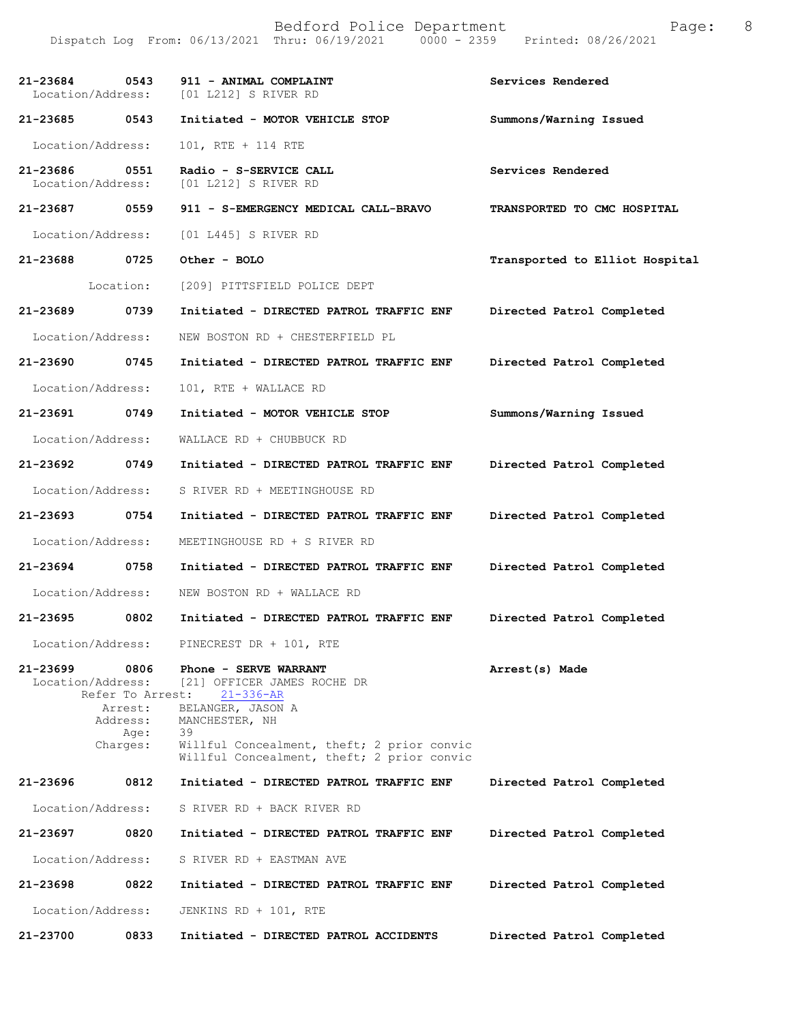| 21-23684<br>Location/Address:      | 0543                                                                | 911 - ANIMAL COMPLAINT<br>[01 L212] S RIVER RD                                                                                                                                                                   | Services Rendered              |
|------------------------------------|---------------------------------------------------------------------|------------------------------------------------------------------------------------------------------------------------------------------------------------------------------------------------------------------|--------------------------------|
| 21-23685                           | 0543                                                                | Initiated - MOTOR VEHICLE STOP                                                                                                                                                                                   | Summons/Warning Issued         |
| Location/Address:                  |                                                                     | 101, RTE + 114 RTE                                                                                                                                                                                               |                                |
| 21-23686 0551<br>Location/Address: |                                                                     | Radio - S-SERVICE CALL<br>[01 L212] S RIVER RD                                                                                                                                                                   | Services Rendered              |
| 21-23687 0559                      |                                                                     | 911 - S-EMERGENCY MEDICAL CALL-BRAVO                                                                                                                                                                             | TRANSPORTED TO CMC HOSPITAL    |
| Location/Address:                  |                                                                     | $[01 L445]$ S RIVER RD                                                                                                                                                                                           |                                |
| 21-23688                           | 0725                                                                | Other - BOLO                                                                                                                                                                                                     | Transported to Elliot Hospital |
|                                    | Location:                                                           | [209] PITTSFIELD POLICE DEPT                                                                                                                                                                                     |                                |
| 21-23689 0739                      |                                                                     | Initiated - DIRECTED PATROL TRAFFIC ENF                                                                                                                                                                          | Directed Patrol Completed      |
| Location/Address:                  |                                                                     | NEW BOSTON RD + CHESTERFIELD PL                                                                                                                                                                                  |                                |
| 21-23690                           | 0745                                                                | Initiated - DIRECTED PATROL TRAFFIC ENF                                                                                                                                                                          | Directed Patrol Completed      |
| Location/Address:                  |                                                                     | 101, RTE + WALLACE RD                                                                                                                                                                                            |                                |
| 21-23691                           | 0749                                                                | Initiated - MOTOR VEHICLE STOP                                                                                                                                                                                   | Summons/Warning Issued         |
| Location/Address:                  |                                                                     | WALLACE RD + CHUBBUCK RD                                                                                                                                                                                         |                                |
| 21-23692 0749                      |                                                                     | Initiated - DIRECTED PATROL TRAFFIC ENF                                                                                                                                                                          | Directed Patrol Completed      |
| Location/Address:                  |                                                                     | S RIVER RD + MEETINGHOUSE RD                                                                                                                                                                                     |                                |
| 21-23693 0754                      |                                                                     | Initiated - DIRECTED PATROL TRAFFIC ENF                                                                                                                                                                          | Directed Patrol Completed      |
| Location/Address:                  |                                                                     | MEETINGHOUSE RD + S RIVER RD                                                                                                                                                                                     |                                |
| 21-23694 0758                      |                                                                     | Initiated - DIRECTED PATROL TRAFFIC ENF                                                                                                                                                                          | Directed Patrol Completed      |
| Location/Address:                  |                                                                     | NEW BOSTON RD + WALLACE RD                                                                                                                                                                                       |                                |
| 21-23695                           | 0802                                                                | Initiated - DIRECTED PATROL TRAFFIC ENF                                                                                                                                                                          | Directed Patrol Completed      |
| Location/Address:                  |                                                                     | PINECREST DR + 101, RTE                                                                                                                                                                                          |                                |
| 21-23699<br>Location/Address:      | 0806<br>Refer To Arrest:<br>Arrest:<br>Address:<br>Age:<br>Charges: | Phone - SERVE WARRANT<br>[21] OFFICER JAMES ROCHE DR<br>$21 - 336 - AR$<br>BELANGER, JASON A<br>MANCHESTER, NH<br>39<br>Willful Concealment, theft; 2 prior convic<br>Willful Concealment, theft; 2 prior convic | Arrest(s) Made                 |
| 21-23696                           | 0812                                                                | Initiated - DIRECTED PATROL TRAFFIC ENF                                                                                                                                                                          | Directed Patrol Completed      |
| Location/Address:                  |                                                                     | S RIVER RD + BACK RIVER RD                                                                                                                                                                                       |                                |
| 21-23697                           | 0820                                                                | Initiated - DIRECTED PATROL TRAFFIC ENF                                                                                                                                                                          | Directed Patrol Completed      |
| Location/Address:                  |                                                                     | S RIVER RD + EASTMAN AVE                                                                                                                                                                                         |                                |
| 21-23698                           | 0822                                                                | Initiated - DIRECTED PATROL TRAFFIC ENF                                                                                                                                                                          | Directed Patrol Completed      |
| Location/Address:                  |                                                                     | JENKINS RD + 101, RTE                                                                                                                                                                                            |                                |
| 21-23700                           | 0833                                                                | Initiated - DIRECTED PATROL ACCIDENTS                                                                                                                                                                            | Directed Patrol Completed      |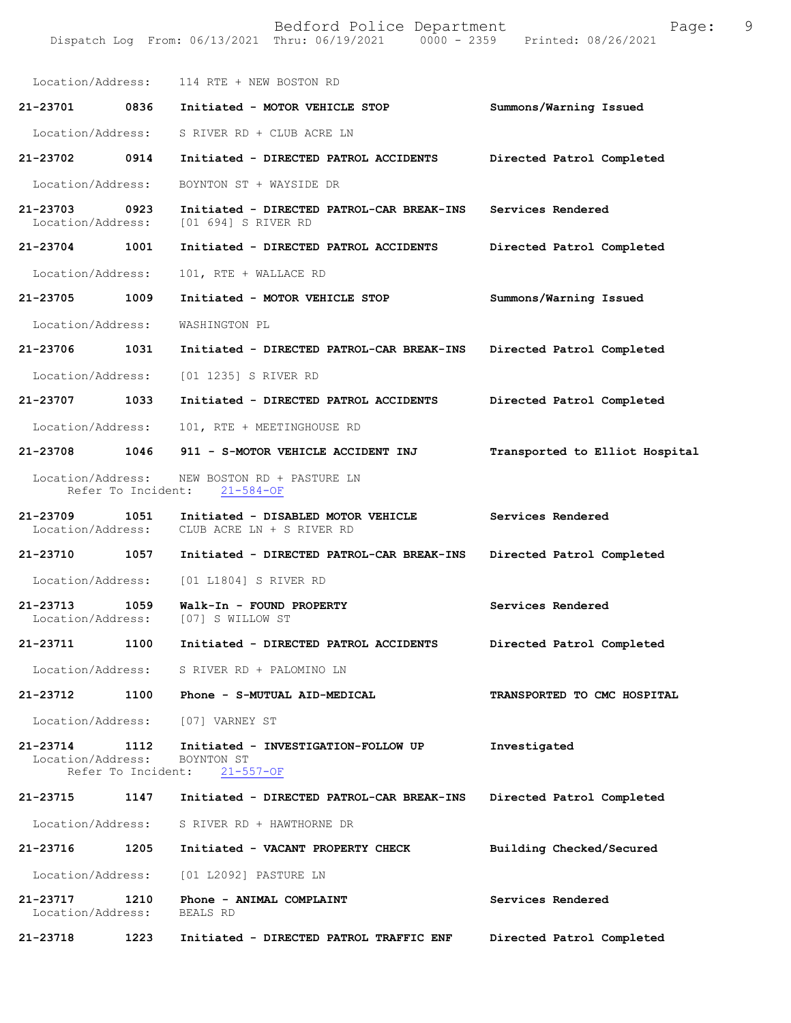| Location/Address:                                   |      | 114 RTE + NEW BOSTON RD                                                            |                                |
|-----------------------------------------------------|------|------------------------------------------------------------------------------------|--------------------------------|
| 21-23701 0836                                       |      | Initiated - MOTOR VEHICLE STOP                                                     | Summons/Warning Issued         |
| Location/Address:                                   |      | S RIVER RD + CLUB ACRE LN                                                          |                                |
| 21-23702 0914                                       |      | Initiated - DIRECTED PATROL ACCIDENTS                                              | Directed Patrol Completed      |
| Location/Address:                                   |      | BOYNTON ST + WAYSIDE DR                                                            |                                |
| 21-23703                                            | 0923 | Initiated - DIRECTED PATROL-CAR BREAK-INS<br>Location/Address: [01 694] S RIVER RD | Services Rendered              |
| 21-23704 1001                                       |      | Initiated - DIRECTED PATROL ACCIDENTS                                              | Directed Patrol Completed      |
| Location/Address:                                   |      | 101, RTE + WALLACE RD                                                              |                                |
| 21-23705                                            | 1009 | Initiated - MOTOR VEHICLE STOP                                                     | Summons/Warning Issued         |
| Location/Address:                                   |      | WASHINGTON PL                                                                      |                                |
| 21-23706                                            | 1031 | Initiated - DIRECTED PATROL-CAR BREAK-INS                                          | Directed Patrol Completed      |
| Location/Address:                                   |      | [01 1235] S RIVER RD                                                               |                                |
| 21-23707                                            | 1033 | Initiated - DIRECTED PATROL ACCIDENTS                                              | Directed Patrol Completed      |
| Location/Address:                                   |      | 101, RTE + MEETINGHOUSE RD                                                         |                                |
| 21-23708                                            | 1046 | 911 - S-MOTOR VEHICLE ACCIDENT INJ                                                 | Transported to Elliot Hospital |
| Location/Address:                                   |      | NEW BOSTON RD + PASTURE LN<br>Refer To Incident: 21-584-OF                         |                                |
| 21-23709<br>Location/Address:                       | 1051 | Initiated - DISABLED MOTOR VEHICLE<br>CLUB ACRE LN + S RIVER RD                    | Services Rendered              |
| 21-23710 1057                                       |      | Initiated - DIRECTED PATROL-CAR BREAK-INS                                          | Directed Patrol Completed      |
| Location/Address:                                   |      | [01 L1804] S RIVER RD                                                              |                                |
| 21-23713<br>Location/Address:                       | 1059 | Walk-In - FOUND PROPERTY<br>[07] S WILLOW ST                                       | Services Rendered              |
| 21-23711                                            | 1100 | Initiated - DIRECTED PATROL ACCIDENTS                                              | Directed Patrol Completed      |
|                                                     |      | Location/Address: S RIVER RD + PALOMINO LN                                         |                                |
| 21-23712                                            | 1100 | Phone - S-MUTUAL AID-MEDICAL                                                       | TRANSPORTED TO CMC HOSPITAL    |
| Location/Address:                                   |      | [07] VARNEY ST                                                                     |                                |
| 21-23714<br>Location/Address:<br>Refer To Incident: | 1112 | Initiated - INVESTIGATION-FOLLOW UP<br>BOYNTON ST<br>$21 - 557 - OF$               | Investigated                   |
| 21-23715                                            | 1147 | Initiated - DIRECTED PATROL-CAR BREAK-INS                                          | Directed Patrol Completed      |
| Location/Address:                                   |      | S RIVER RD + HAWTHORNE DR                                                          |                                |
| 21-23716                                            | 1205 | Initiated - VACANT PROPERTY CHECK                                                  | Building Checked/Secured       |
| Location/Address:                                   |      | [01 L2092] PASTURE LN                                                              |                                |
| 21-23717<br>Location/Address:                       | 1210 | Phone - ANIMAL COMPLAINT<br>BEALS RD                                               | Services Rendered              |
| 21-23718                                            | 1223 | Initiated - DIRECTED PATROL TRAFFIC ENF                                            | Directed Patrol Completed      |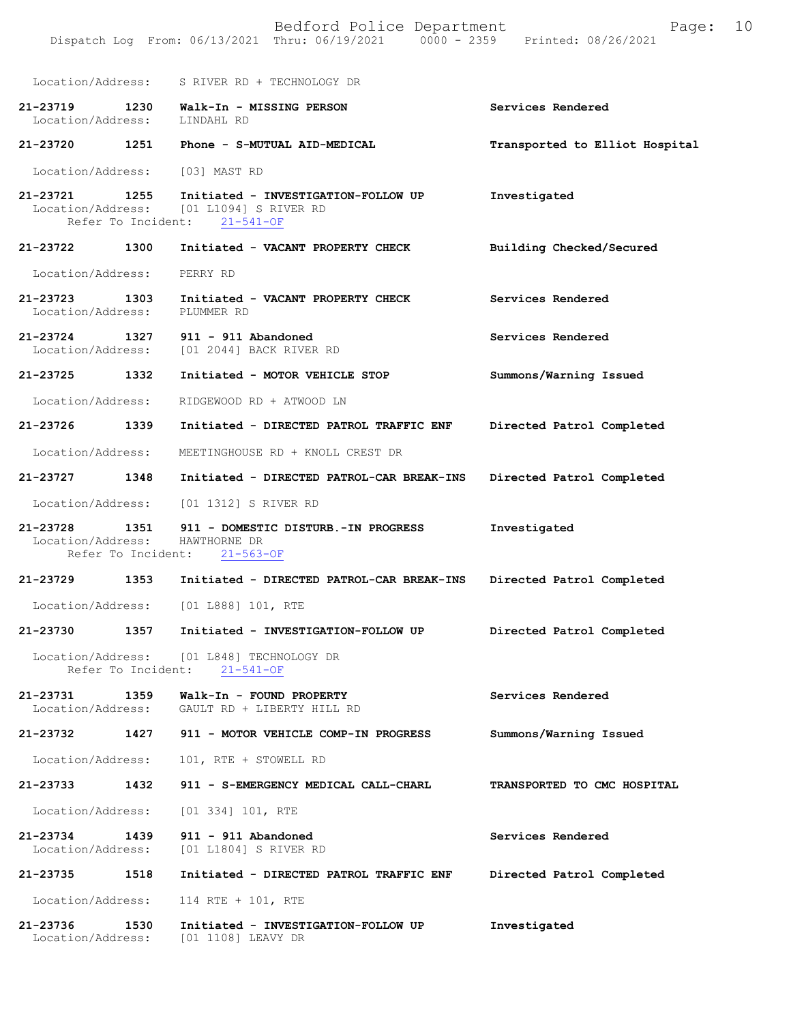|                                                     | Bedford Police Department<br>Dispatch Log From: 06/13/2021 Thru: 06/19/2021 0000 - 2359 Printed: 08/26/2021 | 10<br>Page:                    |
|-----------------------------------------------------|-------------------------------------------------------------------------------------------------------------|--------------------------------|
|                                                     | Location/Address: S RIVER RD + TECHNOLOGY DR                                                                |                                |
| 21-23719<br>Location/Address:                       | 1230<br>Walk-In - MISSING PERSON<br>LINDAHL RD                                                              | Services Rendered              |
| 21-23720                                            | 1251<br>Phone - S-MUTUAL AID-MEDICAL                                                                        | Transported to Elliot Hospital |
| Location/Address:                                   | [03] MAST RD                                                                                                |                                |
| 21-23721 1255<br>Refer To Incident:                 | Initiated - INVESTIGATION-FOLLOW UP<br>Location/Address: [01 L1094] S RIVER RD<br>$21 - 541 - OF$           | Investigated                   |
| 21-23722<br>1300                                    | Initiated - VACANT PROPERTY CHECK                                                                           | Building Checked/Secured       |
| Location/Address:                                   | PERRY RD                                                                                                    |                                |
| 21-23723 1303<br>Location/Address:                  | Initiated - VACANT PROPERTY CHECK<br>PLUMMER RD                                                             | Services Rendered              |
| 21-23724<br>1327<br>Location/Address:               | $911 - 911$ Abandoned<br>[01 2044] BACK RIVER RD                                                            | Services Rendered              |
| 1332<br>21-23725                                    | Initiated - MOTOR VEHICLE STOP                                                                              | Summons/Warning Issued         |
| Location/Address:                                   | RIDGEWOOD RD + ATWOOD LN                                                                                    |                                |
| 21-23726<br>1339                                    | Initiated - DIRECTED PATROL TRAFFIC ENF                                                                     | Directed Patrol Completed      |
| Location/Address:                                   | MEETINGHOUSE RD + KNOLL CREST DR                                                                            |                                |
| 21-23727<br>1348                                    | Initiated - DIRECTED PATROL-CAR BREAK-INS                                                                   | Directed Patrol Completed      |
| Location/Address:                                   | [01 1312] S RIVER RD                                                                                        |                                |
| 21-23728<br>Location/Address:<br>Refer To Incident: | 1351<br>911 - DOMESTIC DISTURB.-IN PROGRESS<br>HAWTHORNE DR<br>$21 - 563 - OF$                              | Investigated                   |
| 21-23729                                            | 1353<br>Initiated - DIRECTED PATROL-CAR BREAK-INS                                                           | Directed Patrol Completed      |
| Location/Address:                                   | [01 L888] 101, RTE                                                                                          |                                |
| 21-23730                                            | 1357<br>Initiated - INVESTIGATION-FOLLOW UP                                                                 | Directed Patrol Completed      |
| Location/Address:<br>Refer To Incident:             | [01 L848] TECHNOLOGY DR<br>$21 - 541 - OF$                                                                  |                                |
| 1359<br>21-23731<br>Location/Address:               | Walk-In - FOUND PROPERTY<br>GAULT RD + LIBERTY HILL RD                                                      | Services Rendered              |
| 21-23732<br>1427                                    | 911 - MOTOR VEHICLE COMP-IN PROGRESS                                                                        | Summons/Warning Issued         |
| Location/Address:                                   | 101, RTE + STOWELL RD                                                                                       |                                |
| 1432<br>21-23733                                    | 911 - S-EMERGENCY MEDICAL CALL-CHARL                                                                        | TRANSPORTED TO CMC HOSPITAL    |
| Location/Address:                                   | $[01\;334]\;101$ , RTE                                                                                      |                                |
| 21-23734<br>1439<br>Location/Address:               | 911 - 911 Abandoned<br>[01 L1804] S RIVER RD                                                                | Services Rendered              |
| 1518<br>21-23735                                    | Initiated - DIRECTED PATROL TRAFFIC ENF                                                                     | Directed Patrol Completed      |
| Location/Address:                                   | 114 RTE + 101, RTE                                                                                          |                                |
| 1530<br>21-23736                                    | Initiated - INVESTIGATION-FOLLOW UP                                                                         | Investigated                   |

Location/Address: [01 1108] LEAVY DR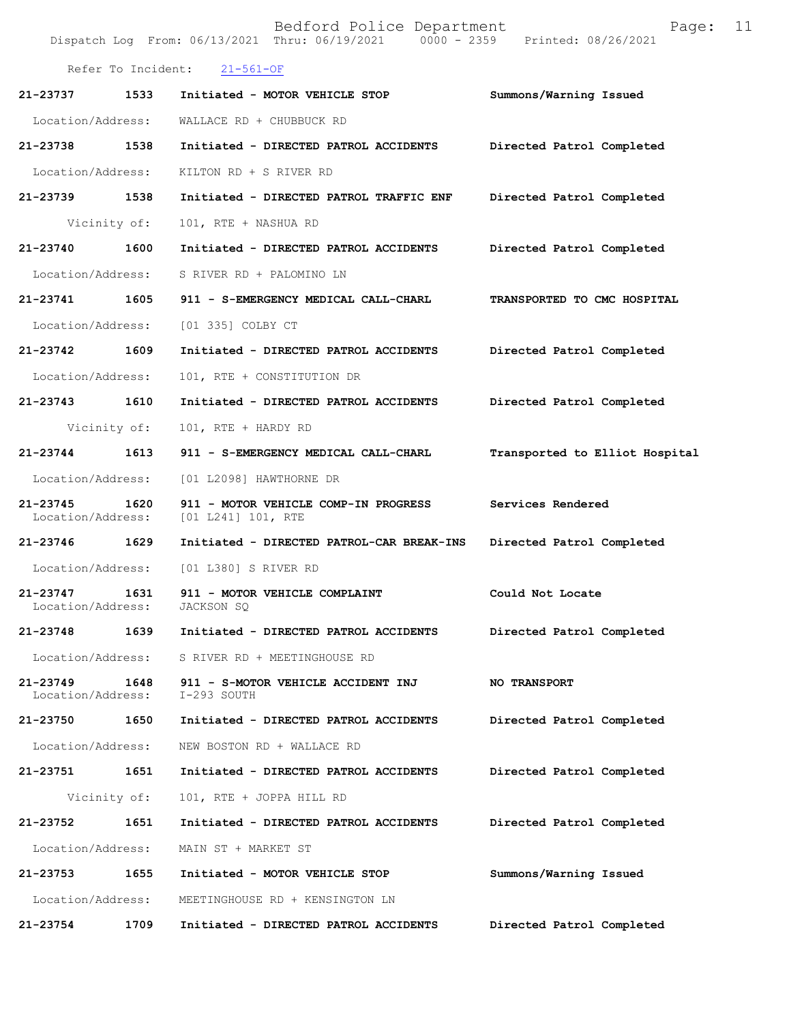|                                   |                    | Bedford Police Department<br>Dispatch Log From: 06/13/2021 Thru: 06/19/2021 0000 - 2359 | Page:<br>Printed: 08/26/2021   | 11 |
|-----------------------------------|--------------------|-----------------------------------------------------------------------------------------|--------------------------------|----|
|                                   | Refer To Incident: | $21 - 561 - OF$                                                                         |                                |    |
| 21-23737                          | 1533               | Initiated - MOTOR VEHICLE STOP                                                          | Summons/Warning Issued         |    |
| Location/Address:                 |                    | WALLACE RD + CHUBBUCK RD                                                                |                                |    |
| 21-23738                          | 1538               | Initiated - DIRECTED PATROL ACCIDENTS                                                   | Directed Patrol Completed      |    |
| Location/Address:                 |                    | KILTON RD + S RIVER RD                                                                  |                                |    |
| 21-23739                          | 1538               | Initiated - DIRECTED PATROL TRAFFIC ENF                                                 | Directed Patrol Completed      |    |
|                                   | Vicinity of:       | 101, RTE + NASHUA RD                                                                    |                                |    |
| 21-23740                          | 1600               | Initiated - DIRECTED PATROL ACCIDENTS                                                   | Directed Patrol Completed      |    |
| Location/Address:                 |                    | S RIVER RD + PALOMINO LN                                                                |                                |    |
| 21-23741                          | 1605               | 911 - S-EMERGENCY MEDICAL CALL-CHARL                                                    | TRANSPORTED TO CMC HOSPITAL    |    |
| Location/Address:                 |                    | [01 335] COLBY CT                                                                       |                                |    |
| 21-23742                          | 1609               | Initiated - DIRECTED PATROL ACCIDENTS                                                   | Directed Patrol Completed      |    |
| Location/Address:                 |                    | 101, RTE + CONSTITUTION DR                                                              |                                |    |
| 21-23743                          | 1610               | Initiated - DIRECTED PATROL ACCIDENTS                                                   | Directed Patrol Completed      |    |
|                                   | Vicinity of:       | 101, RTE + HARDY RD                                                                     |                                |    |
| 21-23744                          | 1613               | 911 - S-EMERGENCY MEDICAL CALL-CHARL                                                    | Transported to Elliot Hospital |    |
| Location/Address:                 |                    | [01 L2098] HAWTHORNE DR                                                                 |                                |    |
| 21-23745<br>Location/Address:     | 1620               | 911 - MOTOR VEHICLE COMP-IN PROGRESS<br>[01 L241] 101, RTE                              | Services Rendered              |    |
| 21-23746                          | 1629               | Initiated - DIRECTED PATROL-CAR BREAK-INS                                               | Directed Patrol Completed      |    |
| Location/Address:                 |                    | [01 L380] S RIVER RD                                                                    |                                |    |
| 21-23747<br>Location/Address:     | 1631               | 911 - MOTOR VEHICLE COMPLAINT<br>JACKSON SQ                                             | Could Not Locate               |    |
| 21-23748                          | 1639               | Initiated - DIRECTED PATROL ACCIDENTS                                                   | Directed Patrol Completed      |    |
| Location/Address:                 |                    | S RIVER RD + MEETINGHOUSE RD                                                            |                                |    |
| $21 - 23749$<br>Location/Address: | 1648               | 911 - S-MOTOR VEHICLE ACCIDENT INJ<br>I-293 SOUTH                                       | <b>NO TRANSPORT</b>            |    |
| 21-23750                          | 1650               | Initiated - DIRECTED PATROL ACCIDENTS                                                   | Directed Patrol Completed      |    |
| Location/Address:                 |                    | NEW BOSTON RD + WALLACE RD                                                              |                                |    |
| 21-23751                          | 1651               | Initiated - DIRECTED PATROL ACCIDENTS                                                   | Directed Patrol Completed      |    |
|                                   | Vicinity of:       | 101, RTE + JOPPA HILL RD                                                                |                                |    |
| 21-23752                          | 1651               | Initiated - DIRECTED PATROL ACCIDENTS                                                   | Directed Patrol Completed      |    |
| Location/Address:                 |                    | MAIN ST + MARKET ST                                                                     |                                |    |
| 21-23753                          | 1655               | Initiated - MOTOR VEHICLE STOP                                                          | Summons/Warning Issued         |    |
| Location/Address:                 |                    | MEETINGHOUSE RD + KENSINGTON LN                                                         |                                |    |
| 21-23754                          | 1709               | Initiated - DIRECTED PATROL ACCIDENTS                                                   | Directed Patrol Completed      |    |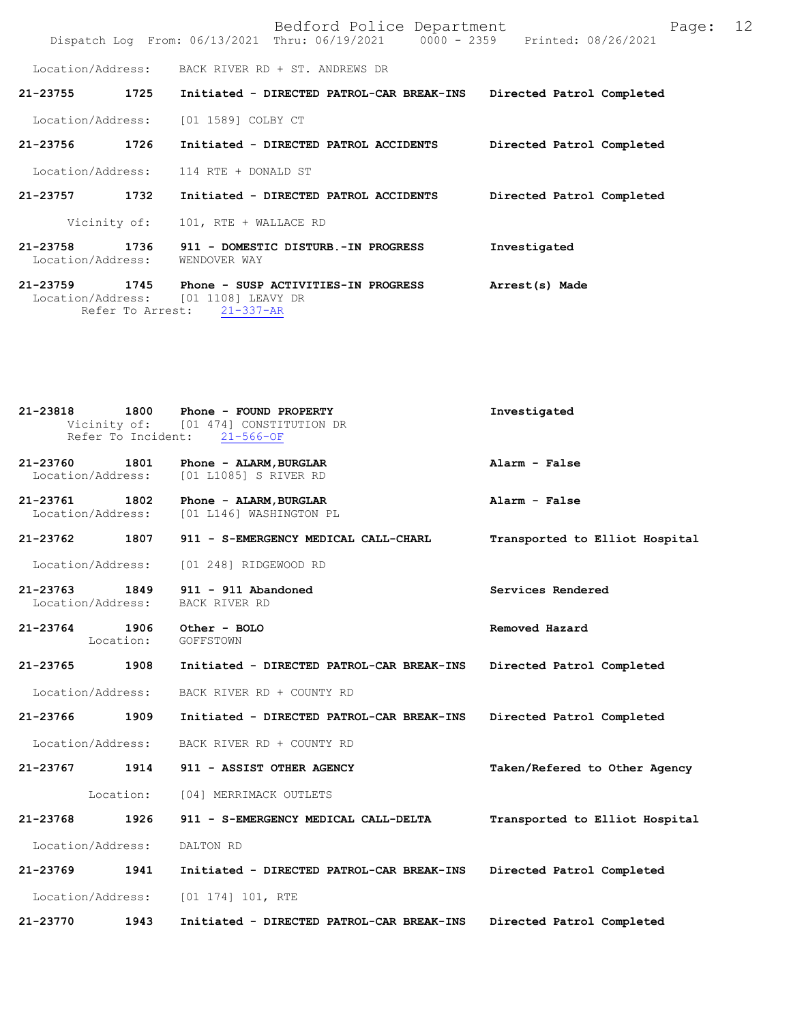|                               |                          |                                                                                                | Bedford Police Department<br>Dispatch Log From: $06/13/2021$ Thru: $06/19/2021$ 0000 - 2359 |                           | Printed: 08/26/2021 | Page: | 12 |
|-------------------------------|--------------------------|------------------------------------------------------------------------------------------------|---------------------------------------------------------------------------------------------|---------------------------|---------------------|-------|----|
|                               |                          | Location/Address: BACK RIVER RD + ST. ANDREWS DR                                               |                                                                                             |                           |                     |       |    |
| 21-23755                      | 1725                     |                                                                                                | Initiated - DIRECTED PATROL-CAR BREAK-INS                                                   | Directed Patrol Completed |                     |       |    |
| Location/Address:             |                          | [01 1589] COLBY CT                                                                             |                                                                                             |                           |                     |       |    |
| 21-23756                      | 1726                     | Initiated - DIRECTED PATROL ACCIDENTS                                                          |                                                                                             | Directed Patrol Completed |                     |       |    |
|                               |                          | Location/Address: 114 RTE + DONALD ST                                                          |                                                                                             |                           |                     |       |    |
| 21-23757                      | 1732                     | Initiated - DIRECTED PATROL ACCIDENTS                                                          |                                                                                             | Directed Patrol Completed |                     |       |    |
| Vicinity of:                  |                          | 101, RTE + WALLACE RD                                                                          |                                                                                             |                           |                     |       |    |
| 21-23758<br>Location/Address: | 1736                     | 911 - DOMESTIC DISTURB.-IN PROGRESS<br>WENDOVER WAY                                            |                                                                                             | Investigated              |                     |       |    |
| 21-23759                      | 1745<br>Refer To Arrest: | Phone - SUSP ACTIVITIES-IN PROGRESS<br>Location/Address: [01 1108] LEAVY DR<br>$21 - 337 - AR$ |                                                                                             | Arrest(s) Made            |                     |       |    |

| 21-23818                           |           | 1800 Phone - FOUND PROPERTY<br>Vicinity of: [01 474] CONSTITUTION DR<br>Refer To Incident: 21-566-OF | Investigated                   |
|------------------------------------|-----------|------------------------------------------------------------------------------------------------------|--------------------------------|
| 21-23760 1801                      |           | Phone - ALARM, BURGLAR<br>Location/Address: [01 L1085] S RIVER RD                                    | Alarm - False                  |
| 21-23761 1802                      |           | Phone - ALARM, BURGLAR<br>Location/Address: [01 L146] WASHINGTON PL                                  | Alarm - False                  |
| $21 - 23762$                       |           | 1807 911 - S-EMERGENCY MEDICAL CALL-CHARL                                                            | Transported to Elliot Hospital |
|                                    |           | Location/Address: [01 248] RIDGEWOOD RD                                                              |                                |
| 21-23763 1849<br>Location/Address: |           | $911 - 911$ Abandoned<br>BACK RIVER RD                                                               | Services Rendered              |
| 21-23764 1906<br>Location:         | GOFFSTOWN | Other - BOLO                                                                                         | Removed Hazard                 |
| 21-23765                           | 1908      | Initiated - DIRECTED PATROL-CAR BREAK-INS                                                            | Directed Patrol Completed      |
| Location/Address:                  |           | BACK RIVER RD + COUNTY RD                                                                            |                                |
| 21-23766 1909                      |           | Initiated - DIRECTED PATROL-CAR BREAK-INS                                                            | Directed Patrol Completed      |
| Location/Address:                  |           | BACK RIVER RD + COUNTY RD                                                                            |                                |
| $21 - 23767$                       | 1914      | 911 - ASSIST OTHER AGENCY                                                                            | Taken/Refered to Other Agency  |
|                                    |           | Location: [04] MERRIMACK OUTLETS                                                                     |                                |
| 21-23768                           | 1926      | 911 - S-EMERGENCY MEDICAL CALL-DELTA                                                                 | Transported to Elliot Hospital |
| Location/Address:                  | DALTON RD |                                                                                                      |                                |
| $21 - 23769$                       | 1941      | Initiated - DIRECTED PATROL-CAR BREAK-INS                                                            | Directed Patrol Completed      |
| Location/Address:                  |           | $[01 174] 101$ , RTE                                                                                 |                                |
| 21-23770                           | 1943      | Initiated - DIRECTED PATROL-CAR BREAK-INS                                                            | Directed Patrol Completed      |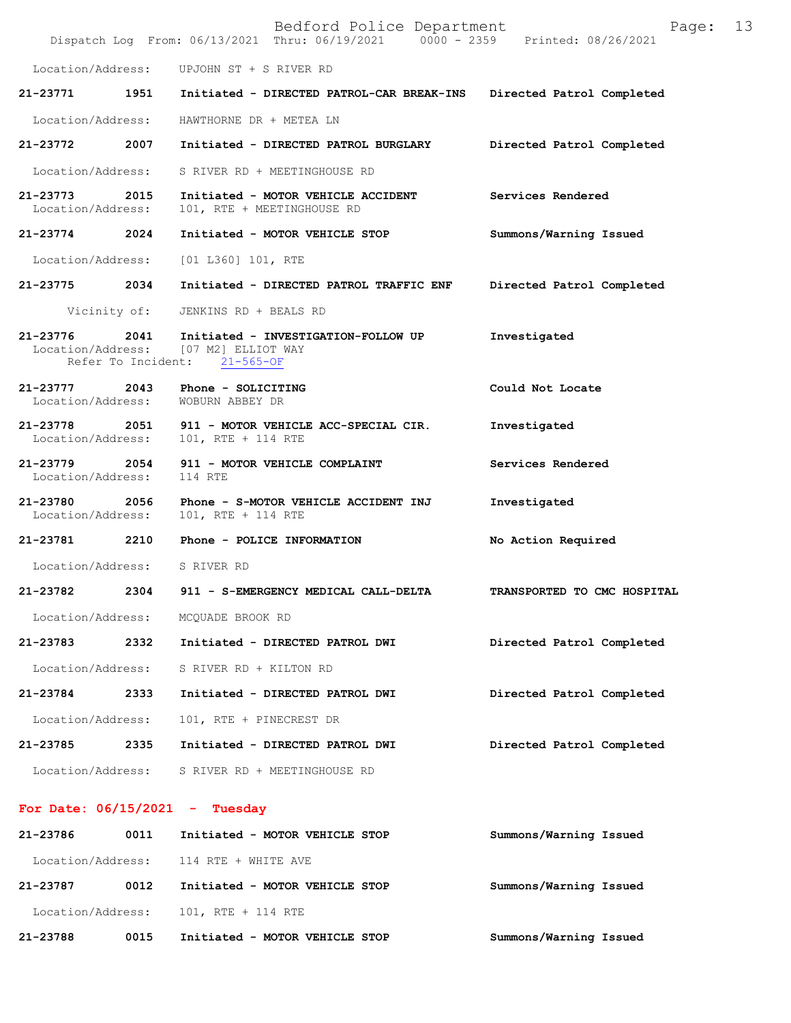|                                   |                            | Bedford Police Department<br>Dispatch Log From: 06/13/2021 Thru: 06/19/2021 0000 - 2359 Printed: 08/26/2021 | Page:                       | 13 |
|-----------------------------------|----------------------------|-------------------------------------------------------------------------------------------------------------|-----------------------------|----|
| Location/Address:                 |                            | UPJOHN ST + S RIVER RD                                                                                      |                             |    |
| 21-23771                          | 1951                       | Initiated - DIRECTED PATROL-CAR BREAK-INS                                                                   | Directed Patrol Completed   |    |
| Location/Address:                 |                            | HAWTHORNE DR + METEA LN                                                                                     |                             |    |
| 21-23772                          | 2007                       | Initiated - DIRECTED PATROL BURGLARY                                                                        | Directed Patrol Completed   |    |
| Location/Address:                 |                            | S RIVER RD + MEETINGHOUSE RD                                                                                |                             |    |
| $21 - 23773$<br>Location/Address: | 2015                       | Initiated - MOTOR VEHICLE ACCIDENT<br>101, RTE + MEETINGHOUSE RD                                            | Services Rendered           |    |
| 21-23774                          | 2024                       | Initiated - MOTOR VEHICLE STOP                                                                              | Summons/Warning Issued      |    |
| Location/Address:                 |                            | [01 L360] 101, RTE                                                                                          |                             |    |
| 21-23775                          | 2034                       | Initiated - DIRECTED PATROL TRAFFIC ENF                                                                     | Directed Patrol Completed   |    |
|                                   | Vicinity of:               | JENKINS RD + BEALS RD                                                                                       |                             |    |
| 21-23776<br>Location/Address:     | 2041<br>Refer To Incident: | Initiated - INVESTIGATION-FOLLOW UP<br>[07 M2] ELLIOT WAY<br>$21 - 565 - OF$                                | Investigated                |    |
| 21-23777<br>Location/Address:     | 2043                       | Phone - SOLICITING<br>WOBURN ABBEY DR                                                                       | Could Not Locate            |    |
| $21 - 23778$<br>Location/Address: | 2051                       | 911 - MOTOR VEHICLE ACC-SPECIAL CIR.<br>101, RTE + 114 RTE                                                  | Investigated                |    |
| 21-23779<br>Location/Address:     | 2054                       | 911 - MOTOR VEHICLE COMPLAINT<br>114 RTE                                                                    | Services Rendered           |    |
| 21-23780<br>Location/Address:     | 2056                       | Phone - S-MOTOR VEHICLE ACCIDENT INJ<br>101, RTE + 114 RTE                                                  | Investigated                |    |
| 21-23781 2210                     |                            | Phone - POLICE INFORMATION                                                                                  | No Action Required          |    |
| Location/Address:                 |                            | S RIVER RD                                                                                                  |                             |    |
| 21-23782                          | 2304                       | 911 - S-EMERGENCY MEDICAL CALL-DELTA                                                                        | TRANSPORTED TO CMC HOSPITAL |    |
| Location/Address:                 |                            | MCQUADE BROOK RD                                                                                            |                             |    |
| 21-23783                          | 2332                       | Initiated - DIRECTED PATROL DWI                                                                             | Directed Patrol Completed   |    |
| Location/Address:                 |                            | S RIVER RD + KILTON RD                                                                                      |                             |    |
| 21-23784                          | 2333                       | Initiated - DIRECTED PATROL DWI                                                                             | Directed Patrol Completed   |    |
| Location/Address:                 |                            | 101, RTE + PINECREST DR                                                                                     |                             |    |
| 21-23785                          | 2335                       | Initiated - DIRECTED PATROL DWI                                                                             | Directed Patrol Completed   |    |
| Location/Address:                 |                            | S RIVER RD + MEETINGHOUSE RD                                                                                |                             |    |
|                                   |                            | For Date: $06/15/2021$ - Tuesday                                                                            |                             |    |

**21-23786 0011 Initiated - MOTOR VEHICLE STOP Summons/Warning Issued**  Location/Address: 114 RTE + WHITE AVE **21-23787 0012 Initiated - MOTOR VEHICLE STOP Summons/Warning Issued**  Location/Address: 101, RTE + 114 RTE **21-23788 0015 Initiated - MOTOR VEHICLE STOP Summons/Warning Issued**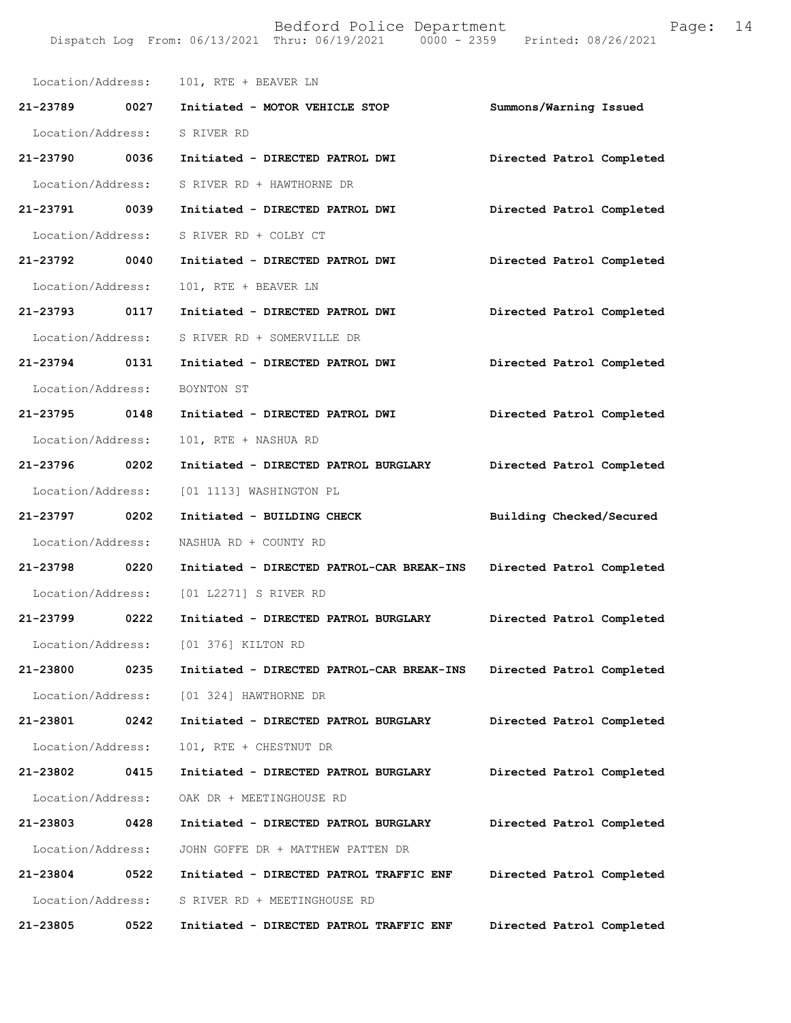|                              |      | Location/Address: 101, RTE + BEAVER LN                              |                           |
|------------------------------|------|---------------------------------------------------------------------|---------------------------|
|                              |      | 21-23789 0027 Initiated - MOTOR VEHICLE STOP                        | Summons/Warning Issued    |
| Location/Address: S RIVER RD |      |                                                                     |                           |
| 21-23790 0036                |      | Initiated - DIRECTED PATROL DWI                                     | Directed Patrol Completed |
| Location/Address:            |      | S RIVER RD + HAWTHORNE DR                                           |                           |
| 21-23791 0039                |      | Initiated - DIRECTED PATROL DWI                                     | Directed Patrol Completed |
| Location/Address:            |      | S RIVER RD + COLBY CT                                               |                           |
| 21-23792 0040                |      | Initiated - DIRECTED PATROL DWI                                     | Directed Patrol Completed |
| Location/Address:            |      | 101, RTE + BEAVER LN                                                |                           |
| 21-23793 0117                |      | Initiated - DIRECTED PATROL DWI                                     | Directed Patrol Completed |
| Location/Address:            |      | S RIVER RD + SOMERVILLE DR                                          |                           |
| 21-23794 0131                |      | Initiated - DIRECTED PATROL DWI                                     | Directed Patrol Completed |
| Location/Address:            |      | BOYNTON ST                                                          |                           |
| 21-23795 0148                |      | Initiated - DIRECTED PATROL DWI                                     | Directed Patrol Completed |
| Location/Address:            |      | 101, RTE + NASHUA RD                                                |                           |
| 21-23796 0202                |      | Initiated - DIRECTED PATROL BURGLARY                                | Directed Patrol Completed |
| Location/Address:            |      | [01 1113] WASHINGTON PL                                             |                           |
| 21-23797 0202                |      | Initiated - BUILDING CHECK                                          | Building Checked/Secured  |
| Location/Address:            |      | NASHUA RD + COUNTY RD                                               |                           |
| 21-23798 0220                |      | Initiated - DIRECTED PATROL-CAR BREAK-INS Directed Patrol Completed |                           |
|                              |      | Location/Address: [01 L2271] S RIVER RD                             |                           |
| 21-23799 0222                |      | Initiated - DIRECTED PATROL BURGLARY                                | Directed Patrol Completed |
| Location/Address:            |      | [01 376] KILTON RD                                                  |                           |
| 21-23800                     | 0235 | Initiated - DIRECTED PATROL-CAR BREAK-INS                           | Directed Patrol Completed |
| Location/Address:            |      | [01 324] HAWTHORNE DR                                               |                           |
| 21-23801                     | 0242 | Initiated - DIRECTED PATROL BURGLARY                                | Directed Patrol Completed |
| Location/Address:            |      | 101, RTE + CHESTNUT DR                                              |                           |
| 21-23802                     | 0415 | Initiated - DIRECTED PATROL BURGLARY                                | Directed Patrol Completed |
| Location/Address:            |      | OAK DR + MEETINGHOUSE RD                                            |                           |
| 21-23803                     | 0428 | Initiated - DIRECTED PATROL BURGLARY                                | Directed Patrol Completed |
| Location/Address:            |      | JOHN GOFFE DR + MATTHEW PATTEN DR                                   |                           |
| 21-23804                     | 0522 | Initiated - DIRECTED PATROL TRAFFIC ENF                             | Directed Patrol Completed |
| Location/Address:            |      | S RIVER RD + MEETINGHOUSE RD                                        |                           |
| 21-23805                     | 0522 | Initiated - DIRECTED PATROL TRAFFIC ENF                             | Directed Patrol Completed |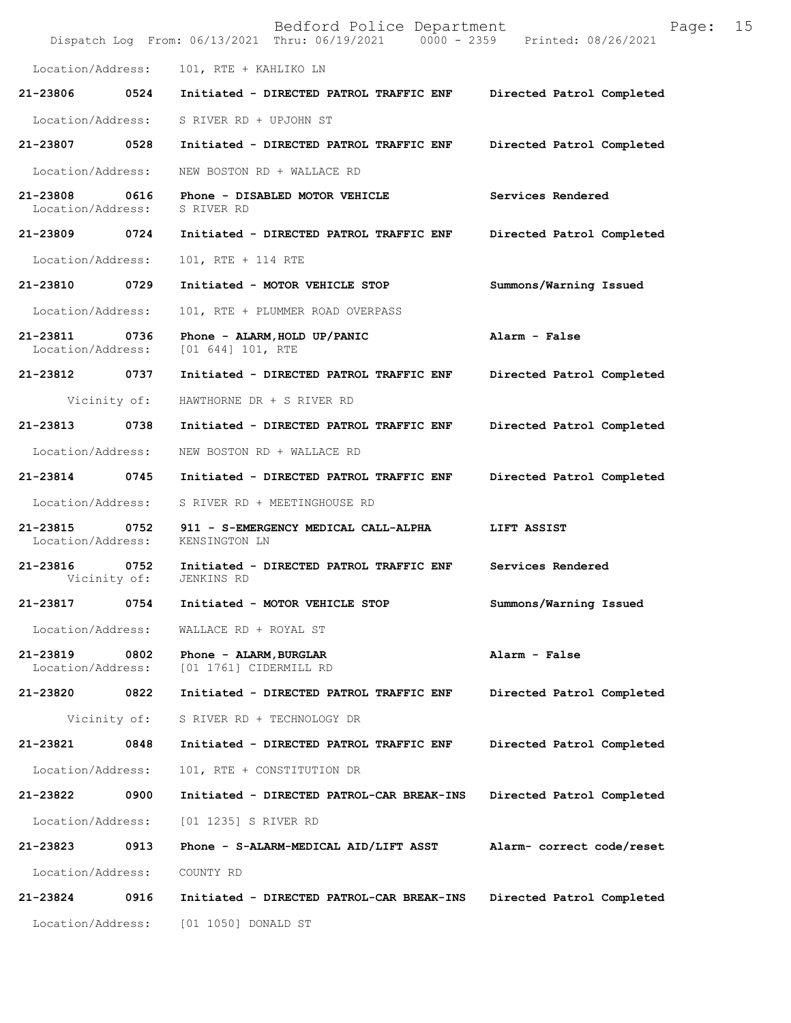|                               |                      | Bedford Police Department<br>Dispatch Log From: 06/13/2021 Thru: 06/19/2021 0000 - 2359 | 15<br>Page:<br>Printed: 08/26/2021 |
|-------------------------------|----------------------|-----------------------------------------------------------------------------------------|------------------------------------|
| Location/Address:             |                      | 101, RTE + KAHLIKO LN                                                                   |                                    |
| 21-23806                      | 0524                 | Initiated - DIRECTED PATROL TRAFFIC ENF                                                 | Directed Patrol Completed          |
| Location/Address:             |                      | S RIVER RD + UPJOHN ST                                                                  |                                    |
| 21-23807                      | 0528                 | Initiated - DIRECTED PATROL TRAFFIC ENF                                                 | Directed Patrol Completed          |
| Location/Address:             |                      | NEW BOSTON RD + WALLACE RD                                                              |                                    |
| 21-23808<br>Location/Address: | 0616                 | Phone - DISABLED MOTOR VEHICLE<br>S RIVER RD                                            | Services Rendered                  |
| 21-23809                      | 0724                 | Initiated - DIRECTED PATROL TRAFFIC ENF                                                 | Directed Patrol Completed          |
| Location/Address:             |                      | 101, RTE + 114 RTE                                                                      |                                    |
| 21-23810                      | 0729                 | Initiated - MOTOR VEHICLE STOP                                                          | Summons/Warning Issued             |
| Location/Address:             |                      | 101, RTE + PLUMMER ROAD OVERPASS                                                        |                                    |
| 21-23811<br>Location/Address: | 0736                 | Phone - ALARM, HOLD UP/PANIC<br>[01 644] 101, RTE                                       | Alarm - False                      |
| 21-23812                      | 0737                 | Initiated - DIRECTED PATROL TRAFFIC ENF                                                 | Directed Patrol Completed          |
| Vicinity of:                  |                      | HAWTHORNE DR + S RIVER RD                                                               |                                    |
| 21-23813                      | 0738                 | Initiated - DIRECTED PATROL TRAFFIC ENF                                                 | Directed Patrol Completed          |
| Location/Address:             |                      | NEW BOSTON RD + WALLACE RD                                                              |                                    |
| 21-23814                      | 0745                 | Initiated - DIRECTED PATROL TRAFFIC ENF                                                 | Directed Patrol Completed          |
| Location/Address:             |                      | S RIVER RD + MEETINGHOUSE RD                                                            |                                    |
| 21-23815<br>Location/Address: | 0752                 | 911 - S-EMERGENCY MEDICAL CALL-ALPHA<br>KENSINGTON LN                                   | LIFT ASSIST                        |
| 21-23816                      | 0752<br>Vicinity of: | Initiated - DIRECTED PATROL TRAFFIC ENF<br>JENKINS RD                                   | Services Rendered                  |
| 21-23817                      | 0754                 | Initiated - MOTOR VEHICLE STOP                                                          | Summons/Warning Issued             |
| Location/Address:             |                      | WALLACE RD + ROYAL ST                                                                   |                                    |
| 21-23819<br>Location/Address: | 0802                 | Phone - ALARM, BURGLAR<br>[01 1761] CIDERMILL RD                                        | Alarm - False                      |
| 21-23820                      | 0822                 | Initiated - DIRECTED PATROL TRAFFIC ENF                                                 | Directed Patrol Completed          |
| Vicinity of:                  |                      | S RIVER RD + TECHNOLOGY DR                                                              |                                    |
| 21-23821                      | 0848                 | Initiated - DIRECTED PATROL TRAFFIC ENF                                                 | Directed Patrol Completed          |
| Location/Address:             |                      | 101, RTE + CONSTITUTION DR                                                              |                                    |
| 21-23822                      | 0900                 | Initiated - DIRECTED PATROL-CAR BREAK-INS                                               | Directed Patrol Completed          |
| Location/Address:             |                      | [01 1235] S RIVER RD                                                                    |                                    |
| 21-23823                      | 0913                 | Phone - S-ALARM-MEDICAL AID/LIFT ASST                                                   | Alarm- correct code/reset          |
| Location/Address:             |                      | COUNTY RD                                                                               |                                    |
| 21-23824                      | 0916                 | Initiated - DIRECTED PATROL-CAR BREAK-INS                                               | Directed Patrol Completed          |
| Location/Address:             |                      | [01 1050] DONALD ST                                                                     |                                    |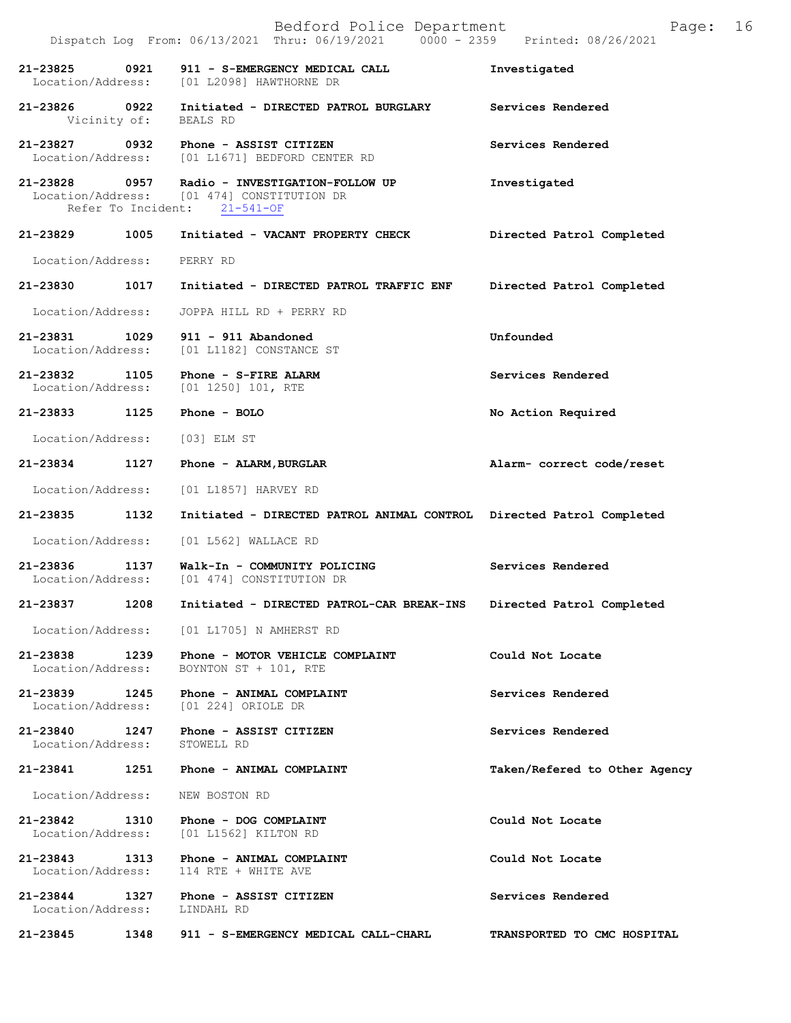|                                               |                    | Bedford Police Department<br>Dispatch Log From: 06/13/2021 Thru: 06/19/2021 0000 - 2359 Printed: 08/26/2021    | 16<br>Page:                   |
|-----------------------------------------------|--------------------|----------------------------------------------------------------------------------------------------------------|-------------------------------|
| 21-23825                                      | 0921               | 911 - S-EMERGENCY MEDICAL CALL<br>Location/Address: [01 L2098] HAWTHORNE DR                                    | Investigated                  |
| 21-23826 0922                                 |                    | Initiated - DIRECTED PATROL BURGLARY<br>Vicinity of: BEALS RD                                                  | Services Rendered             |
|                                               |                    | 21-23827 0932 Phone - ASSIST CITIZEN<br>Location/Address: [01 L1671] BEDFORD CENTER RD                         | Services Rendered             |
|                                               | Refer To Incident: | 21-23828 0957 Radio - INVESTIGATION-FOLLOW UP<br>Location/Address: [01 474] CONSTITUTION DR<br>$21 - 541 - OF$ | Investigated                  |
| 21-23829                                      | 1005               | Initiated - VACANT PROPERTY CHECK                                                                              | Directed Patrol Completed     |
| Location/Address:                             |                    | PERRY RD                                                                                                       |                               |
| 21-23830                                      | 1017               | Initiated - DIRECTED PATROL TRAFFIC ENF                                                                        | Directed Patrol Completed     |
| Location/Address:                             |                    | JOPPA HILL RD + PERRY RD                                                                                       |                               |
| 21-23831 1029                                 |                    | $911 - 911$ Abandoned<br>Location/Address: [01 L1182] CONSTANCE ST                                             | Unfounded                     |
| 21-23832 1105                                 |                    | Phone - S-FIRE ALARM<br>Location/Address: [01 1250] 101, RTE                                                   | Services Rendered             |
| 21-23833 1125                                 |                    | Phone - BOLO                                                                                                   | No Action Required            |
| Location/Address:                             |                    | $[03]$ ELM ST                                                                                                  |                               |
| 21-23834                                      | 1127               | Phone - ALARM, BURGLAR                                                                                         | Alarm- correct code/reset     |
| Location/Address:                             |                    | [01 L1857] HARVEY RD                                                                                           |                               |
| 21-23835                                      | 1132               | Initiated - DIRECTED PATROL ANIMAL CONTROL Directed Patrol Completed                                           |                               |
| Location/Address:                             |                    | [01 L562] WALLACE RD                                                                                           |                               |
| 21-23836                                      | 1137               | Walk-In - COMMUNITY POLICING<br>Location/Address: [01 474] CONSTITUTION DR                                     | Services Rendered             |
| 21-23837                                      | 1208               | Initiated - DIRECTED PATROL-CAR BREAK-INS                                                                      | Directed Patrol Completed     |
|                                               |                    | Location/Address: [01 L1705] N AMHERST RD                                                                      |                               |
| 21-23838 1239<br>Location/Address:            |                    | Phone - MOTOR VEHICLE COMPLAINT<br>BOYNTON ST + 101, RTE                                                       | Could Not Locate              |
| 21-23839 1245                                 |                    | Phone - ANIMAL COMPLAINT<br>Location/Address: [01 224] ORIOLE DR                                               | Services Rendered             |
| 21-23840 1247<br>Location/Address: STOWELL RD |                    | Phone - ASSIST CITIZEN                                                                                         | Services Rendered             |
| 21-23841                                      |                    | 1251 Phone - ANIMAL COMPLAINT                                                                                  | Taken/Refered to Other Agency |
| Location/Address:                             |                    | NEW BOSTON RD                                                                                                  |                               |
| 21-23842 1310                                 |                    | Phone - DOG COMPLAINT<br>Location/Address: [01 L1562] KILTON RD                                                | Could Not Locate              |
| 21-23843 1313<br>Location/Address:            |                    | Phone - ANIMAL COMPLAINT<br>114 RTE + WHITE AVE                                                                | Could Not Locate              |
| 21-23844 1327<br>Location/Address: LINDAHL RD |                    | Phone - ASSIST CITIZEN                                                                                         | Services Rendered             |
|                                               |                    | 21-23845 1348 911 - S-EMERGENCY MEDICAL CALL-CHARL                                                             | TRANSPORTED TO CMC HOSPITAL   |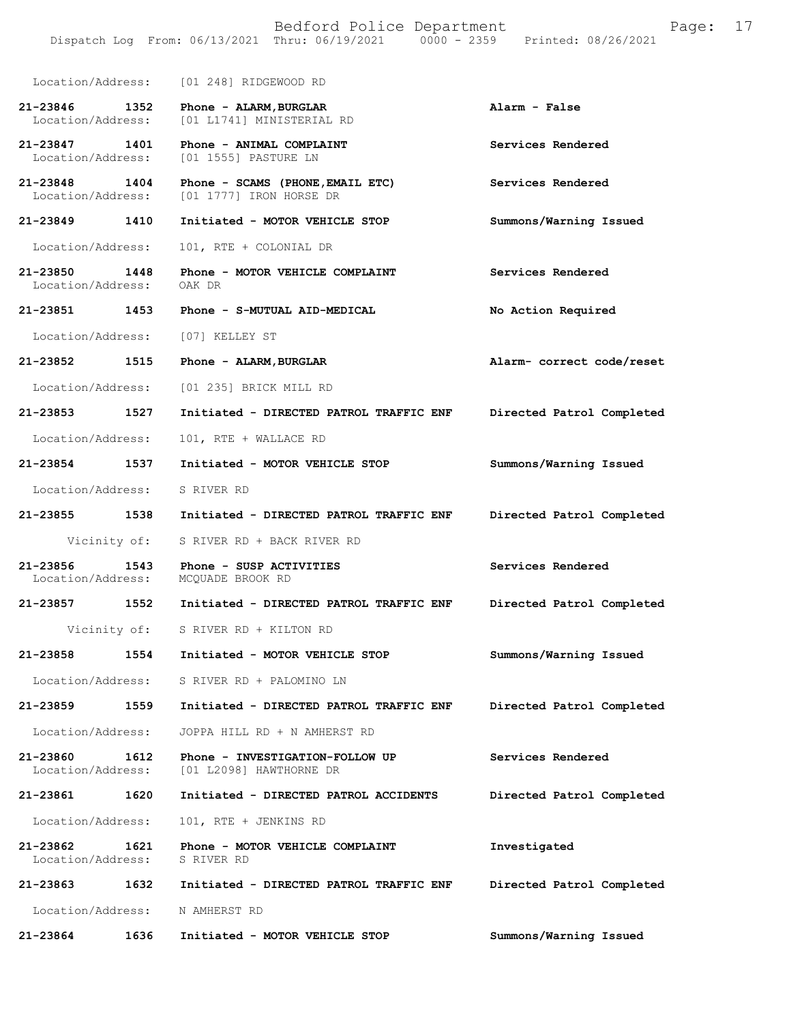Location/Address: [01 248] RIDGEWOOD RD **21-23846 1352 Phone - ALARM,BURGLAR Alarm - False**  Location/Address: [01 L1741] MINISTERIAL RD **21-23847 1401 Phone - ANIMAL COMPLAINT Services Rendered**  Location/Address: [01 1555] PASTURE LN **21-23848 1404 Phone - SCAMS (PHONE,EMAIL ETC) Services Rendered**  Location/Address: [01 1777] IRON HORSE DR **21-23849 1410 Initiated - MOTOR VEHICLE STOP Summons/Warning Issued**  Location/Address: 101, RTE + COLONIAL DR **21-23850 1448 Phone - MOTOR VEHICLE COMPLAINT Services Rendered**  Location/Address: OAK DR **21-23851 1453 Phone - S-MUTUAL AID-MEDICAL No Action Required**  Location/Address: [07] KELLEY ST **21-23852 1515 Phone - ALARM,BURGLAR Alarm- correct code/reset**  Location/Address: [01 235] BRICK MILL RD **21-23853 1527 Initiated - DIRECTED PATROL TRAFFIC ENF Directed Patrol Completed**  Location/Address: 101, RTE + WALLACE RD **21-23854 1537 Initiated - MOTOR VEHICLE STOP Summons/Warning Issued**  Location/Address: S RIVER RD **21-23855 1538 Initiated - DIRECTED PATROL TRAFFIC ENF Directed Patrol Completed**  Vicinity of: S RIVER RD + BACK RIVER RD **21-23856 1543 Phone - SUSP ACTIVITIES Services Rendered**  Location/Address: MCQUADE BROOK RD **21-23857 1552 Initiated - DIRECTED PATROL TRAFFIC ENF Directed Patrol Completed**  Vicinity of: S RIVER RD + KILTON RD **21-23858 1554 Initiated - MOTOR VEHICLE STOP Summons/Warning Issued**  Location/Address: S RIVER RD + PALOMINO LN **21-23859 1559 Initiated - DIRECTED PATROL TRAFFIC ENF Directed Patrol Completed**  Location/Address: JOPPA HILL RD + N AMHERST RD **21-23860 1612 Phone - INVESTIGATION-FOLLOW UP Services Rendered**  Location/Address: [01 L2098] HAWTHORNE DR **21-23861 1620 Initiated - DIRECTED PATROL ACCIDENTS Directed Patrol Completed**  Location/Address: 101, RTE + JENKINS RD **21-23862 1621 Phone - MOTOR VEHICLE COMPLAINT Investigated**  Location/Address: S RIVER RD **21-23863 1632 Initiated - DIRECTED PATROL TRAFFIC ENF Directed Patrol Completed**  Location/Address: N AMHERST RD

**21-23864 1636 Initiated - MOTOR VEHICLE STOP Summons/Warning Issued**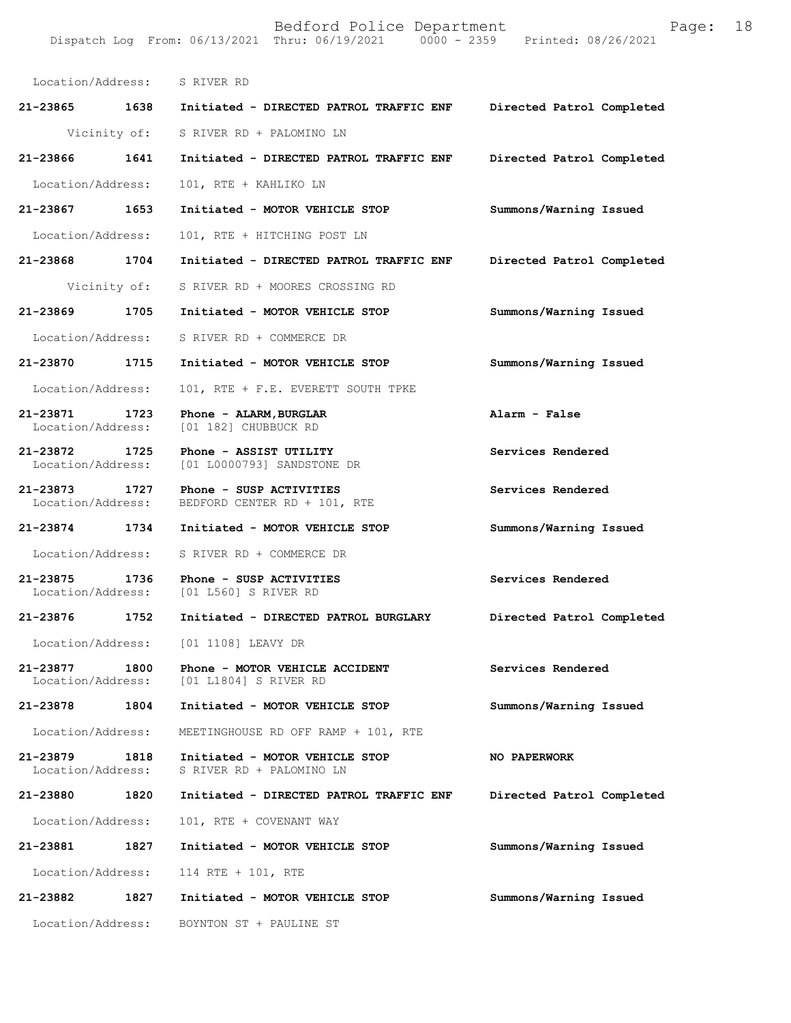Location/Address: S RIVER RD **21-23865 1638 Initiated - DIRECTED PATROL TRAFFIC ENF Directed Patrol Completed**  Vicinity of: S RIVER RD + PALOMINO LN **21-23866 1641 Initiated - DIRECTED PATROL TRAFFIC ENF Directed Patrol Completed**  Location/Address: 101, RTE + KAHLIKO LN **21-23867 1653 Initiated - MOTOR VEHICLE STOP Summons/Warning Issued**  Location/Address: 101, RTE + HITCHING POST LN **21-23868 1704 Initiated - DIRECTED PATROL TRAFFIC ENF Directed Patrol Completed**  Vicinity of: S RIVER RD + MOORES CROSSING RD **21-23869 1705 Initiated - MOTOR VEHICLE STOP Summons/Warning Issued**  Location/Address: S RIVER RD + COMMERCE DR **21-23870 1715 Initiated - MOTOR VEHICLE STOP Summons/Warning Issued**  Location/Address: 101, RTE + F.E. EVERETT SOUTH TPKE **21-23871 1723 Phone - ALARM,BURGLAR Alarm - False**  [01 182] CHUBBUCK RD **21-23872 1725 Phone - ASSIST UTILITY Services Rendered**  Location/Address: [01 L0000793] SANDSTONE DR **21-23873 1727 Phone - SUSP ACTIVITIES Services Rendered**  Location/Address: BEDFORD CENTER RD + 101, RTE **21-23874 1734 Initiated - MOTOR VEHICLE STOP Summons/Warning Issued**  Location/Address: S RIVER RD + COMMERCE DR **21-23875 1736 Phone - SUSP ACTIVITIES Services Rendered**  Location/Address: [01 L560] S RIVER RD **21-23876 1752 Initiated - DIRECTED PATROL BURGLARY Directed Patrol Completed**  Location/Address: [01 1108] LEAVY DR **21-23877 1800 Phone - MOTOR VEHICLE ACCIDENT Services Rendered**  Location/Address: [01 L1804] S RIVER RD **21-23878 1804 Initiated - MOTOR VEHICLE STOP Summons/Warning Issued**  Location/Address: MEETINGHOUSE RD OFF RAMP + 101, RTE **21-23879 1818 Initiated - MOTOR VEHICLE STOP NO PAPERWORK**  Location/Address: S RIVER RD + PALOMINO LN **21-23880 1820 Initiated - DIRECTED PATROL TRAFFIC ENF Directed Patrol Completed**  Location/Address: 101, RTE + COVENANT WAY **21-23881 1827 Initiated - MOTOR VEHICLE STOP Summons/Warning Issued**  Location/Address: 114 RTE + 101, RTE **21-23882 1827 Initiated - MOTOR VEHICLE STOP Summons/Warning Issued**  Location/Address: BOYNTON ST + PAULINE ST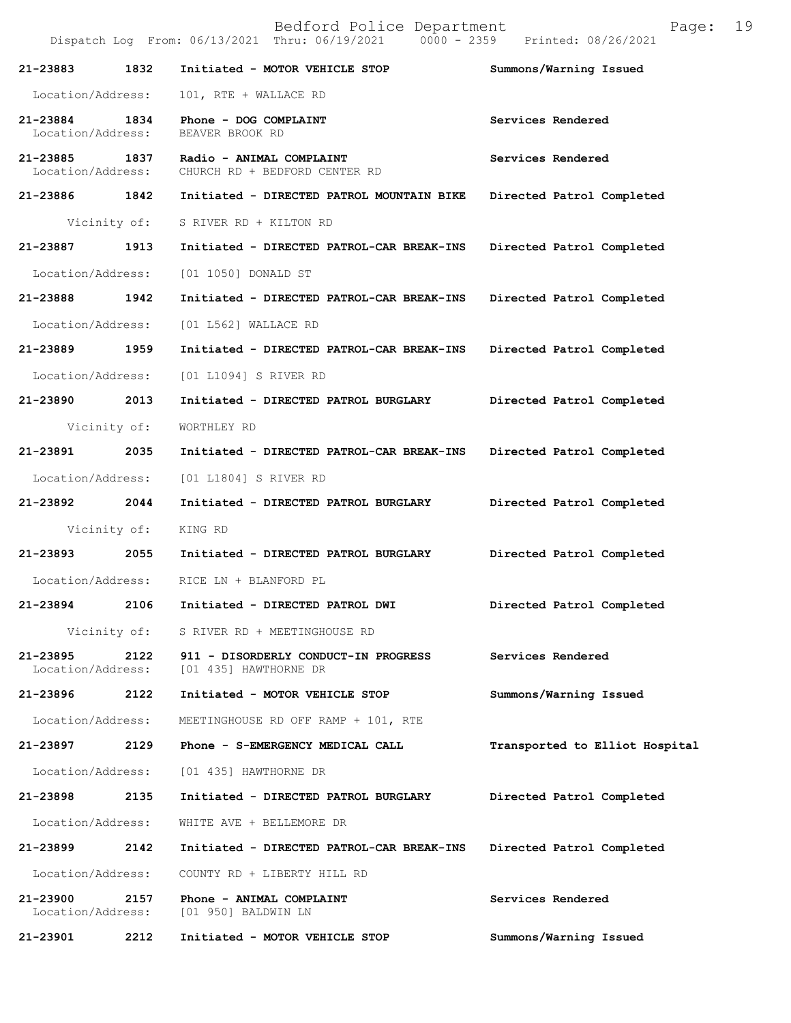| Bedford Police Department<br>Page:<br>Dispatch Log From: 06/13/2021 Thru: 06/19/2021 0000 - 2359 Printed: 08/26/2021 |              |                                                               |                                |
|----------------------------------------------------------------------------------------------------------------------|--------------|---------------------------------------------------------------|--------------------------------|
| 21-23883                                                                                                             | 1832         | Initiated - MOTOR VEHICLE STOP                                | Summons/Warning Issued         |
| Location/Address:                                                                                                    |              | 101, RTE + WALLACE RD                                         |                                |
| 21-23884<br>Location/Address:                                                                                        | 1834         | Phone - DOG COMPLAINT<br>BEAVER BROOK RD                      | Services Rendered              |
| 21-23885<br>Location/Address:                                                                                        | 1837         | Radio - ANIMAL COMPLAINT<br>CHURCH RD + BEDFORD CENTER RD     | Services Rendered              |
| 21-23886 1842                                                                                                        |              | Initiated - DIRECTED PATROL MOUNTAIN BIKE                     | Directed Patrol Completed      |
|                                                                                                                      | Vicinity of: | S RIVER RD + KILTON RD                                        |                                |
| 21-23887                                                                                                             | 1913         | Initiated - DIRECTED PATROL-CAR BREAK-INS                     | Directed Patrol Completed      |
| Location/Address:                                                                                                    |              | [01 1050] DONALD ST                                           |                                |
| 21-23888                                                                                                             | 1942         | Initiated - DIRECTED PATROL-CAR BREAK-INS                     | Directed Patrol Completed      |
| Location/Address:                                                                                                    |              | [01 L562] WALLACE RD                                          |                                |
| 21-23889                                                                                                             | 1959         | Initiated - DIRECTED PATROL-CAR BREAK-INS                     | Directed Patrol Completed      |
| Location/Address:                                                                                                    |              | [01 L1094] S RIVER RD                                         |                                |
| 21-23890                                                                                                             | 2013         | Initiated - DIRECTED PATROL BURGLARY                          | Directed Patrol Completed      |
| Vicinity of:                                                                                                         |              | WORTHLEY RD                                                   |                                |
| 21-23891                                                                                                             | 2035         | Initiated - DIRECTED PATROL-CAR BREAK-INS                     | Directed Patrol Completed      |
| Location/Address:                                                                                                    |              | [01 L1804] S RIVER RD                                         |                                |
| 21-23892                                                                                                             | 2044         | Initiated - DIRECTED PATROL BURGLARY                          | Directed Patrol Completed      |
|                                                                                                                      | Vicinity of: | KING RD                                                       |                                |
| 21-23893                                                                                                             | 2055         | Initiated - DIRECTED PATROL BURGLARY                          | Directed Patrol Completed      |
| Location/Address:                                                                                                    |              | RICE LN + BLANFORD PL                                         |                                |
| 21-23894                                                                                                             | 2106         | Initiated - DIRECTED PATROL DWI                               | Directed Patrol Completed      |
| Vicinity of:                                                                                                         |              | S RIVER RD + MEETINGHOUSE RD                                  |                                |
| 21-23895<br>Location/Address:                                                                                        | 2122         | 911 - DISORDERLY CONDUCT-IN PROGRESS<br>[01 435] HAWTHORNE DR | Services Rendered              |
| 21-23896                                                                                                             | 2122         | Initiated - MOTOR VEHICLE STOP                                | Summons/Warning Issued         |
| Location/Address:                                                                                                    |              | MEETINGHOUSE RD OFF RAMP + 101, RTE                           |                                |
| 21-23897                                                                                                             | 2129         | Phone - S-EMERGENCY MEDICAL CALL                              | Transported to Elliot Hospital |
| Location/Address:                                                                                                    |              | [01 435] HAWTHORNE DR                                         |                                |
| 21-23898                                                                                                             | 2135         | Initiated - DIRECTED PATROL BURGLARY                          | Directed Patrol Completed      |
| Location/Address:                                                                                                    |              | WHITE AVE + BELLEMORE DR                                      |                                |
| 21-23899                                                                                                             | 2142         | Initiated - DIRECTED PATROL-CAR BREAK-INS                     | Directed Patrol Completed      |
| Location/Address:                                                                                                    |              | COUNTY RD + LIBERTY HILL RD                                   |                                |
| 21-23900<br>Location/Address:                                                                                        | 2157         | Phone - ANIMAL COMPLAINT<br>[01 950] BALDWIN LN               | Services Rendered              |
| 21-23901                                                                                                             | 2212         | Initiated - MOTOR VEHICLE STOP                                | Summons/Warning Issued         |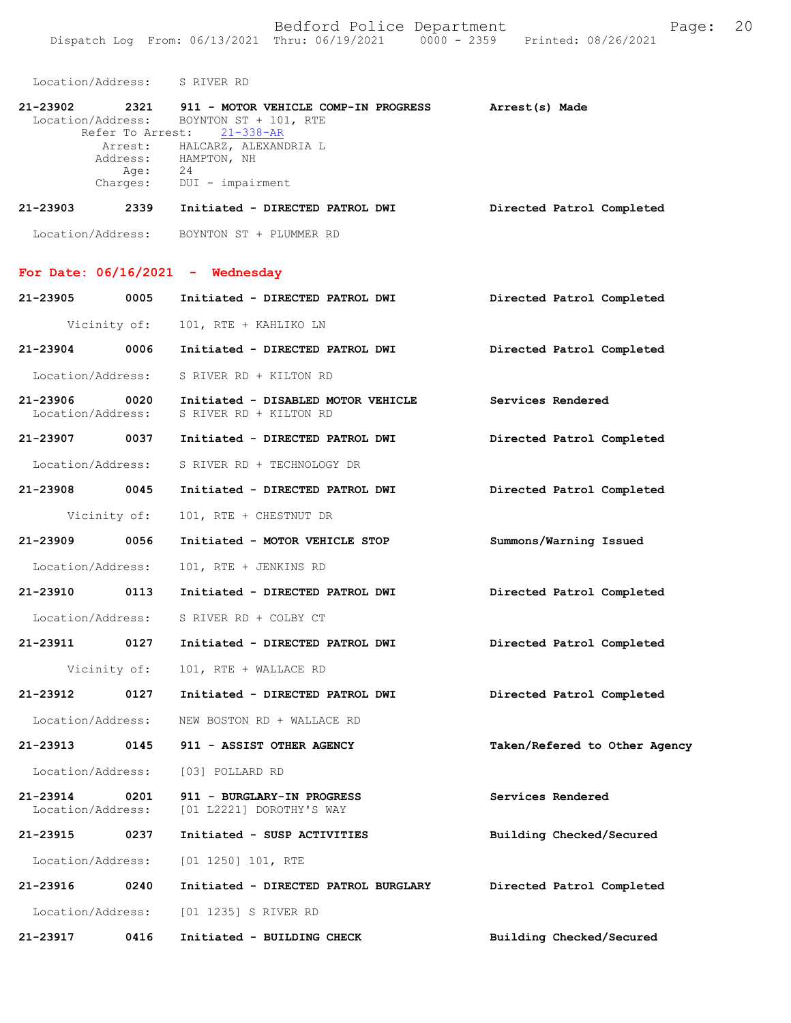Location/Address: S RIVER RD

| 21-23902 | 2321     | 911 - MOTOR VEHICLE COMP-IN PROGRESS    | Arrest(s) Made |                           |
|----------|----------|-----------------------------------------|----------------|---------------------------|
|          |          | Location/Address: BOYNTON ST + 101, RTE |                |                           |
|          |          | Refer To Arrest: 21-338-AR              |                |                           |
|          |          | Arrest: HALCARZ, ALEXANDRIA L           |                |                           |
|          | Address: | HAMPTON, NH                             |                |                           |
|          | Age:     | 24                                      |                |                           |
|          | Charges: | DUI - impairment                        |                |                           |
| 21-23903 | 2339     | Initiated - DIRECTED PATROL DWI         |                | Directed Patrol Completed |

Location/Address: BOYNTON ST + PLUMMER RD

## **For Date: 06/16/2021 - Wednesday**

| 21-23905                           | 0005 | Initiated - DIRECTED PATROL DWI                                            | Directed Patrol Completed     |
|------------------------------------|------|----------------------------------------------------------------------------|-------------------------------|
| Vicinity of:                       |      | 101, RTE + KAHLIKO LN                                                      |                               |
| 21-23904 0006                      |      | Initiated - DIRECTED PATROL DWI                                            | Directed Patrol Completed     |
| Location/Address:                  |      | S RIVER RD + KILTON RD                                                     |                               |
| Location/Address:                  |      | 21-23906 0020 Initiated - DISABLED MOTOR VEHICLE<br>S RIVER RD + KILTON RD | Services Rendered             |
|                                    |      | 21-23907 0037 Initiated - DIRECTED PATROL DWI                              | Directed Patrol Completed     |
| Location/Address:                  |      | S RIVER RD + TECHNOLOGY DR                                                 |                               |
| 21-23908 0045                      |      | Initiated - DIRECTED PATROL DWI                                            | Directed Patrol Completed     |
| Vicinity of:                       |      | 101, RTE + CHESTNUT DR                                                     |                               |
| 21-23909 0056                      |      | Initiated - MOTOR VEHICLE STOP                                             | Summons/Warning Issued        |
| Location/Address:                  |      | 101, RTE + JENKINS RD                                                      |                               |
| 21-23910 0113                      |      | Initiated - DIRECTED PATROL DWI                                            | Directed Patrol Completed     |
| Location/Address:                  |      | S RIVER RD + COLBY CT                                                      |                               |
| 21-23911 0127                      |      | Initiated - DIRECTED PATROL DWI                                            | Directed Patrol Completed     |
| Vicinity of:                       |      | 101, RTE + WALLACE RD                                                      |                               |
| 21-23912 0127                      |      | Initiated - DIRECTED PATROL DWI                                            | Directed Patrol Completed     |
| Location/Address:                  |      | NEW BOSTON RD + WALLACE RD                                                 |                               |
| 21-23913 0145                      |      | 911 - ASSIST OTHER AGENCY                                                  | Taken/Refered to Other Agency |
| Location/Address:                  |      | [03] POLLARD RD                                                            |                               |
| 21-23914 0201<br>Location/Address: |      | 911 - BURGLARY-IN PROGRESS<br>[01 L2221] DOROTHY'S WAY                     | Services Rendered             |
| 21-23915 0237                      |      | Initiated - SUSP ACTIVITIES                                                | Building Checked/Secured      |
| Location/Address:                  |      | $[01 1250] 101$ , RTE                                                      |                               |
| 21-23916 0240                      |      | Initiated - DIRECTED PATROL BURGLARY Directed Patrol Completed             |                               |
|                                    |      | Location/Address: [01 1235] S RIVER RD                                     |                               |
| 21-23917 0416                      |      | Initiated - BUILDING CHECK                                                 | Building Checked/Secured      |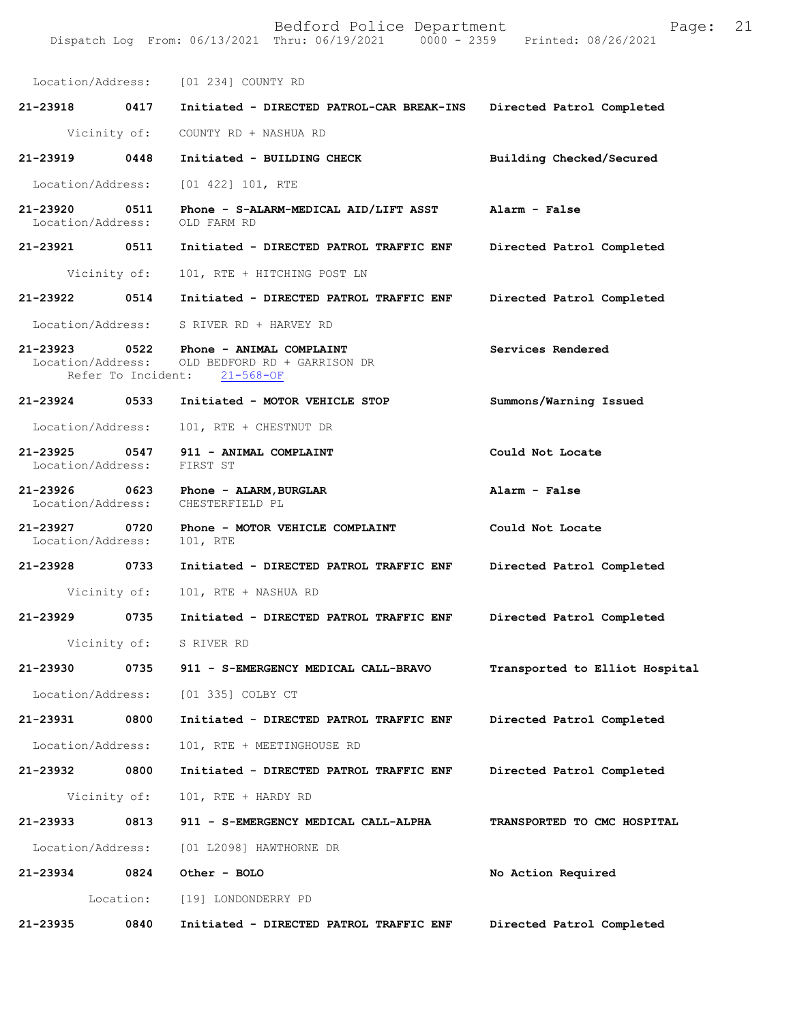|                                    |                    | Location/Address: [01 234] COUNTY RD                                                      |                                |
|------------------------------------|--------------------|-------------------------------------------------------------------------------------------|--------------------------------|
| 21-23918                           | 0417               | Initiated - DIRECTED PATROL-CAR BREAK-INS                                                 | Directed Patrol Completed      |
|                                    | Vicinity of:       | COUNTY RD + NASHUA RD                                                                     |                                |
| 21-23919                           | 0448               | Initiated - BUILDING CHECK                                                                | Building Checked/Secured       |
| Location/Address:                  |                    | [01 422] 101, RTE                                                                         |                                |
| 21-23920<br>Location/Address:      | 0511               | Phone - S-ALARM-MEDICAL AID/LIFT ASST<br>OLD FARM RD                                      | Alarm - False                  |
| 21-23921                           | 0511               | Initiated - DIRECTED PATROL TRAFFIC ENF                                                   | Directed Patrol Completed      |
|                                    | Vicinity of:       | 101, RTE + HITCHING POST LN                                                               |                                |
| 21-23922                           | 0514               | Initiated - DIRECTED PATROL TRAFFIC ENF                                                   | Directed Patrol Completed      |
| Location/Address:                  |                    | S RIVER RD + HARVEY RD                                                                    |                                |
| Location/Address:                  | Refer To Incident: | 21-23923 0522 Phone - ANIMAL COMPLAINT<br>OLD BEDFORD RD + GARRISON DR<br>$21 - 568 - OF$ | Services Rendered              |
| 21-23924 0533                      |                    | Initiated - MOTOR VEHICLE STOP                                                            | Summons/Warning Issued         |
| Location/Address:                  |                    | 101, RTE + CHESTNUT DR                                                                    |                                |
| 21-23925 0547<br>Location/Address: |                    | 911 - ANIMAL COMPLAINT<br>FIRST ST                                                        | Could Not Locate               |
| 21-23926 0623<br>Location/Address: |                    | Phone - ALARM, BURGLAR<br>CHESTERFIELD PL                                                 | Alarm - False                  |
| 21-23927<br>Location/Address:      | 0720               | Phone - MOTOR VEHICLE COMPLAINT<br>101, RTE                                               | Could Not Locate               |
| 21-23928                           | 0733               | Initiated - DIRECTED PATROL TRAFFIC ENF                                                   | Directed Patrol Completed      |
|                                    | Vicinity of:       | 101, RTE + NASHUA RD                                                                      |                                |
| 21-23929                           | 0735               | Initiated - DIRECTED PATROL TRAFFIC ENF                                                   | Directed Patrol Completed      |
|                                    | Vicinity of:       | S RIVER RD                                                                                |                                |
| 21-23930                           | 0735               | 911 - S-EMERGENCY MEDICAL CALL-BRAVO                                                      | Transported to Elliot Hospital |
|                                    |                    | Location/Address: [01 335] COLBY CT                                                       |                                |
| 21-23931                           | 0800               | Initiated - DIRECTED PATROL TRAFFIC ENF                                                   | Directed Patrol Completed      |
| Location/Address:                  |                    | 101, RTE + MEETINGHOUSE RD                                                                |                                |
| 21-23932                           | 0800               | Initiated - DIRECTED PATROL TRAFFIC ENF                                                   | Directed Patrol Completed      |
|                                    | Vicinity of:       | 101, RTE + HARDY RD                                                                       |                                |
| 21-23933                           | 0813               | 911 - S-EMERGENCY MEDICAL CALL-ALPHA                                                      | TRANSPORTED TO CMC HOSPITAL    |
|                                    |                    | Location/Address: [01 L2098] HAWTHORNE DR                                                 |                                |
| 21-23934                           | 0824               | Other - BOLO                                                                              | No Action Required             |
|                                    |                    | Location: [19] LONDONDERRY PD                                                             |                                |
| 21-23935                           | 0840               | Initiated - DIRECTED PATROL TRAFFIC ENF                                                   | Directed Patrol Completed      |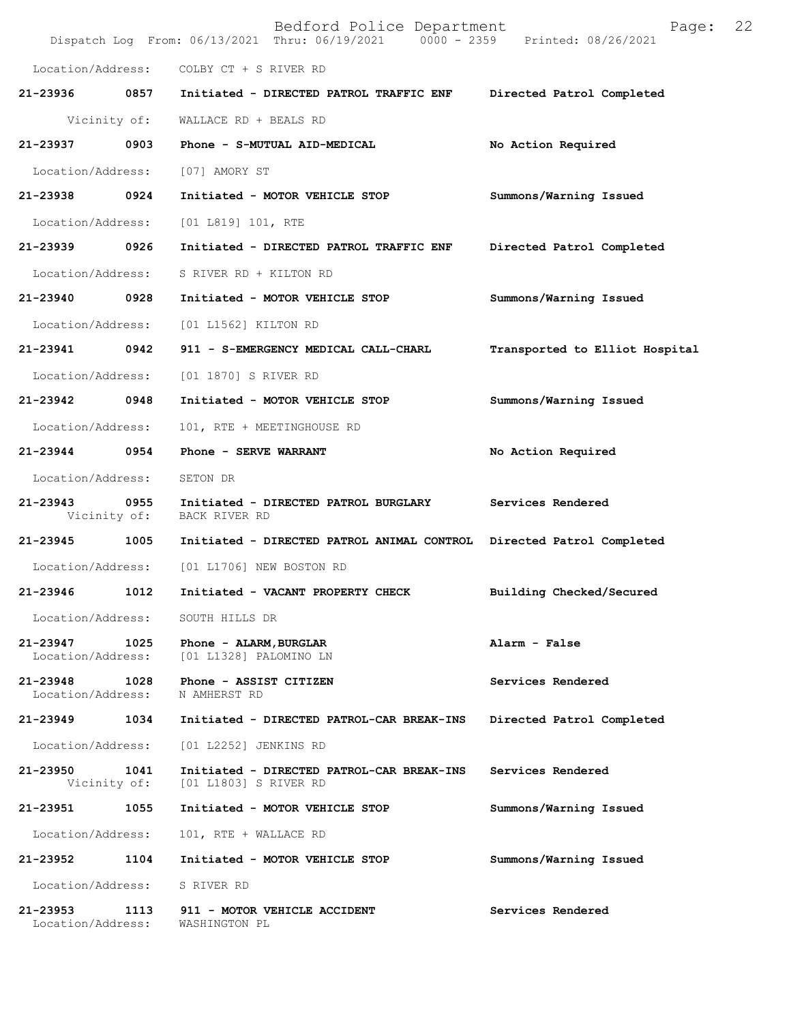| 21-23953<br>Location/Address: | 1113 | 911 - MOTOR VEHICLE ACCIDENT<br>WASHINGTON PL                                                               | Services Rendered              |    |
|-------------------------------|------|-------------------------------------------------------------------------------------------------------------|--------------------------------|----|
| Location/Address:             |      | S RIVER RD                                                                                                  |                                |    |
| 21-23952                      | 1104 | Initiated - MOTOR VEHICLE STOP                                                                              | Summons/Warning Issued         |    |
| Location/Address:             |      | 101, RTE + WALLACE RD                                                                                       |                                |    |
| 21-23951                      | 1055 | Initiated - MOTOR VEHICLE STOP                                                                              | Summons/Warning Issued         |    |
| 21-23950<br>Vicinity of:      | 1041 | Initiated - DIRECTED PATROL-CAR BREAK-INS<br>[01 L1803] S RIVER RD                                          | Services Rendered              |    |
| Location/Address:             |      | [01 L2252] JENKINS RD                                                                                       |                                |    |
| 21-23949                      | 1034 | Initiated - DIRECTED PATROL-CAR BREAK-INS                                                                   | Directed Patrol Completed      |    |
| 21-23948<br>Location/Address: | 1028 | Phone - ASSIST CITIZEN<br>N AMHERST RD                                                                      | Services Rendered              |    |
| 21-23947<br>Location/Address: | 1025 | Phone - ALARM, BURGLAR<br>[01 L1328] PALOMINO LN                                                            | Alarm - False                  |    |
| Location/Address:             |      | SOUTH HILLS DR                                                                                              |                                |    |
| 21-23946                      | 1012 | Initiated - VACANT PROPERTY CHECK                                                                           | Building Checked/Secured       |    |
| Location/Address:             |      | [01 L1706] NEW BOSTON RD                                                                                    |                                |    |
| 21-23945                      | 1005 | Initiated - DIRECTED PATROL ANIMAL CONTROL                                                                  | Directed Patrol Completed      |    |
| 21-23943<br>Vicinity of:      | 0955 | Initiated - DIRECTED PATROL BURGLARY<br>BACK RIVER RD                                                       | Services Rendered              |    |
| Location/Address:             |      | SETON DR                                                                                                    |                                |    |
| 21-23944                      | 0954 | Phone - SERVE WARRANT                                                                                       | No Action Required             |    |
| Location/Address:             |      | 101, RTE + MEETINGHOUSE RD                                                                                  |                                |    |
| 21-23942 0948                 |      | Initiated - MOTOR VEHICLE STOP                                                                              | Summons/Warning Issued         |    |
| Location/Address:             |      | [01 1870] S RIVER RD                                                                                        |                                |    |
| 21-23941 0942                 |      | 911 - S-EMERGENCY MEDICAL CALL-CHARL                                                                        | Transported to Elliot Hospital |    |
| Location/Address:             |      | [01 L1562] KILTON RD                                                                                        |                                |    |
| 21-23940                      | 0928 | Initiated - MOTOR VEHICLE STOP                                                                              | Summons/Warning Issued         |    |
| Location/Address:             |      | S RIVER RD + KILTON RD                                                                                      |                                |    |
| 21-23939 0926                 |      | Initiated - DIRECTED PATROL TRAFFIC ENF                                                                     | Directed Patrol Completed      |    |
| Location/Address:             |      | [01 L819] 101, RTE                                                                                          |                                |    |
| 21-23938 0924                 |      | Initiated - MOTOR VEHICLE STOP                                                                              | Summons/Warning Issued         |    |
| Location/Address:             |      | [07] AMORY ST                                                                                               |                                |    |
| 21-23937                      | 0903 | Phone - S-MUTUAL AID-MEDICAL                                                                                | No Action Required             |    |
| Vicinity of:                  |      | WALLACE RD + BEALS RD                                                                                       |                                |    |
| 21-23936                      | 0857 | Initiated - DIRECTED PATROL TRAFFIC ENF                                                                     | Directed Patrol Completed      |    |
| Location/Address:             |      | COLBY CT + S RIVER RD                                                                                       |                                |    |
|                               |      | Bedford Police Department<br>Dispatch Log From: 06/13/2021 Thru: 06/19/2021 0000 - 2359 Printed: 08/26/2021 | Page:                          | 22 |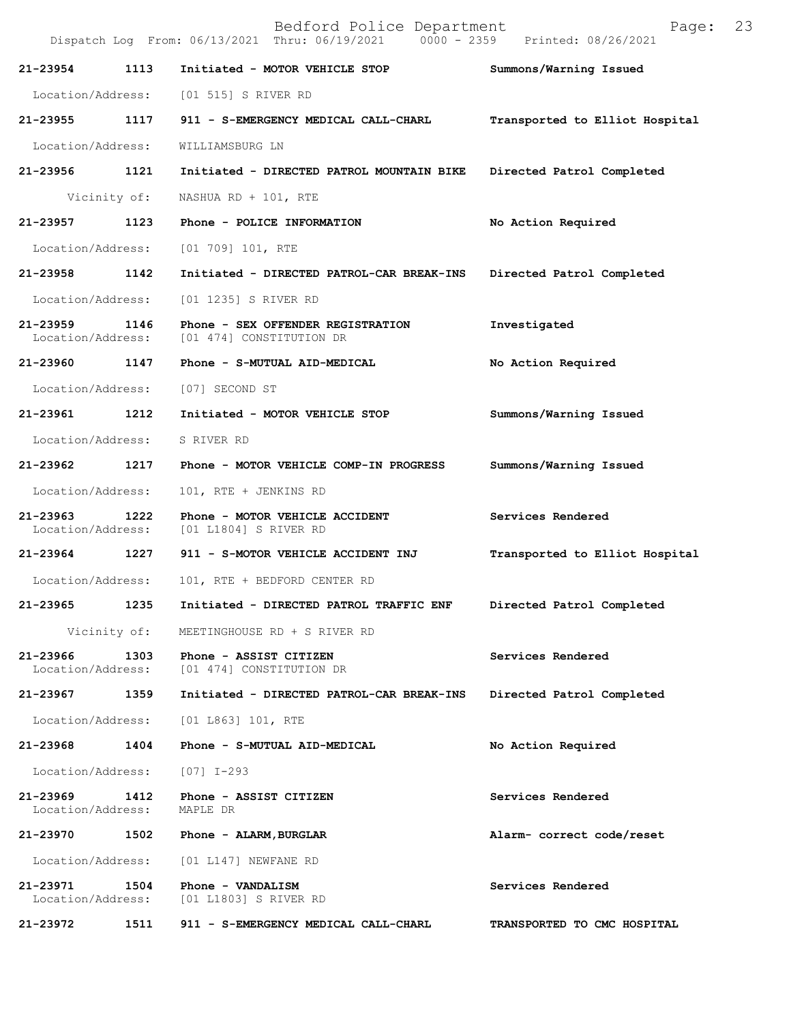Bedford Police Department Page: 23 Dispatch Log From: 06/13/2021 Thru: 06/19/2021 **21-23954 1113 Initiated - MOTOR VEHICLE STOP Summons/Warning Issued**  Location/Address: [01 515] S RIVER RD **21-23955 1117 911 - S-EMERGENCY MEDICAL CALL-CHARL Transported to Elliot Hospital** Location/Address: WILLIAMSBURG LN **21-23956 1121 Initiated - DIRECTED PATROL MOUNTAIN BIKE Directed Patrol Completed**  Vicinity of: NASHUA RD + 101, RTE **21-23957 1123 Phone - POLICE INFORMATION No Action Required**  Location/Address: [01 709] 101, RTE **21-23958 1142 Initiated - DIRECTED PATROL-CAR BREAK-INS Directed Patrol Completed**  Location/Address: [01 1235] S RIVER RD **21-23959 1146 Phone - SEX OFFENDER REGISTRATION Investigated**  [01 474] CONSTITUTION DR **21-23960 1147 Phone - S-MUTUAL AID-MEDICAL No Action Required**  Location/Address: [07] SECOND ST **21-23961 1212 Initiated - MOTOR VEHICLE STOP Summons/Warning Issued**  Location/Address: S RIVER RD **21-23962 1217 Phone - MOTOR VEHICLE COMP-IN PROGRESS Summons/Warning Issued**  Location/Address: 101, RTE + JENKINS RD **21-23963 1222 Phone - MOTOR VEHICLE ACCIDENT Services Rendered**  Location/Address: [01 L1804] S RIVER RD **21-23964 1227 911 - S-MOTOR VEHICLE ACCIDENT INJ Transported to Elliot Hospital** Location/Address: 101, RTE + BEDFORD CENTER RD **21-23965 1235 Initiated - DIRECTED PATROL TRAFFIC ENF Directed Patrol Completed**  Vicinity of: MEETINGHOUSE RD + S RIVER RD 21-23966 1303 Phone - ASSIST CITIZEN Services Rendered Location/Address: [01 474] CONSTITUTION DR [01 474] CONSTITUTION DR **21-23967 1359 Initiated - DIRECTED PATROL-CAR BREAK-INS Directed Patrol Completed**  Location/Address: [01 L863] 101, RTE **21-23968 1404 Phone - S-MUTUAL AID-MEDICAL No Action Required**  Location/Address: [07] I-293 **21-23969 1412 Phone - ASSIST CITIZEN Services Rendered**  Location/Address: MAPLE DR **21-23970 1502 Phone - ALARM,BURGLAR Alarm- correct code/reset**  Location/Address: [01 L147] NEWFANE RD **21-23971 1504 Phone - VANDALISM Services Rendered**  Location/Address: [01 L1803] S RIVER RD

**21-23972 1511 911 - S-EMERGENCY MEDICAL CALL-CHARL TRANSPORTED TO CMC HOSPITAL**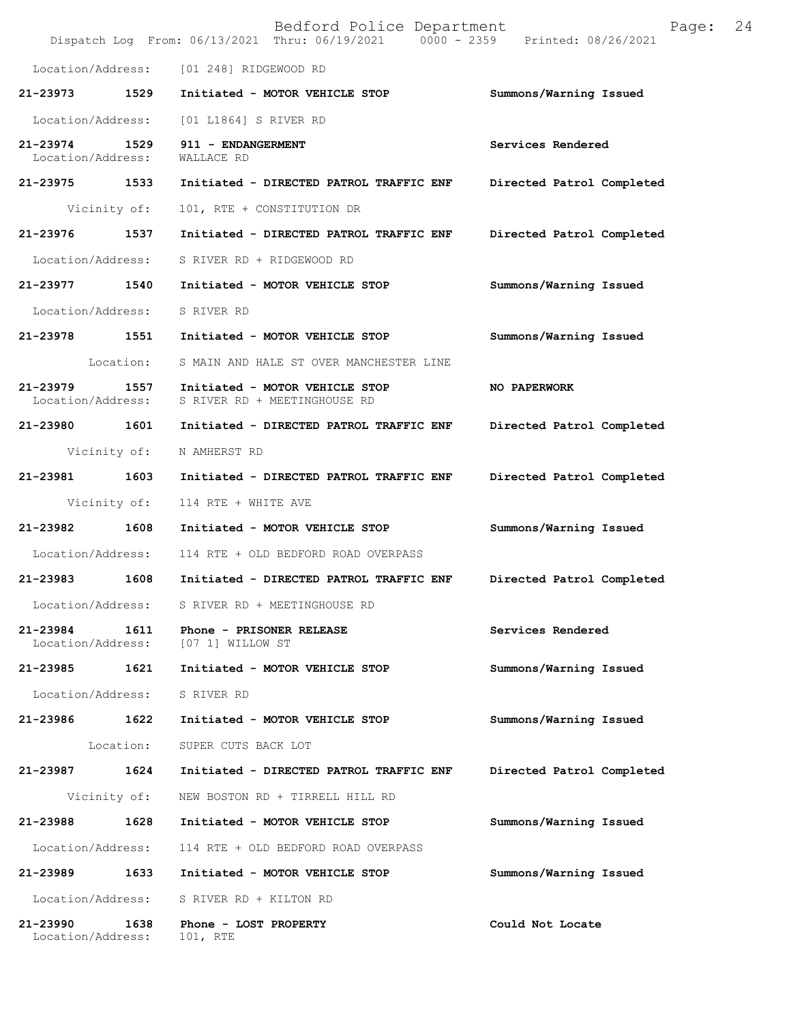|                                    |              | Bedford Police Department<br>Dispatch Log From: 06/13/2021 Thru: 06/19/2021 0000 - 2359 Printed: 08/26/2021 | Page:                     | 24 |
|------------------------------------|--------------|-------------------------------------------------------------------------------------------------------------|---------------------------|----|
|                                    |              | Location/Address: [01 248] RIDGEWOOD RD                                                                     |                           |    |
| 21-23973                           | 1529         | Initiated - MOTOR VEHICLE STOP                                                                              | Summons/Warning Issued    |    |
| Location/Address:                  |              | [01 L1864] S RIVER RD                                                                                       |                           |    |
| 21-23974 1529<br>Location/Address: |              | 911 - ENDANGERMENT<br>WALLACE RD                                                                            | Services Rendered         |    |
| 21-23975 1533                      |              | Initiated - DIRECTED PATROL TRAFFIC ENF                                                                     | Directed Patrol Completed |    |
|                                    | Vicinity of: | 101, RTE + CONSTITUTION DR                                                                                  |                           |    |
| 21-23976                           | 1537         | Initiated - DIRECTED PATROL TRAFFIC ENF                                                                     | Directed Patrol Completed |    |
| Location/Address:                  |              | S RIVER RD + RIDGEWOOD RD                                                                                   |                           |    |
| 21-23977 1540                      |              | Initiated - MOTOR VEHICLE STOP                                                                              | Summons/Warning Issued    |    |
| Location/Address:                  |              | S RIVER RD                                                                                                  |                           |    |
| 21-23978 1551                      |              | Initiated - MOTOR VEHICLE STOP                                                                              | Summons/Warning Issued    |    |
|                                    | Location:    | S MAIN AND HALE ST OVER MANCHESTER LINE                                                                     |                           |    |
| 21-23979 1557<br>Location/Address: |              | Initiated - MOTOR VEHICLE STOP<br>S RIVER RD + MEETINGHOUSE RD                                              | <b>NO PAPERWORK</b>       |    |
| 21-23980 1601                      |              | Initiated - DIRECTED PATROL TRAFFIC ENF                                                                     | Directed Patrol Completed |    |
|                                    | Vicinity of: | N AMHERST RD                                                                                                |                           |    |
| 21-23981 1603                      |              | Initiated - DIRECTED PATROL TRAFFIC ENF                                                                     | Directed Patrol Completed |    |
|                                    | Vicinity of: | 114 RTE + WHITE AVE                                                                                         |                           |    |
| 21-23982                           | 1608         | Initiated - MOTOR VEHICLE STOP                                                                              | Summons/Warning Issued    |    |
| Location/Address:                  |              | 114 RTE + OLD BEDFORD ROAD OVERPASS                                                                         |                           |    |
| 21-23983                           | 1608         | Initiated - DIRECTED PATROL TRAFFIC ENF                                                                     | Directed Patrol Completed |    |
| Location/Address:                  |              | S RIVER RD + MEETINGHOUSE RD                                                                                |                           |    |
| 21-23984<br>Location/Address:      | 1611         | Phone - PRISONER RELEASE<br>[07 1] WILLOW ST                                                                | Services Rendered         |    |
| 21-23985                           | 1621         | Initiated - MOTOR VEHICLE STOP                                                                              | Summons/Warning Issued    |    |
| Location/Address:                  |              | S RIVER RD                                                                                                  |                           |    |
| 21-23986                           | 1622         | Initiated - MOTOR VEHICLE STOP                                                                              | Summons/Warning Issued    |    |
|                                    | Location:    | SUPER CUTS BACK LOT                                                                                         |                           |    |
| 21-23987                           | 1624         | Initiated - DIRECTED PATROL TRAFFIC ENF                                                                     | Directed Patrol Completed |    |
|                                    | Vicinity of: | NEW BOSTON RD + TIRRELL HILL RD                                                                             |                           |    |
| 21-23988                           | 1628         | Initiated - MOTOR VEHICLE STOP                                                                              | Summons/Warning Issued    |    |
| Location/Address:                  |              | 114 RTE + OLD BEDFORD ROAD OVERPASS                                                                         |                           |    |
| 21-23989                           | 1633         | Initiated - MOTOR VEHICLE STOP                                                                              | Summons/Warning Issued    |    |
| Location/Address:                  |              | S RIVER RD + KILTON RD                                                                                      |                           |    |
| 21-23990<br>Location/Address:      | 1638         | Phone - LOST PROPERTY<br>101, RTE                                                                           | Could Not Locate          |    |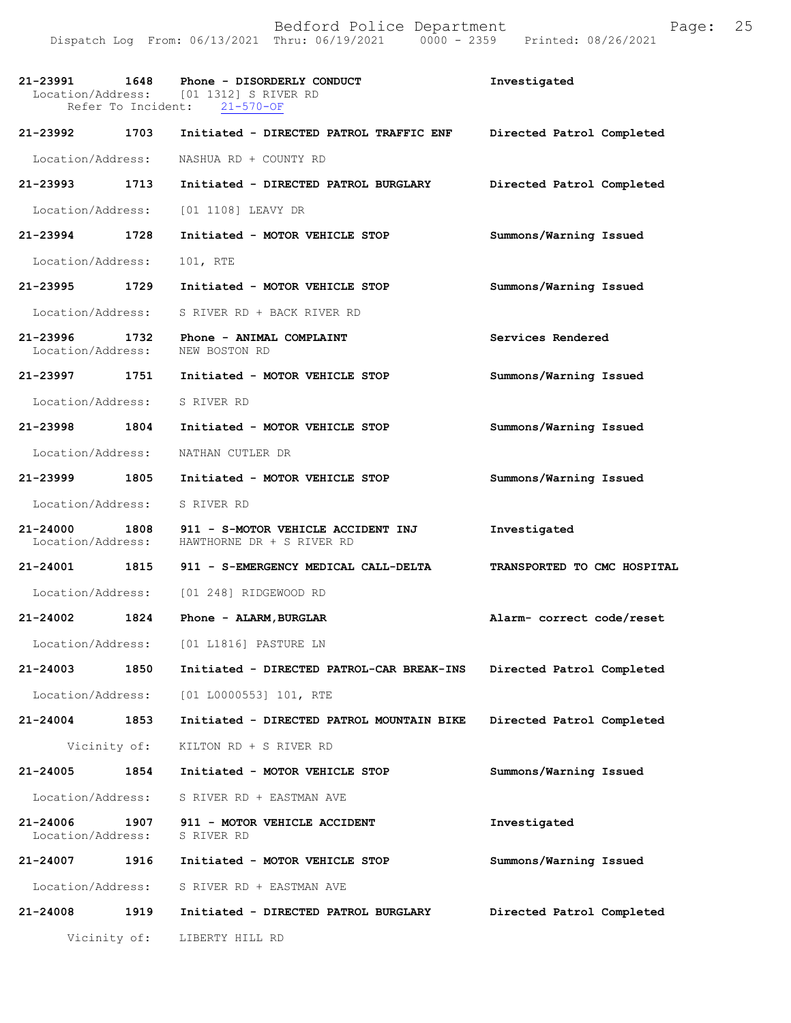Dispatch Log From: 06/13/2021 Thru: 06/19/2021 0000 - 2359 Printed: 08/26/2021

|                                    |              | 21-23991 1648 Phone - DISORDERLY CONDUCT<br>Location/Address: [01 1312] S RIVER RD<br>Refer To Incident: 21-570-OF | Investigated                |
|------------------------------------|--------------|--------------------------------------------------------------------------------------------------------------------|-----------------------------|
| 21-23992 1703                      |              | Initiated - DIRECTED PATROL TRAFFIC ENF                                                                            | Directed Patrol Completed   |
|                                    |              | Location/Address: NASHUA RD + COUNTY RD                                                                            |                             |
| 21-23993 1713                      |              | Initiated - DIRECTED PATROL BURGLARY                                                                               | Directed Patrol Completed   |
| Location/Address:                  |              | [01 1108] LEAVY DR                                                                                                 |                             |
| 21-23994 1728                      |              | Initiated - MOTOR VEHICLE STOP                                                                                     | Summons/Warning Issued      |
| Location/Address:                  |              | 101, RTE                                                                                                           |                             |
| 21-23995 1729                      |              | Initiated - MOTOR VEHICLE STOP                                                                                     | Summons/Warning Issued      |
| Location/Address:                  |              | S RIVER RD + BACK RIVER RD                                                                                         |                             |
| 21-23996 1732<br>Location/Address: |              | Phone - ANIMAL COMPLAINT<br>NEW BOSTON RD                                                                          | Services Rendered           |
|                                    |              | 21-23997 1751 Initiated - MOTOR VEHICLE STOP                                                                       | Summons/Warning Issued      |
| Location/Address: S RIVER RD       |              |                                                                                                                    |                             |
| 21-23998 1804                      |              | Initiated - MOTOR VEHICLE STOP                                                                                     | Summons/Warning Issued      |
| Location/Address:                  |              | NATHAN CUTLER DR                                                                                                   |                             |
| 21-23999 1805                      |              | Initiated - MOTOR VEHICLE STOP                                                                                     | Summons/Warning Issued      |
| Location/Address: S RIVER RD       |              |                                                                                                                    |                             |
| 21-24000                           |              | 1808 911 - S-MOTOR VEHICLE ACCIDENT INJ<br>Location/Address: HAWTHORNE DR + S RIVER RD                             | Investigated                |
|                                    |              | 21-24001 1815 911 - S-EMERGENCY MEDICAL CALL-DELTA                                                                 | TRANSPORTED TO CMC HOSPITAL |
|                                    |              | Location/Address: [01 248] RIDGEWOOD RD                                                                            |                             |
| 21-24002 1824                      |              | Phone - ALARM, BURGLAR                                                                                             | Alarm- correct code/reset   |
|                                    |              | Location/Address: [01 L1816] PASTURE LN                                                                            |                             |
| 21-24003                           | 1850         | Initiated - DIRECTED PATROL-CAR BREAK-INS                                                                          | Directed Patrol Completed   |
| Location/Address:                  |              | $[01 L0000553] 101$ , RTE                                                                                          |                             |
| 21-24004                           | 1853         | Initiated - DIRECTED PATROL MOUNTAIN BIKE                                                                          | Directed Patrol Completed   |
| Vicinity of:                       |              | KILTON RD + S RIVER RD                                                                                             |                             |
| 21-24005                           | 1854         | Initiated - MOTOR VEHICLE STOP                                                                                     | Summons/Warning Issued      |
| Location/Address:                  |              | S RIVER RD + EASTMAN AVE                                                                                           |                             |
| 21-24006<br>Location/Address:      | 1907 - 190   | 911 - MOTOR VEHICLE ACCIDENT<br>S RIVER RD                                                                         | Investigated                |
| 21-24007                           | 1916         | Initiated - MOTOR VEHICLE STOP                                                                                     | Summons/Warning Issued      |
| Location/Address:                  |              | S RIVER RD + EASTMAN AVE                                                                                           |                             |
| 21-24008                           | 1919         | Initiated - DIRECTED PATROL BURGLARY                                                                               | Directed Patrol Completed   |
|                                    | Vicinity of: | LIBERTY HILL RD                                                                                                    |                             |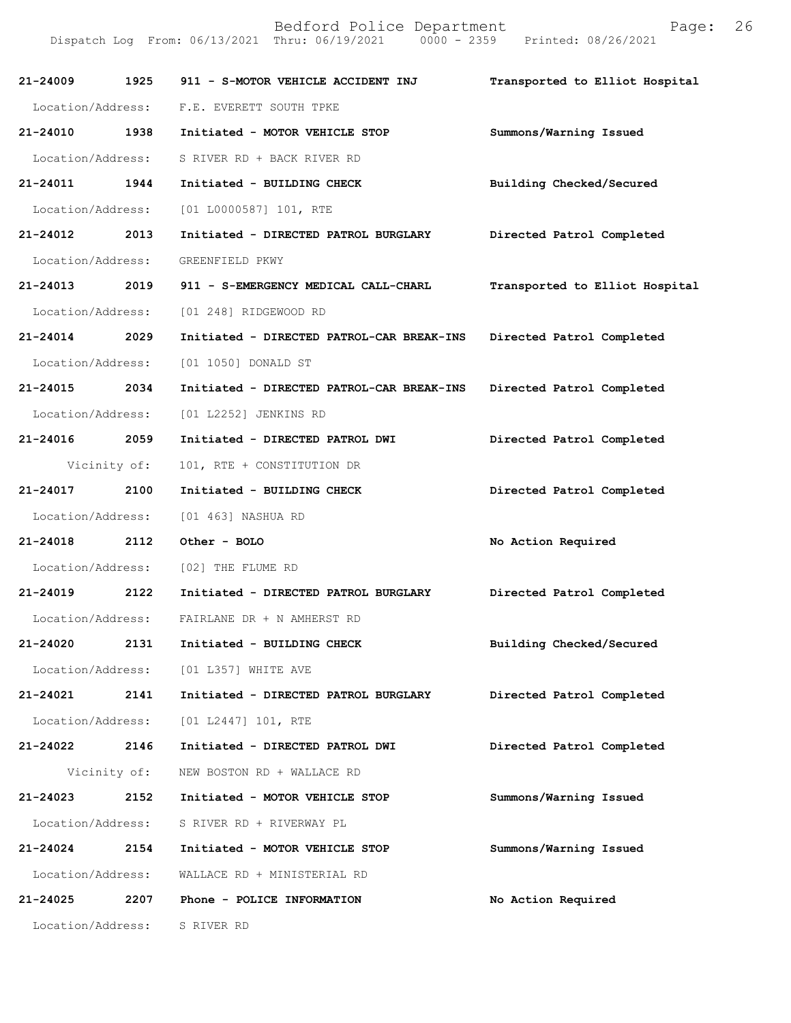| 21-24009          | 1925         | 911 - S-MOTOR VEHICLE ACCIDENT INJ        | Transported to Elliot Hospital |
|-------------------|--------------|-------------------------------------------|--------------------------------|
|                   |              | Location/Address: F.E. EVERETT SOUTH TPKE |                                |
| 21-24010          | 1938         | Initiated - MOTOR VEHICLE STOP            | Summons/Warning Issued         |
| Location/Address: |              | S RIVER RD + BACK RIVER RD                |                                |
| 21-24011          | 1944         | Initiated - BUILDING CHECK                | Building Checked/Secured       |
|                   |              | Location/Address: [01 L0000587] 101, RTE  |                                |
| $21 - 24012$      | 2013         | Initiated - DIRECTED PATROL BURGLARY      | Directed Patrol Completed      |
| Location/Address: |              | GREENFIELD PKWY                           |                                |
| $21 - 24013$      | 2019         | 911 - S-EMERGENCY MEDICAL CALL-CHARL      | Transported to Elliot Hospital |
| Location/Address: |              | [01 248] RIDGEWOOD RD                     |                                |
| 21-24014 2029     |              | Initiated - DIRECTED PATROL-CAR BREAK-INS | Directed Patrol Completed      |
| Location/Address: |              | [01 1050] DONALD ST                       |                                |
| 21-24015 2034     |              | Initiated - DIRECTED PATROL-CAR BREAK-INS | Directed Patrol Completed      |
| Location/Address: |              | [01 L2252] JENKINS RD                     |                                |
| 21-24016          | 2059         | Initiated - DIRECTED PATROL DWI           | Directed Patrol Completed      |
|                   | Vicinity of: | 101, RTE + CONSTITUTION DR                |                                |
| 21-24017          | 2100         | Initiated - BUILDING CHECK                | Directed Patrol Completed      |
| Location/Address: |              | [01 463] NASHUA RD                        |                                |
| 21-24018 2112     |              | Other - BOLO                              | No Action Required             |
| Location/Address: |              | [02] THE FLUME RD                         |                                |
| 21-24019 2122     |              | Initiated - DIRECTED PATROL BURGLARY      | Directed Patrol Completed      |
| Location/Address: |              | FAIRLANE DR + N AMHERST RD                |                                |
| 21-24020          | 2131         | Initiated - BUILDING CHECK                | Building Checked/Secured       |
| Location/Address: |              | [01 L357] WHITE AVE                       |                                |
| 21-24021          | 2141         | Initiated - DIRECTED PATROL BURGLARY      | Directed Patrol Completed      |
| Location/Address: |              | $[01 L2447] 101$ , RTE                    |                                |
| 21-24022          | 2146         | Initiated - DIRECTED PATROL DWI           | Directed Patrol Completed      |
|                   | Vicinity of: | NEW BOSTON RD + WALLACE RD                |                                |
| 21-24023          | 2152         | Initiated - MOTOR VEHICLE STOP            | Summons/Warning Issued         |
| Location/Address: |              | S RIVER RD + RIVERWAY PL                  |                                |
| 21-24024          | 2154         | Initiated - MOTOR VEHICLE STOP            | Summons/Warning Issued         |
| Location/Address: |              | WALLACE RD + MINISTERIAL RD               |                                |
| 21-24025          | 2207         | Phone - POLICE INFORMATION                | No Action Required             |
| Location/Address: |              | S RIVER RD                                |                                |
|                   |              |                                           |                                |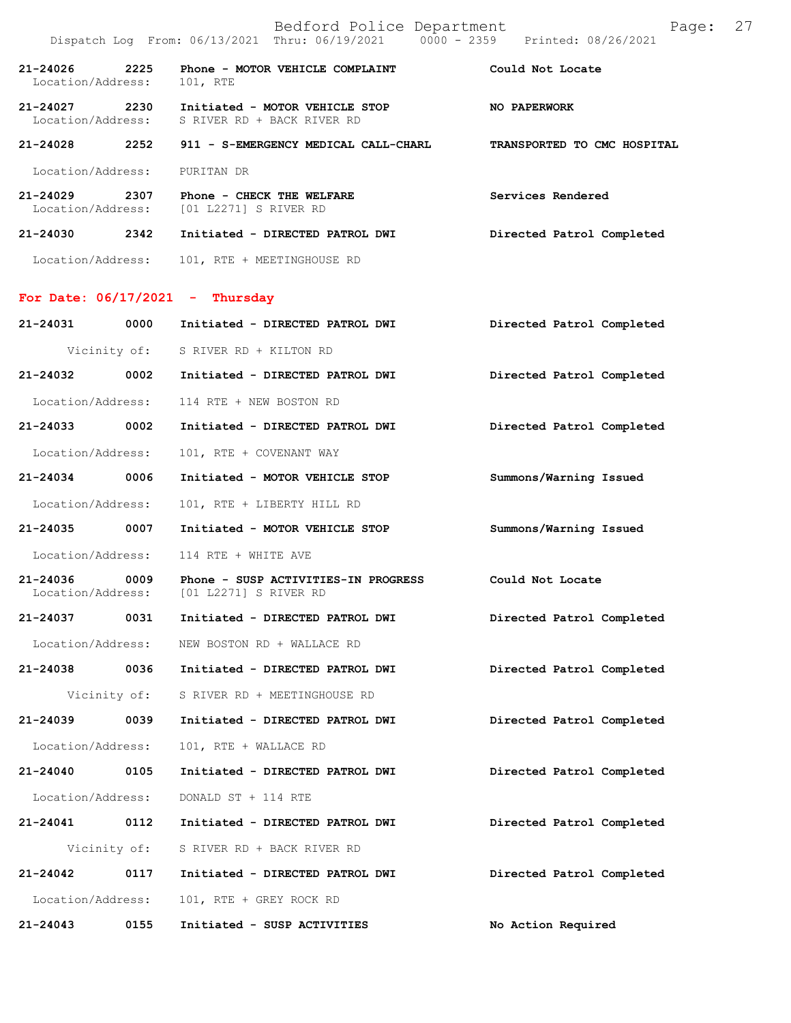|                               |              | Bedford Police Department<br>Dispatch Log From: 06/13/2021 Thru: 06/19/2021 0000 - 2359 Printed: 08/26/2021 | Page: 27                  |  |
|-------------------------------|--------------|-------------------------------------------------------------------------------------------------------------|---------------------------|--|
| 21-24026<br>Location/Address: | 2225         | Phone - MOTOR VEHICLE COMPLAINT The Could Not Locate<br>101, RTE                                            |                           |  |
|                               |              | 21-24027  2230    Initiated - MOTOR VEHICLE STOP<br>Location/Address: S RIVER RD + BACK RIVER RD            | <b>NO PAPERWORK</b>       |  |
|                               |              | 21-24028 2252 911 - S-EMERGENCY MEDICAL CALL-CHARL TRANSPORTED TO CMC HOSPITAL                              |                           |  |
| Location/Address:             |              | PURITAN DR                                                                                                  |                           |  |
|                               |              | 21-24029 2307 Phone - CHECK THE WELFARE<br>Location/Address: [01 L2271] S RIVER RD                          | Services Rendered         |  |
|                               |              | 21-24030 2342 Initiated - DIRECTED PATROL DWI Directed Patrol Completed                                     |                           |  |
|                               |              | Location/Address: 101, RTE + MEETINGHOUSE RD                                                                |                           |  |
|                               |              | For Date: $06/17/2021$ - Thursday                                                                           |                           |  |
|                               |              | 21-24031 0000 Initiated - DIRECTED PATROL DWI Directed Patrol Completed                                     |                           |  |
|                               |              | Vicinity of: S RIVER RD + KILTON RD                                                                         |                           |  |
|                               |              | 21-24032 0002 Initiated - DIRECTED PATROL DWI                                                               | Directed Patrol Completed |  |
| Location/Address:             |              | 114 RTE + NEW BOSTON RD                                                                                     |                           |  |
| 21-24033 0002                 |              | Initiated - DIRECTED PATROL DWI                                                                             | Directed Patrol Completed |  |
| Location/Address:             |              | 101, RTE + COVENANT WAY                                                                                     |                           |  |
| 21-24034 0006                 |              | Initiated - MOTOR VEHICLE STOP                                                                              | Summons/Warning Issued    |  |
| Location/Address:             |              | 101, RTE + LIBERTY HILL RD                                                                                  |                           |  |
|                               |              | 21-24035 0007 Initiated - MOTOR VEHICLE STOP                                                                | Summons/Warning Issued    |  |
| Location/Address:             |              | 114 RTE + WHITE AVE                                                                                         |                           |  |
| 21-24036 0009                 |              | Phone - SUSP ACTIVITIES-IN PROGRESS<br>Location/Address: [01 L2271] S RIVER RD                              | Could Not Locate          |  |
| 21-24037                      | 0031         | Initiated - DIRECTED PATROL DWI                                                                             | Directed Patrol Completed |  |
| Location/Address:             |              | NEW BOSTON RD + WALLACE RD                                                                                  |                           |  |
| 21-24038 0036                 |              | Initiated - DIRECTED PATROL DWI                                                                             | Directed Patrol Completed |  |
|                               | Vicinity of: | S RIVER RD + MEETINGHOUSE RD                                                                                |                           |  |
| 21-24039                      | 0039         | Initiated - DIRECTED PATROL DWI                                                                             | Directed Patrol Completed |  |
| Location/Address:             |              | 101, RTE + WALLACE RD                                                                                       |                           |  |
| 21-24040                      | 0105         | Initiated - DIRECTED PATROL DWI                                                                             | Directed Patrol Completed |  |

Location/Address: DONALD ST + 114 RTE

**21-24041 0112 Initiated - DIRECTED PATROL DWI Directed Patrol Completed**  Vicinity of: S RIVER RD + BACK RIVER RD **21-24042 0117 Initiated - DIRECTED PATROL DWI Directed Patrol Completed**  Location/Address: 101, RTE + GREY ROCK RD

**21-24043 0155 Initiated - SUSP ACTIVITIES No Action Required**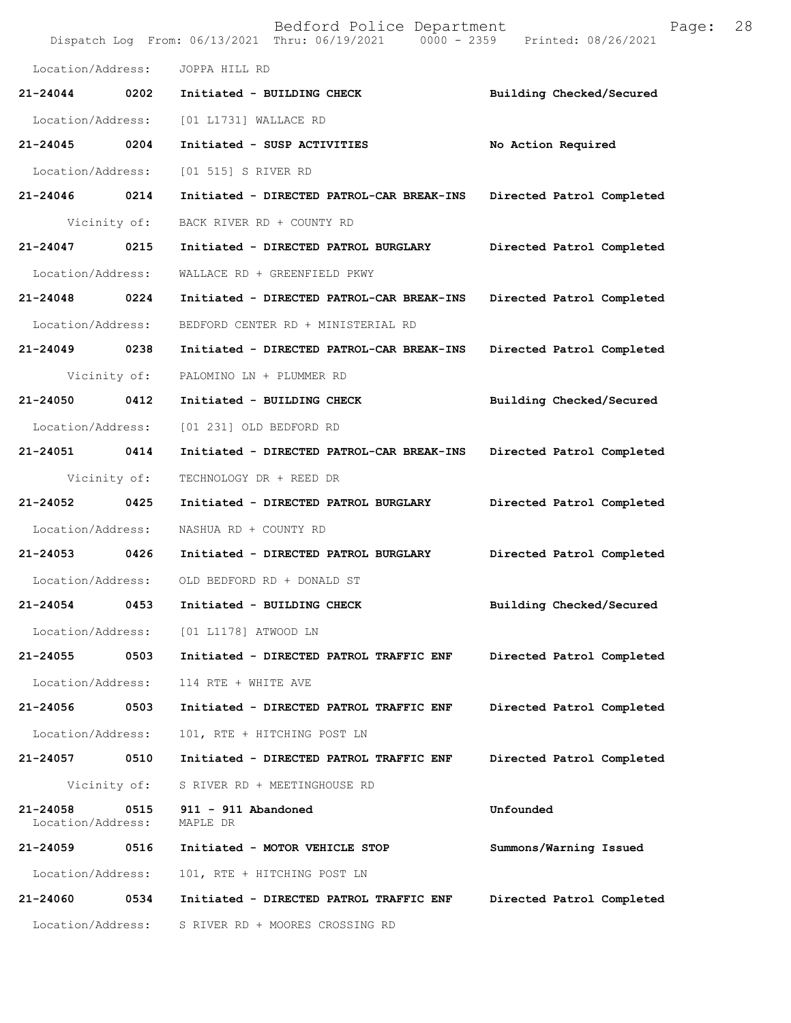|                               |              | Bedford Police Department<br>Dispatch Log From: 06/13/2021 Thru: 06/19/2021 0000 - 2359 Printed: 08/26/2021 | Page:                     | 28 |
|-------------------------------|--------------|-------------------------------------------------------------------------------------------------------------|---------------------------|----|
| Location/Address:             |              | JOPPA HILL RD                                                                                               |                           |    |
| 21-24044                      | 0202         | Initiated - BUILDING CHECK                                                                                  | Building Checked/Secured  |    |
| Location/Address:             |              | [01 L1731] WALLACE RD                                                                                       |                           |    |
| 21-24045                      | 0204         | Initiated - SUSP ACTIVITIES                                                                                 | No Action Required        |    |
| Location/Address:             |              | [01 515] S RIVER RD                                                                                         |                           |    |
| 21-24046 0214                 |              | Initiated - DIRECTED PATROL-CAR BREAK-INS                                                                   | Directed Patrol Completed |    |
|                               | Vicinity of: | BACK RIVER RD + COUNTY RD                                                                                   |                           |    |
| 21-24047                      | 0215         | Initiated - DIRECTED PATROL BURGLARY                                                                        | Directed Patrol Completed |    |
| Location/Address:             |              | WALLACE RD + GREENFIELD PKWY                                                                                |                           |    |
| 21-24048                      | 0224         | Initiated - DIRECTED PATROL-CAR BREAK-INS                                                                   | Directed Patrol Completed |    |
| Location/Address:             |              | BEDFORD CENTER RD + MINISTERIAL RD                                                                          |                           |    |
| 21-24049 0238                 |              | Initiated - DIRECTED PATROL-CAR BREAK-INS                                                                   | Directed Patrol Completed |    |
|                               | Vicinity of: | PALOMINO LN + PLUMMER RD                                                                                    |                           |    |
| 21-24050                      | 0412         | Initiated - BUILDING CHECK                                                                                  | Building Checked/Secured  |    |
| Location/Address:             |              | [01 231] OLD BEDFORD RD                                                                                     |                           |    |
| 21-24051                      | 0414         | Initiated - DIRECTED PATROL-CAR BREAK-INS                                                                   | Directed Patrol Completed |    |
| Vicinity of:                  |              | TECHNOLOGY DR + REED DR                                                                                     |                           |    |
| 21-24052                      | 0425         | Initiated - DIRECTED PATROL BURGLARY                                                                        | Directed Patrol Completed |    |
| Location/Address:             |              | NASHUA RD + COUNTY RD                                                                                       |                           |    |
| 21-24053 0426                 |              | Initiated - DIRECTED PATROL BURGLARY                                                                        | Directed Patrol Completed |    |
| Location/Address:             |              | OLD BEDFORD RD + DONALD ST                                                                                  |                           |    |
| 21-24054                      | 0453         | Initiated - BUILDING CHECK                                                                                  | Building Checked/Secured  |    |
| Location/Address:             |              | [01 L1178] ATWOOD LN                                                                                        |                           |    |
| 21-24055                      | 0503         | Initiated - DIRECTED PATROL TRAFFIC ENF                                                                     | Directed Patrol Completed |    |
| Location/Address:             |              | 114 RTE + WHITE AVE                                                                                         |                           |    |
| 21-24056                      | 0503         | Initiated - DIRECTED PATROL TRAFFIC ENF                                                                     | Directed Patrol Completed |    |
| Location/Address:             |              | 101, RTE + HITCHING POST LN                                                                                 |                           |    |
| 21-24057                      | 0510         | Initiated - DIRECTED PATROL TRAFFIC ENF                                                                     | Directed Patrol Completed |    |
|                               | Vicinity of: | S RIVER RD + MEETINGHOUSE RD                                                                                |                           |    |
| 21-24058<br>Location/Address: | 0515         | 911 - 911 Abandoned<br>MAPLE DR                                                                             | Unfounded                 |    |
| 21-24059                      | 0516         | Initiated - MOTOR VEHICLE STOP                                                                              | Summons/Warning Issued    |    |
| Location/Address:             |              | 101, RTE + HITCHING POST LN                                                                                 |                           |    |
| 21-24060                      | 0534         | Initiated - DIRECTED PATROL TRAFFIC ENF                                                                     | Directed Patrol Completed |    |
| Location/Address:             |              | S RIVER RD + MOORES CROSSING RD                                                                             |                           |    |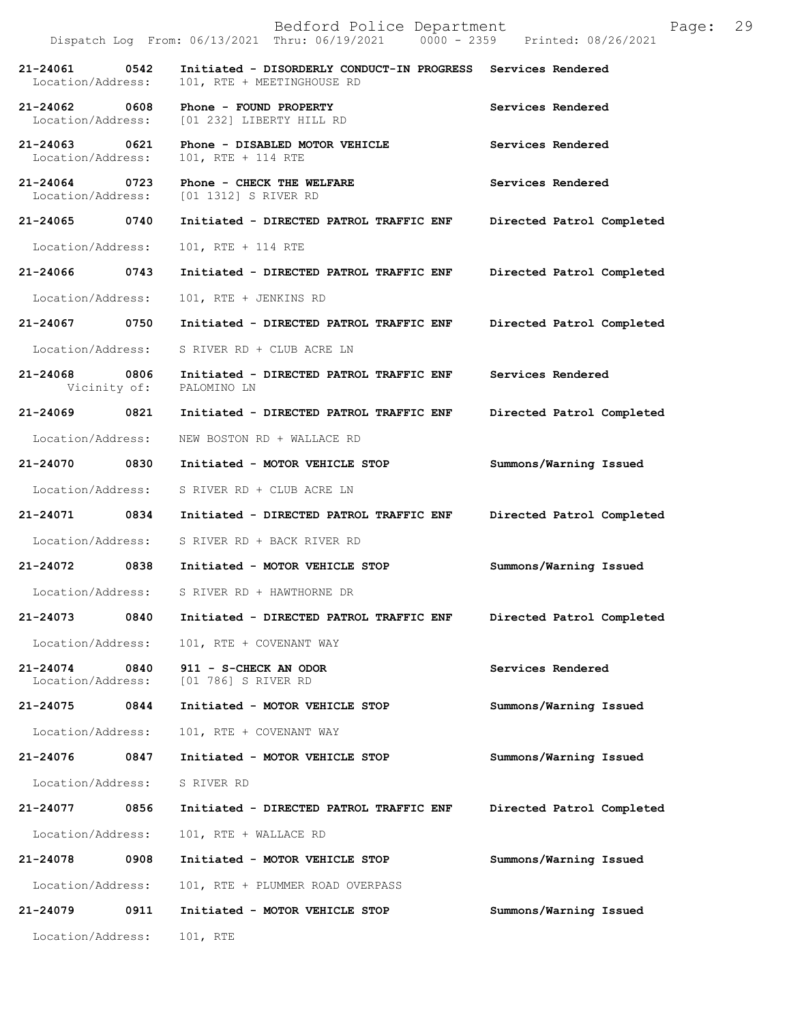|                                              | Dispatch Log From: 06/13/2021 Thru: 06/19/2021 0000 - 2359 Printed: 08/26/2021 |                           |
|----------------------------------------------|--------------------------------------------------------------------------------|---------------------------|
| 21-24061 0542<br>Location/Address:           | Initiated - DISORDERLY CONDUCT-IN PROGRESS<br>101, RTE + MEETINGHOUSE RD       | Services Rendered         |
| 21-24062<br>0608                             | Phone - FOUND PROPERTY<br>Location/Address: [01 232] LIBERTY HILL RD           | Services Rendered         |
| 21-24063 0621<br>Location/Address:           | Phone - DISABLED MOTOR VEHICLE<br>101, RTE + 114 RTE                           | Services Rendered         |
| 21-24064 0723<br>Location/Address:           | Phone - CHECK THE WELFARE<br>[01 1312] S RIVER RD                              | Services Rendered         |
| 21-24065 0740                                | Initiated - DIRECTED PATROL TRAFFIC ENF                                        | Directed Patrol Completed |
| Location/Address:                            | 101, RTE + 114 RTE                                                             |                           |
| 21-24066 0743                                | Initiated - DIRECTED PATROL TRAFFIC ENF                                        | Directed Patrol Completed |
| Location/Address:                            | 101, RTE + JENKINS RD                                                          |                           |
| 21-24067 0750                                | Initiated - DIRECTED PATROL TRAFFIC ENF                                        | Directed Patrol Completed |
| Location/Address:                            | S RIVER RD + CLUB ACRE LN                                                      |                           |
| 21-24068<br>0806<br>Vicinity of: PALOMINO LN | Initiated - DIRECTED PATROL TRAFFIC ENF                                        | Services Rendered         |
| 21-24069 0821                                | Initiated - DIRECTED PATROL TRAFFIC ENF                                        | Directed Patrol Completed |
| Location/Address:                            | NEW BOSTON RD + WALLACE RD                                                     |                           |
| 21-24070 0830                                | Initiated - MOTOR VEHICLE STOP                                                 | Summons/Warning Issued    |
| Location/Address:                            | S RIVER RD + CLUB ACRE LN                                                      |                           |
| 21-24071 0834                                | Initiated - DIRECTED PATROL TRAFFIC ENF                                        | Directed Patrol Completed |
|                                              | Location/Address: S RIVER RD + BACK RIVER RD                                   |                           |
| 21-24072                                     | 0838 Initiated - MOTOR VEHICLE STOP                                            | Summons/Warning Issued    |
|                                              | Location/Address: S RIVER RD + HAWTHORNE DR                                    |                           |
| 21-24073                                     | 0840 Initiated - DIRECTED PATROL TRAFFIC ENF                                   | Directed Patrol Completed |
| Location/Address:                            | 101, RTE + COVENANT WAY                                                        |                           |
| 21-24074<br>0840                             | 911 - S-CHECK AN ODOR<br>Location/Address: [01 786] S RIVER RD                 | Services Rendered         |
| 21-24075<br>0844                             | Initiated - MOTOR VEHICLE STOP                                                 | Summons/Warning Issued    |
| Location/Address:                            | 101, RTE + COVENANT WAY                                                        |                           |
| 21-24076<br>0847                             | Initiated - MOTOR VEHICLE STOP                                                 | Summons/Warning Issued    |
| Location/Address:                            | S RIVER RD                                                                     |                           |
| 21-24077 0856                                | Initiated - DIRECTED PATROL TRAFFIC ENF                                        | Directed Patrol Completed |
| Location/Address:                            | 101, RTE + WALLACE RD                                                          |                           |
| 21-24078<br>0908                             | Initiated - MOTOR VEHICLE STOP                                                 | Summons/Warning Issued    |
| Location/Address:                            | 101, RTE + PLUMMER ROAD OVERPASS                                               |                           |
| 21-24079<br>0911                             | Initiated - MOTOR VEHICLE STOP                                                 | Summons/Warning Issued    |
| Location/Address:                            | 101, RTE                                                                       |                           |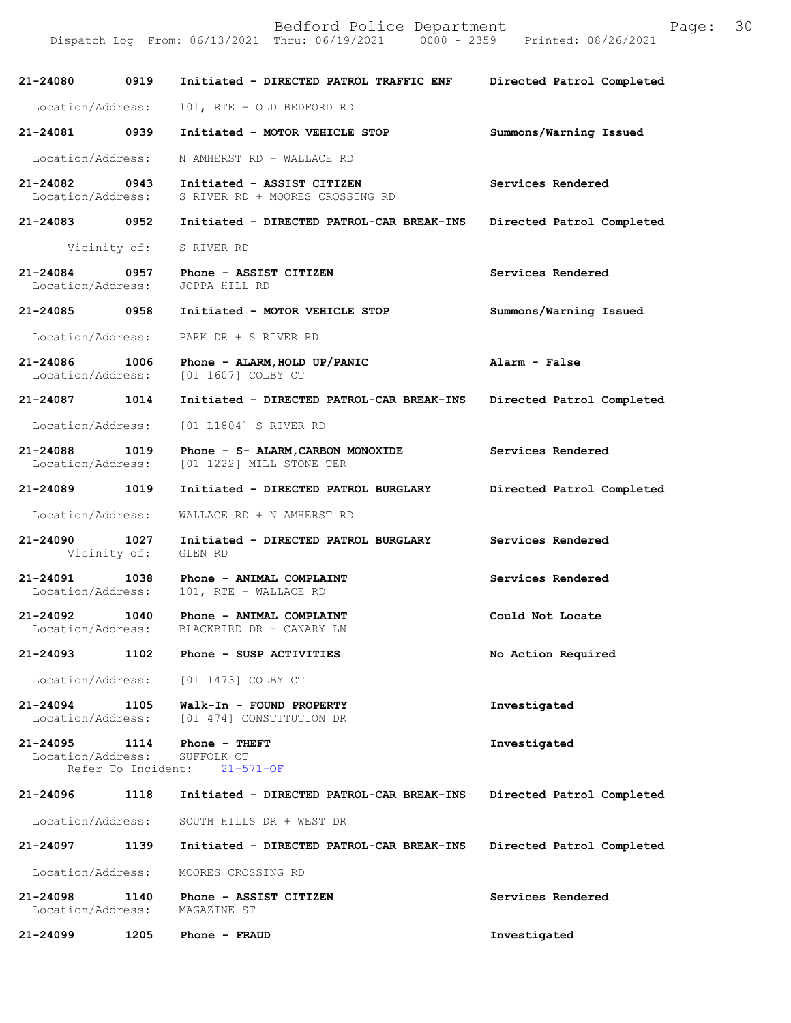| 21-24080 0919                      |                            | Initiated - DIRECTED PATROL TRAFFIC ENF                         | Directed Patrol Completed |
|------------------------------------|----------------------------|-----------------------------------------------------------------|---------------------------|
| Location/Address:                  |                            | 101, RTE + OLD BEDFORD RD                                       |                           |
| 21-24081 0939                      |                            | Initiated - MOTOR VEHICLE STOP                                  | Summons/Warning Issued    |
| Location/Address:                  |                            | N AMHERST RD + WALLACE RD                                       |                           |
| 21-24082 0943<br>Location/Address: |                            | Initiated - ASSIST CITIZEN<br>S RIVER RD + MOORES CROSSING RD   | Services Rendered         |
|                                    |                            | 21-24083 0952 Initiated - DIRECTED PATROL-CAR BREAK-INS         | Directed Patrol Completed |
|                                    | Vicinity of:               | S RIVER RD                                                      |                           |
| 21-24084 0957<br>Location/Address: |                            | Phone - ASSIST CITIZEN<br>JOPPA HILL RD                         | Services Rendered         |
| 21-24085 0958                      |                            | Initiated - MOTOR VEHICLE STOP                                  | Summons/Warning Issued    |
| Location/Address:                  |                            | PARK DR + S RIVER RD                                            |                           |
| 21-24086 1006<br>Location/Address: |                            | Phone - ALARM, HOLD UP/PANIC<br>[01 1607] COLBY CT              | Alarm - False             |
| 21-24087 1014                      |                            | Initiated - DIRECTED PATROL-CAR BREAK-INS                       | Directed Patrol Completed |
| Location/Address:                  |                            | [01 L1804] S RIVER RD                                           |                           |
| 21-24088<br>Location/Address:      | 1019                       | Phone - S- ALARM, CARBON MONOXIDE<br>[01 1222] MILL STONE TER   | Services Rendered         |
| 21-24089 1019                      |                            | Initiated - DIRECTED PATROL BURGLARY                            | Directed Patrol Completed |
| Location/Address:                  |                            | WALLACE RD + N AMHERST RD                                       |                           |
| 21-24090 1027<br>Vicinity of:      |                            | Initiated - DIRECTED PATROL BURGLARY<br>GLEN RD                 | Services Rendered         |
| Location/Address:                  |                            | 21-24091 1038 Phone - ANIMAL COMPLAINT<br>101, RTE + WALLACE RD | Services Rendered         |
| 21-24092 1040<br>Location/Address: |                            | Phone - ANIMAL COMPLAINT<br>BLACKBIRD DR + CANARY LN            | Could Not Locate          |
| 21-24093                           | 1102                       | Phone - SUSP ACTIVITIES                                         | No Action Required        |
| Location/Address:                  |                            | [01 1473] COLBY CT                                              |                           |
| 21-24094<br>Location/Address:      | 1105                       | Walk-In - FOUND PROPERTY<br>[01 474] CONSTITUTION DR            | Investigated              |
| 21-24095<br>Location/Address:      | 1114<br>Refer To Incident: | Phone - THEFT<br>SUFFOLK CT<br>$21 - 571 - OF$                  | Investigated              |
| 21-24096                           | 1118                       | Initiated - DIRECTED PATROL-CAR BREAK-INS                       | Directed Patrol Completed |
| Location/Address:                  |                            | SOUTH HILLS DR + WEST DR                                        |                           |
| 21-24097                           | 1139                       | Initiated - DIRECTED PATROL-CAR BREAK-INS                       | Directed Patrol Completed |
| Location/Address:                  |                            | MOORES CROSSING RD                                              |                           |
| 21-24098<br>Location/Address:      | 1140                       | Phone - ASSIST CITIZEN<br>MAGAZINE ST                           | Services Rendered         |
| 21-24099                           | 1205                       | Phone - FRAUD                                                   | Investigated              |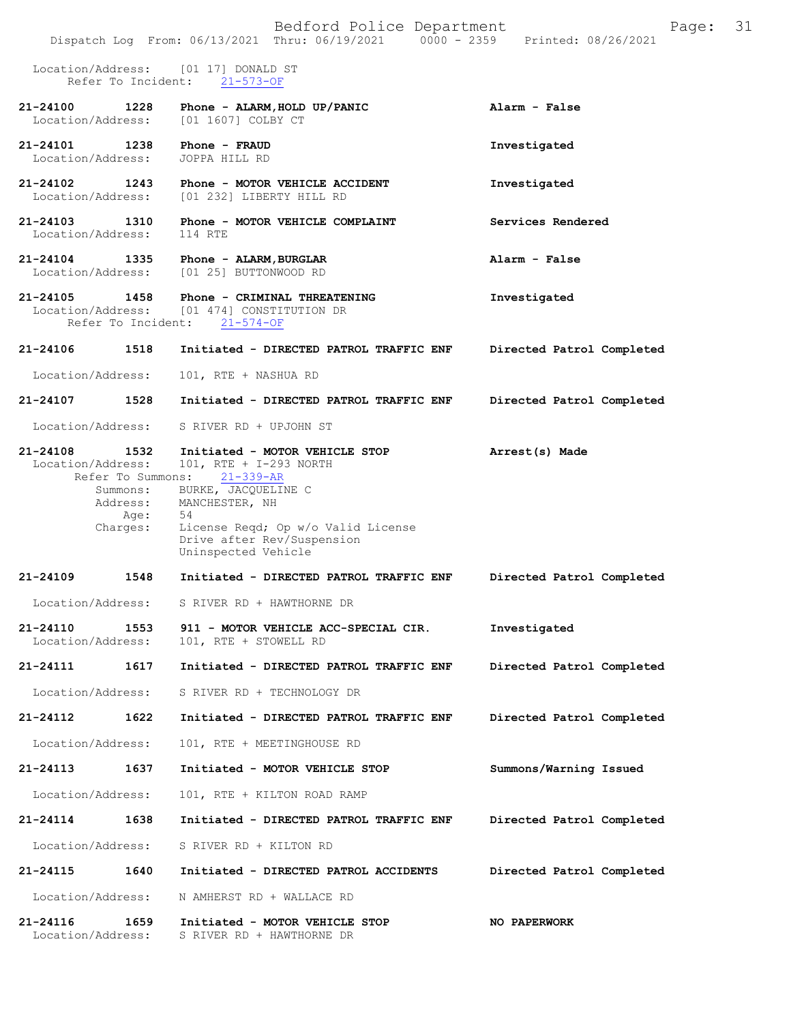|                                                     |                                                                       | Bedford Police Department<br>Dispatch Log From: 06/13/2021 Thru: 06/19/2021 0000 - 2359 Printed: 08/26/2021                                                                                                     | 31<br>Page:               |
|-----------------------------------------------------|-----------------------------------------------------------------------|-----------------------------------------------------------------------------------------------------------------------------------------------------------------------------------------------------------------|---------------------------|
| Location/Address:<br>Refer To Incident:             |                                                                       | [01 17] DONALD ST<br>$21 - 573 - OF$                                                                                                                                                                            |                           |
| 21-24100<br>Location/Address:                       | 1228                                                                  | Phone - ALARM, HOLD UP/PANIC<br>[01 1607] COLBY CT                                                                                                                                                              | Alarm - False             |
| 21-24101 1238<br>Location/Address:                  |                                                                       | Phone - FRAUD<br>JOPPA HILL RD                                                                                                                                                                                  | Investigated              |
| 21-24102<br>1243<br>Location/Address:               |                                                                       | Phone - MOTOR VEHICLE ACCIDENT<br>[01 232] LIBERTY HILL RD                                                                                                                                                      | Investigated              |
| 21-24103<br>Location/Address:                       | 1310                                                                  | Phone - MOTOR VEHICLE COMPLAINT<br>114 RTE                                                                                                                                                                      | Services Rendered         |
| 21-24104 1335<br>Location/Address:                  |                                                                       | Phone - ALARM, BURGLAR<br>[01 25] BUTTONWOOD RD                                                                                                                                                                 | Alarm - False             |
| 21-24105<br>Location/Address:<br>Refer To Incident: | 1458                                                                  | Phone - CRIMINAL THREATENING<br>[01 474] CONSTITUTION DR<br>$21 - 574 - OF$                                                                                                                                     | Investigated              |
| 21-24106                                            | 1518                                                                  | Initiated - DIRECTED PATROL TRAFFIC ENF                                                                                                                                                                         | Directed Patrol Completed |
| Location/Address:                                   |                                                                       | 101, RTE + NASHUA RD                                                                                                                                                                                            |                           |
| 21-24107                                            | 1528                                                                  | Initiated - DIRECTED PATROL TRAFFIC ENF                                                                                                                                                                         | Directed Patrol Completed |
| Location/Address:                                   |                                                                       | S RIVER RD + UPJOHN ST                                                                                                                                                                                          |                           |
| 21-24108<br>Location/Address:                       | 1532<br>Refer To Summons:<br>Summons:<br>Address:<br>Age:<br>Charges: | Initiated - MOTOR VEHICLE STOP<br>101, RTE + I-293 NORTH<br>21-339-AR<br>BURKE, JACQUELINE C<br>MANCHESTER, NH<br>54<br>License Reqd; Op w/o Valid License<br>Drive after Rev/Suspension<br>Uninspected Vehicle | Arrest(s) Made            |
| 21-24109                                            | 1548                                                                  | Initiated - DIRECTED PATROL TRAFFIC ENF                                                                                                                                                                         | Directed Patrol Completed |
| Location/Address:                                   |                                                                       | S RIVER RD + HAWTHORNE DR                                                                                                                                                                                       |                           |
| 21-24110<br>Location/Address:                       | 1553                                                                  | 911 - MOTOR VEHICLE ACC-SPECIAL CIR.<br>101, RTE + STOWELL RD                                                                                                                                                   | Investigated              |
| 21-24111                                            | 1617                                                                  | Initiated - DIRECTED PATROL TRAFFIC ENF                                                                                                                                                                         | Directed Patrol Completed |
| Location/Address:                                   |                                                                       | S RIVER RD + TECHNOLOGY DR                                                                                                                                                                                      |                           |
| 21-24112                                            | 1622                                                                  | Initiated - DIRECTED PATROL TRAFFIC ENF                                                                                                                                                                         | Directed Patrol Completed |
| Location/Address:                                   |                                                                       | 101, RTE + MEETINGHOUSE RD                                                                                                                                                                                      |                           |
| 21-24113                                            | 1637                                                                  | Initiated - MOTOR VEHICLE STOP                                                                                                                                                                                  | Summons/Warning Issued    |
| Location/Address:                                   |                                                                       | 101, RTE + KILTON ROAD RAMP                                                                                                                                                                                     |                           |
| 21-24114                                            | 1638                                                                  | Initiated - DIRECTED PATROL TRAFFIC ENF                                                                                                                                                                         | Directed Patrol Completed |
| Location/Address:                                   |                                                                       | S RIVER RD + KILTON RD                                                                                                                                                                                          |                           |
| 21-24115                                            | 1640                                                                  | Initiated - DIRECTED PATROL ACCIDENTS                                                                                                                                                                           | Directed Patrol Completed |
| Location/Address:                                   |                                                                       | N AMHERST RD + WALLACE RD                                                                                                                                                                                       |                           |
| 21-24116<br>Location/Address:                       | 1659                                                                  | Initiated - MOTOR VEHICLE STOP<br>S RIVER RD + HAWTHORNE DR                                                                                                                                                     | NO PAPERWORK              |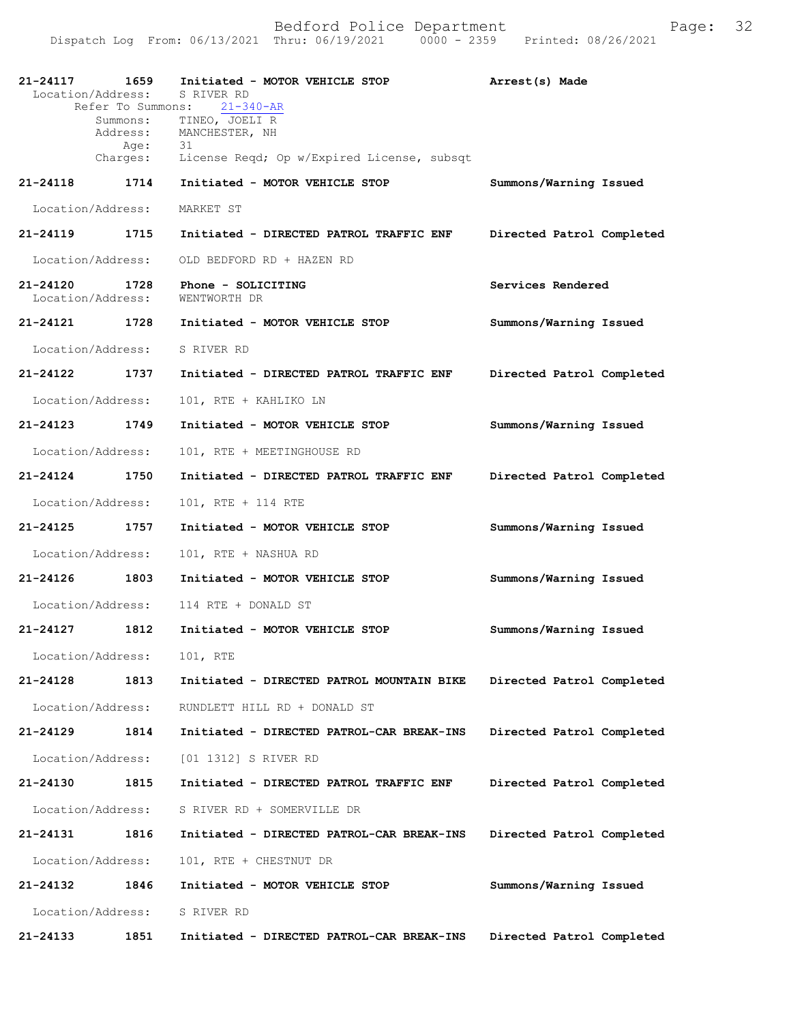| 21-24117<br>Location/Address:     | 1659                 | Initiated - MOTOR VEHICLE STOP<br>S RIVER RD | Arrest(s) Made            |
|-----------------------------------|----------------------|----------------------------------------------|---------------------------|
|                                   | Refer To Summons:    | $21 - 340 - AR$<br>TINEO, JOELI R            |                           |
|                                   | Summons:<br>Address: | MANCHESTER, NH<br>31                         |                           |
|                                   | Age:<br>Charges:     | License Reqd; Op w/Expired License, subsqt   |                           |
| 21-24118                          | 1714                 | Initiated - MOTOR VEHICLE STOP               | Summons/Warning Issued    |
| Location/Address:                 |                      | MARKET ST                                    |                           |
| 21-24119                          | 1715                 | Initiated - DIRECTED PATROL TRAFFIC ENF      | Directed Patrol Completed |
| Location/Address:                 |                      | OLD BEDFORD RD + HAZEN RD                    |                           |
| $21 - 24120$<br>Location/Address: | 1728                 | Phone - SOLICITING<br>WENTWORTH DR           | Services Rendered         |
| 21-24121                          | 1728                 | Initiated - MOTOR VEHICLE STOP               | Summons/Warning Issued    |
| Location/Address:                 |                      | S RIVER RD                                   |                           |
| $21 - 24122$                      | 1737                 | Initiated - DIRECTED PATROL TRAFFIC ENF      | Directed Patrol Completed |
| Location/Address:                 |                      | 101, RTE + KAHLIKO LN                        |                           |
| 21-24123                          | 1749                 | Initiated - MOTOR VEHICLE STOP               | Summons/Warning Issued    |
| Location/Address:                 |                      | 101, RTE + MEETINGHOUSE RD                   |                           |
| $21 - 24124$                      | 1750                 | Initiated - DIRECTED PATROL TRAFFIC ENF      | Directed Patrol Completed |
| Location/Address:                 |                      | 101, RTE + 114 RTE                           |                           |
| 21-24125                          | 1757                 | Initiated - MOTOR VEHICLE STOP               | Summons/Warning Issued    |
| Location/Address:                 |                      | 101, RTE + NASHUA RD                         |                           |
| 21-24126                          | 1803                 | Initiated - MOTOR VEHICLE STOP               | Summons/Warning Issued    |
| Location/Address:                 |                      | 114 RTE + DONALD ST                          |                           |
| $21 - 24127$                      | 1812                 | Initiated - MOTOR VEHICLE STOP               | Summons/Warning Issued    |
| Location/Address:                 |                      | 101, RTE                                     |                           |
| 21-24128                          | 1813                 | Initiated - DIRECTED PATROL MOUNTAIN BIKE    | Directed Patrol Completed |
| Location/Address:                 |                      | RUNDLETT HILL RD + DONALD ST                 |                           |
| 21-24129                          | 1814                 | Initiated - DIRECTED PATROL-CAR BREAK-INS    | Directed Patrol Completed |
| Location/Address:                 |                      | [01 1312] S RIVER RD                         |                           |
| 21-24130                          | 1815                 | Initiated - DIRECTED PATROL TRAFFIC ENF      | Directed Patrol Completed |
| Location/Address:                 |                      | S RIVER RD + SOMERVILLE DR                   |                           |
| 21-24131                          | 1816                 | Initiated - DIRECTED PATROL-CAR BREAK-INS    | Directed Patrol Completed |
| Location/Address:                 |                      | 101, RTE + CHESTNUT DR                       |                           |
| 21-24132                          | 1846                 | Initiated - MOTOR VEHICLE STOP               | Summons/Warning Issued    |
| Location/Address:                 |                      | S RIVER RD                                   |                           |
| 21-24133                          | 1851                 | Initiated - DIRECTED PATROL-CAR BREAK-INS    | Directed Patrol Completed |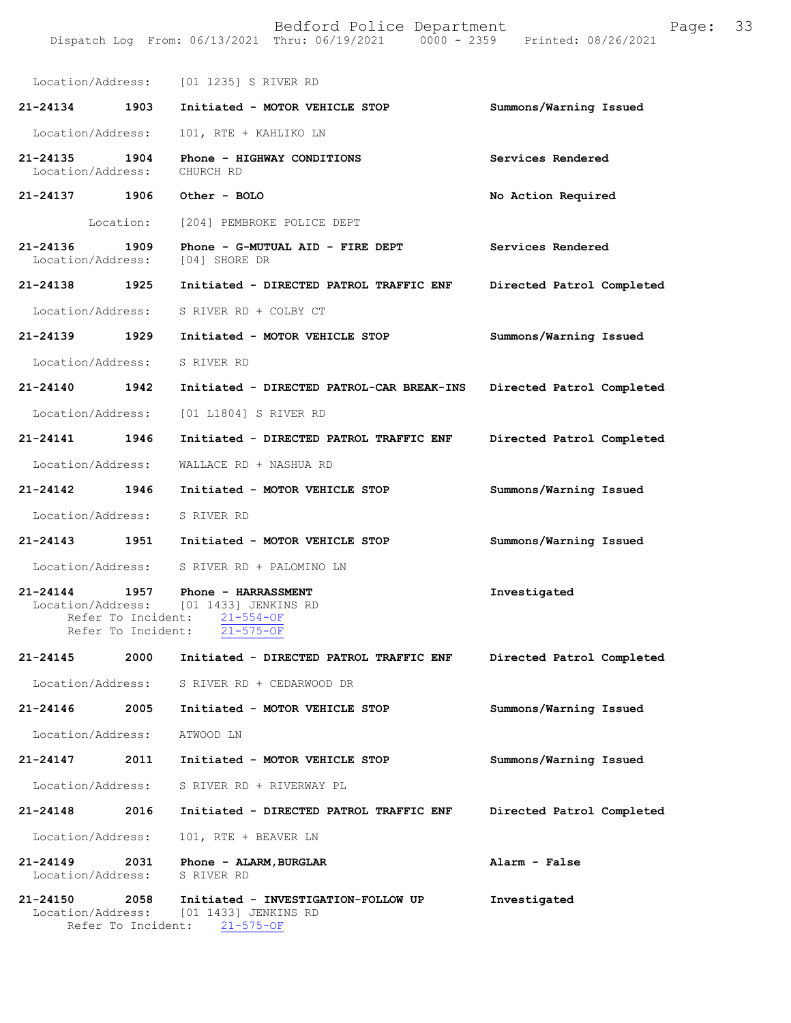|                                    |                    | Location/Address: [01 1235] S RIVER RD                                                                                         |                           |
|------------------------------------|--------------------|--------------------------------------------------------------------------------------------------------------------------------|---------------------------|
| 21-24134 1903                      |                    | Initiated - MOTOR VEHICLE STOP                                                                                                 | Summons/Warning Issued    |
| Location/Address:                  |                    | 101, RTE + KAHLIKO LN                                                                                                          |                           |
| $21 - 24135$<br>Location/Address:  | 1904               | Phone - HIGHWAY CONDITIONS<br>CHURCH RD                                                                                        | Services Rendered         |
| 21-24137 1906                      |                    | Other - BOLO                                                                                                                   | No Action Required        |
|                                    |                    | Location: [204] PEMBROKE POLICE DEPT                                                                                           |                           |
| 21-24136 1909<br>Location/Address: |                    | Phone - G-MUTUAL AID - FIRE DEPT<br>[04] SHORE DR                                                                              | Services Rendered         |
| 21-24138 1925                      |                    | Initiated - DIRECTED PATROL TRAFFIC ENF                                                                                        | Directed Patrol Completed |
| Location/Address:                  |                    | S RIVER RD + COLBY CT                                                                                                          |                           |
| 21-24139 1929                      |                    | Initiated - MOTOR VEHICLE STOP                                                                                                 | Summons/Warning Issued    |
| Location/Address:                  |                    | S RIVER RD                                                                                                                     |                           |
| 21-24140 1942                      |                    | Initiated - DIRECTED PATROL-CAR BREAK-INS                                                                                      | Directed Patrol Completed |
|                                    |                    | Location/Address: [01 L1804] S RIVER RD                                                                                        |                           |
| 21-24141 1946                      |                    | Initiated - DIRECTED PATROL TRAFFIC ENF                                                                                        | Directed Patrol Completed |
| Location/Address:                  |                    | WALLACE RD + NASHUA RD                                                                                                         |                           |
| 21-24142 1946                      |                    | Initiated - MOTOR VEHICLE STOP                                                                                                 | Summons/Warning Issued    |
|                                    |                    | Location/Address: S RIVER RD                                                                                                   |                           |
|                                    |                    | 21-24143 1951 Initiated - MOTOR VEHICLE STOP                                                                                   | Summons/Warning Issued    |
|                                    |                    | Location/Address: S RIVER RD + PALOMINO LN                                                                                     |                           |
|                                    | Refer To Incident: | 21-24144 1957 Phone - HARRASSMENT<br>Location/Address: [01 1433] JENKINS RD<br>Refer To Incident: 21-554-OF<br>$21 - 575 - OF$ | Investigated              |
| 21-24145                           | 2000               | Initiated - DIRECTED PATROL TRAFFIC ENF                                                                                        | Directed Patrol Completed |
| Location/Address:                  |                    | S RIVER RD + CEDARWOOD DR                                                                                                      |                           |
| 21-24146                           | 2005               | Initiated - MOTOR VEHICLE STOP                                                                                                 | Summons/Warning Issued    |
| Location/Address:                  |                    | ATWOOD LN                                                                                                                      |                           |
| 21-24147                           | 2011               | Initiated - MOTOR VEHICLE STOP                                                                                                 | Summons/Warning Issued    |
| Location/Address:                  |                    | S RIVER RD + RIVERWAY PL                                                                                                       |                           |
| 21-24148                           | 2016               | Initiated - DIRECTED PATROL TRAFFIC ENF                                                                                        | Directed Patrol Completed |
| Location/Address:                  |                    | 101, RTE + BEAVER LN                                                                                                           |                           |
| 21-24149<br>Location/Address:      | 2031               | Phone - ALARM, BURGLAR<br>S RIVER RD                                                                                           | Alarm - False             |
| 21-24150<br>Location/Address:      | 2058               | Initiated - INVESTIGATION-FOLLOW UP<br>[01 1433] JENKINS RD<br>Refer To Incident: 21-575-OF                                    | Investigated              |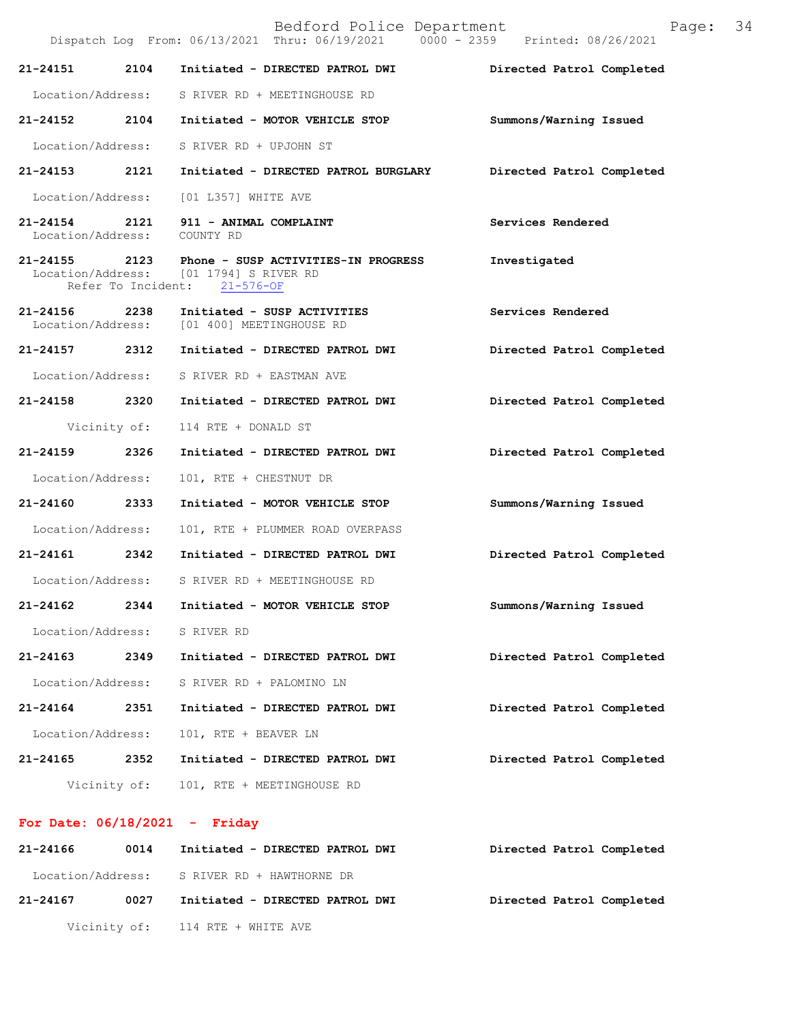Bedford Police Department Page: 34 Dispatch Log From: 06/13/2021 Thru: 06/19/2021 0000 - 2359 Printed: 08/26/2021 **21-24151 2104 Initiated - DIRECTED PATROL DWI Directed Patrol Completed**  Location/Address: S RIVER RD + MEETINGHOUSE RD **21-24152 2104 Initiated - MOTOR VEHICLE STOP Summons/Warning Issued**  Location/Address: S RIVER RD + UPJOHN ST **21-24153 2121 Initiated - DIRECTED PATROL BURGLARY Directed Patrol Completed**  Location/Address: [01 L357] WHITE AVE **21-24154 2121 911 - ANIMAL COMPLAINT Services Rendered**  Location/Address: COUNTY RD **21-24155 2123 Phone - SUSP ACTIVITIES-IN PROGRESS Investigated**  Location/Address: [01 1794] S RIVER RD Refer To Incident: 21-576-OF **21-24156 2238 Initiated - SUSP ACTIVITIES Services Rendered**  [01 400] MEETINGHOUSE RD **21-24157 2312 Initiated - DIRECTED PATROL DWI Directed Patrol Completed**  Location/Address: S RIVER RD + EASTMAN AVE **21-24158 2320 Initiated - DIRECTED PATROL DWI Directed Patrol Completed**  Vicinity of: 114 RTE + DONALD ST **21-24159 2326 Initiated - DIRECTED PATROL DWI Directed Patrol Completed**  Location/Address: 101, RTE + CHESTNUT DR **21-24160 2333 Initiated - MOTOR VEHICLE STOP Summons/Warning Issued**  Location/Address: 101, RTE + PLUMMER ROAD OVERPASS **21-24161 2342 Initiated - DIRECTED PATROL DWI Directed Patrol Completed**  Location/Address: S RIVER RD + MEETINGHOUSE RD **21-24162 2344 Initiated - MOTOR VEHICLE STOP Summons/Warning Issued**  Location/Address: S RIVER RD **21-24163 2349 Initiated - DIRECTED PATROL DWI Directed Patrol Completed**  Location/Address: S RIVER RD + PALOMINO LN **21-24164 2351 Initiated - DIRECTED PATROL DWI Directed Patrol Completed**  Location/Address: 101, RTE + BEAVER LN **21-24165 2352 Initiated - DIRECTED PATROL DWI Directed Patrol Completed**  Vicinity of: 101, RTE + MEETINGHOUSE RD

## **For Date: 06/18/2021 - Friday**

| 21-24166          | 0014 | Initiated - DIRECTED PATROL DWI  | Directed Patrol Completed |
|-------------------|------|----------------------------------|---------------------------|
| Location/Address: |      | S RIVER RD + HAWTHORNE DR        |                           |
| 21-24167          | 0027 | Initiated - DIRECTED PATROL DWI  | Directed Patrol Completed |
|                   |      | Vicinity of: 114 RTE + WHITE AVE |                           |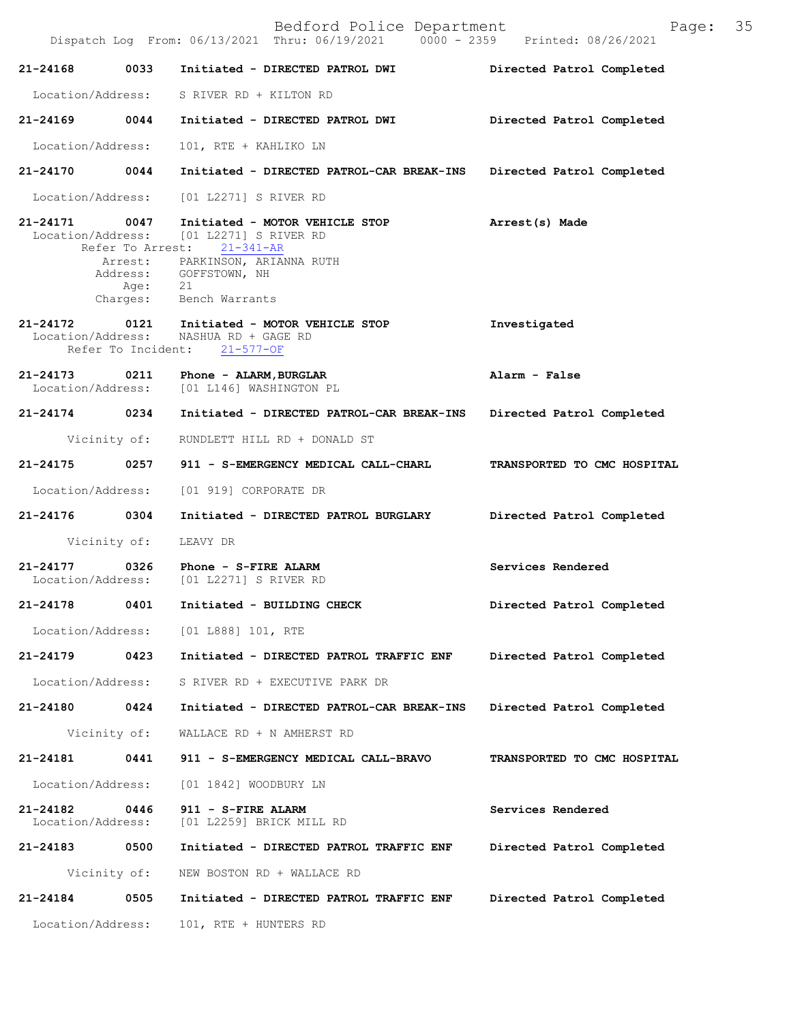Bedford Police Department Page: 35 Dispatch Log From: 06/13/2021 Thru: 06/19/2021 **21-24168 0033 Initiated - DIRECTED PATROL DWI Directed Patrol Completed**  Location/Address: S RIVER RD + KILTON RD **21-24169 0044 Initiated - DIRECTED PATROL DWI Directed Patrol Completed**  Location/Address: 101, RTE + KAHLIKO LN **21-24170 0044 Initiated - DIRECTED PATROL-CAR BREAK-INS Directed Patrol Completed**  Location/Address: [01 L2271] S RIVER RD **21-24171 0047 Initiated - MOTOR VEHICLE STOP Arrest(s) Made**  Location/Address: [01 L2271] S RIVER RD Refer To Arrest: 21-341-AR **21-24172 0121 Initiated - MOTOR VEHICLE STOP Investigated**  Location/Address: NASHUA RD + GAGE RD Refer To Incident: 21-577-OF **21-24173 0211 Phone - ALARM,BURGLAR Alarm - False**  [01 L146] WASHINGTON PL **21-24174 0234 Initiated - DIRECTED PATROL-CAR BREAK-INS Directed Patrol Completed**  Vicinity of: RUNDLETT HILL RD + DONALD ST **21-24175 0257 911 - S-EMERGENCY MEDICAL CALL-CHARL TRANSPORTED TO CMC HOSPITAL**  Location/Address: [01 919] CORPORATE DR **21-24176 0304 Initiated - DIRECTED PATROL BURGLARY Directed Patrol Completed**  Vicinity of: LEAVY DR **21-24177 0326 Phone - S-FIRE ALARM Services Rendered**  Location/Address: [01 L2271] S RIVER RD **21-24178 0401 Initiated - BUILDING CHECK Directed Patrol Completed**  Location/Address: [01 L888] 101, RTE **21-24179 0423 Initiated - DIRECTED PATROL TRAFFIC ENF Directed Patrol Completed**  Location/Address: S RIVER RD + EXECUTIVE PARK DR **21-24180 0424 Initiated - DIRECTED PATROL-CAR BREAK-INS Directed Patrol Completed**  Vicinity of: WALLACE RD + N AMHERST RD **21-24181 0441 911 - S-EMERGENCY MEDICAL CALL-BRAVO TRANSPORTED TO CMC HOSPITAL**  Location/Address: [01 1842] WOODBURY LN **21-24182** 0446 911 - S-FIRE ALARM **Services Rendered Services Rendered Iocation/Address:** [01 L2259] BRICK MILL RD Location/Address: [01 L2259] BRICK MILL RD **21-24183 0500 Initiated - DIRECTED PATROL TRAFFIC ENF Directed Patrol Completed**  Vicinity of: NEW BOSTON RD + WALLACE RD **21-24184 0505 Initiated - DIRECTED PATROL TRAFFIC ENF Directed Patrol Completed**  Location/Address: 101, RTE + HUNTERS RD Arrest: PARKINSON, ARIANNA RUTH Address: GOFFSTOWN, NH<br>Age: 21 Age: Charges: Bench Warrants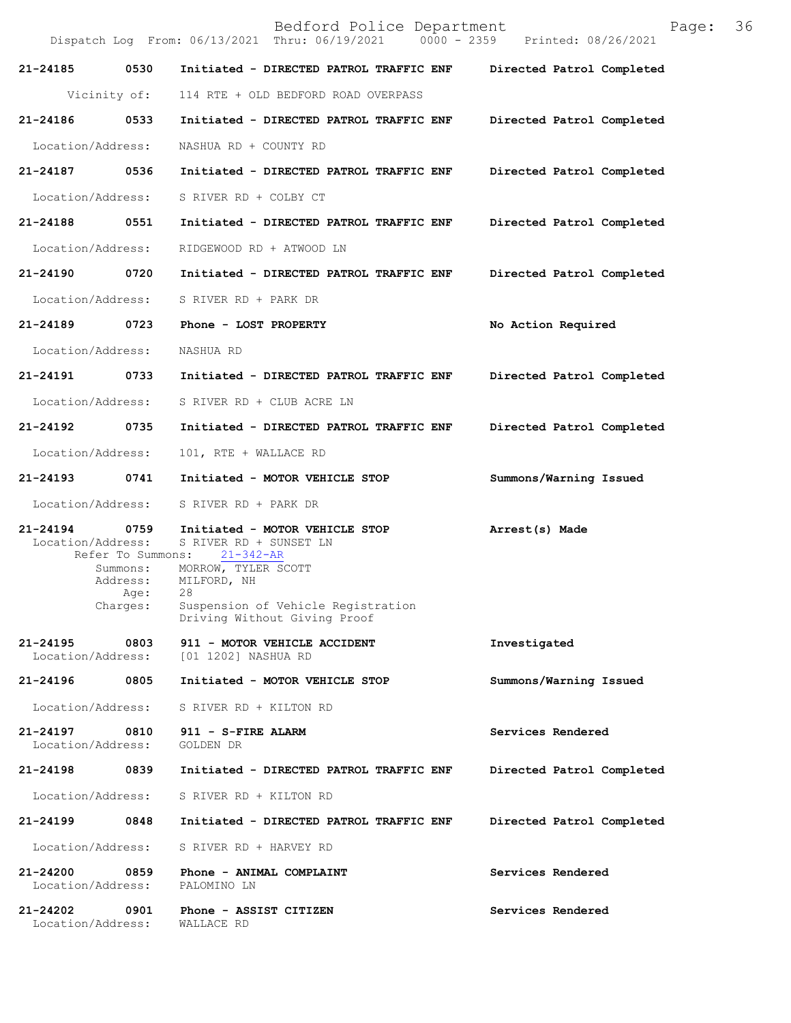|                                   |                                                                          | Bedford Police Department<br>Dispatch Log From: 06/13/2021 Thru: 06/19/2021   0000 - 2359   Printed: 08/26/2021                                                                         | 36<br>Page:               |  |
|-----------------------------------|--------------------------------------------------------------------------|-----------------------------------------------------------------------------------------------------------------------------------------------------------------------------------------|---------------------------|--|
| 21-24185                          | 0530                                                                     | Initiated - DIRECTED PATROL TRAFFIC ENF                                                                                                                                                 | Directed Patrol Completed |  |
|                                   | Vicinity of:                                                             | 114 RTE + OLD BEDFORD ROAD OVERPASS                                                                                                                                                     |                           |  |
| 21-24186                          | 0533                                                                     | Initiated - DIRECTED PATROL TRAFFIC ENF                                                                                                                                                 | Directed Patrol Completed |  |
| Location/Address:                 |                                                                          | NASHUA RD + COUNTY RD                                                                                                                                                                   |                           |  |
| 21-24187                          | 0536                                                                     | Initiated - DIRECTED PATROL TRAFFIC ENF                                                                                                                                                 | Directed Patrol Completed |  |
| Location/Address:                 |                                                                          | S RIVER RD + COLBY CT                                                                                                                                                                   |                           |  |
| 21-24188                          | 0551                                                                     | Initiated - DIRECTED PATROL TRAFFIC ENF                                                                                                                                                 | Directed Patrol Completed |  |
| Location/Address:                 |                                                                          | RIDGEWOOD RD + ATWOOD LN                                                                                                                                                                |                           |  |
| 21-24190                          | 0720                                                                     | Initiated - DIRECTED PATROL TRAFFIC ENF                                                                                                                                                 | Directed Patrol Completed |  |
| Location/Address:                 |                                                                          | S RIVER RD + PARK DR                                                                                                                                                                    |                           |  |
| 21-24189                          | 0723                                                                     | Phone - LOST PROPERTY                                                                                                                                                                   | No Action Required        |  |
| Location/Address:                 |                                                                          | NASHUA RD                                                                                                                                                                               |                           |  |
| 21-24191 0733                     |                                                                          | Initiated - DIRECTED PATROL TRAFFIC ENF                                                                                                                                                 | Directed Patrol Completed |  |
| Location/Address:                 |                                                                          | S RIVER RD + CLUB ACRE LN                                                                                                                                                               |                           |  |
| 21-24192                          | 0735                                                                     | Initiated - DIRECTED PATROL TRAFFIC ENF                                                                                                                                                 | Directed Patrol Completed |  |
| Location/Address:                 |                                                                          | 101, RTE + WALLACE RD                                                                                                                                                                   |                           |  |
| 21-24193                          | 0741                                                                     | Initiated - MOTOR VEHICLE STOP                                                                                                                                                          | Summons/Warning Issued    |  |
| Location/Address:                 |                                                                          | S RIVER RD + PARK DR                                                                                                                                                                    |                           |  |
| $21 - 24194$<br>Location/Address: | 0759<br>Refer To Summons:<br>Summons:<br>Address:<br>Age: 28<br>Charges: | Initiated - MOTOR VEHICLE STOP<br>S RIVER RD + SUNSET LN<br>$21 - 342 - AR$<br>MORROW, TYLER SCOTT<br>MILFORD, NH<br>Suspension of Vehicle Registration<br>Driving Without Giving Proof | Arrest(s) Made            |  |
| 21-24195<br>Location/Address:     | 0803                                                                     | 911 - MOTOR VEHICLE ACCIDENT<br>[01 1202] NASHUA RD                                                                                                                                     | Investigated              |  |
| 21-24196                          | 0805                                                                     | Initiated - MOTOR VEHICLE STOP                                                                                                                                                          | Summons/Warning Issued    |  |
| Location/Address:                 |                                                                          | S RIVER RD + KILTON RD                                                                                                                                                                  |                           |  |
| 21-24197<br>Location/Address:     | 0810                                                                     | 911 - S-FIRE ALARM<br>GOLDEN DR                                                                                                                                                         | Services Rendered         |  |
| 21-24198                          | 0839                                                                     | Initiated - DIRECTED PATROL TRAFFIC ENF                                                                                                                                                 | Directed Patrol Completed |  |
| Location/Address:                 |                                                                          | S RIVER RD + KILTON RD                                                                                                                                                                  |                           |  |
| 21-24199                          | 0848                                                                     | Initiated - DIRECTED PATROL TRAFFIC ENF                                                                                                                                                 | Directed Patrol Completed |  |
| Location/Address:                 |                                                                          | S RIVER RD + HARVEY RD                                                                                                                                                                  |                           |  |
| 21-24200<br>Location/Address:     | 0859                                                                     | Phone - ANIMAL COMPLAINT<br>PALOMINO LN                                                                                                                                                 | Services Rendered         |  |
| 21-24202<br>Location/Address:     | 0901                                                                     | Phone - ASSIST CITIZEN<br>WALLACE RD                                                                                                                                                    | Services Rendered         |  |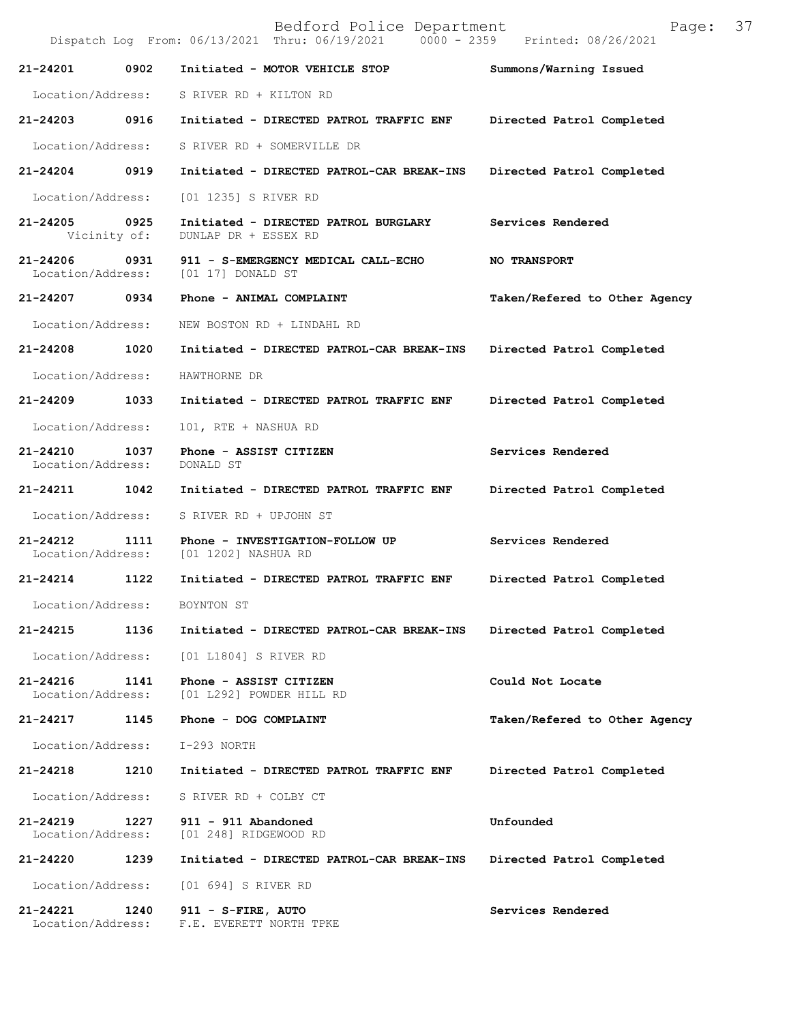|                                   |              | Bedford Police Department<br>Dispatch Log From: 06/13/2021 Thru: 06/19/2021 0000 - 2359 Printed: 08/26/2021 | Page:                         | 37 |
|-----------------------------------|--------------|-------------------------------------------------------------------------------------------------------------|-------------------------------|----|
| 21-24201                          | 0902         | Initiated - MOTOR VEHICLE STOP                                                                              | Summons/Warning Issued        |    |
| Location/Address:                 |              | S RIVER RD + KILTON RD                                                                                      |                               |    |
| 21-24203 0916                     |              | Initiated - DIRECTED PATROL TRAFFIC ENF                                                                     | Directed Patrol Completed     |    |
| Location/Address:                 |              | S RIVER RD + SOMERVILLE DR                                                                                  |                               |    |
| 21-24204                          | 0919         | Initiated - DIRECTED PATROL-CAR BREAK-INS                                                                   | Directed Patrol Completed     |    |
| Location/Address:                 |              | [01 1235] S RIVER RD                                                                                        |                               |    |
| 21-24205 0925                     | Vicinity of: | Initiated - DIRECTED PATROL BURGLARY<br>DUNLAP DR + ESSEX RD                                                | Services Rendered             |    |
| 21-24206<br>Location/Address:     | 0931         | 911 - S-EMERGENCY MEDICAL CALL-ECHO<br>[01 17] DONALD ST                                                    | <b>NO TRANSPORT</b>           |    |
| 21-24207 0934                     |              | Phone - ANIMAL COMPLAINT                                                                                    | Taken/Refered to Other Agency |    |
| Location/Address:                 |              | NEW BOSTON RD + LINDAHL RD                                                                                  |                               |    |
| 21-24208                          | 1020         | Initiated - DIRECTED PATROL-CAR BREAK-INS                                                                   | Directed Patrol Completed     |    |
| Location/Address:                 |              | HAWTHORNE DR                                                                                                |                               |    |
| 21-24209                          | 1033         | Initiated - DIRECTED PATROL TRAFFIC ENF                                                                     | Directed Patrol Completed     |    |
| Location/Address:                 |              | 101, RTE + NASHUA RD                                                                                        |                               |    |
| 21-24210<br>Location/Address:     | 1037         | Phone - ASSIST CITIZEN<br>DONALD ST                                                                         | Services Rendered             |    |
| 21-24211                          | 1042         | Initiated - DIRECTED PATROL TRAFFIC ENF                                                                     | Directed Patrol Completed     |    |
| Location/Address:                 |              | S RIVER RD + UPJOHN ST                                                                                      |                               |    |
| 21-24212<br>Location/Address:     | 1111         | Phone - INVESTIGATION-FOLLOW UP<br>[01 1202] NASHUA RD                                                      | Services Rendered             |    |
| 21-24214                          | 1122         | Initiated - DIRECTED PATROL TRAFFIC ENF                                                                     | Directed Patrol Completed     |    |
| Location/Address:                 |              | BOYNTON ST                                                                                                  |                               |    |
| 21-24215                          | 1136         | Initiated - DIRECTED PATROL-CAR BREAK-INS                                                                   | Directed Patrol Completed     |    |
| Location/Address:                 |              | [01 L1804] S RIVER RD                                                                                       |                               |    |
| $21 - 24216$<br>Location/Address: | 1141         | Phone - ASSIST CITIZEN<br>[01 L292] POWDER HILL RD                                                          | Could Not Locate              |    |
| 21-24217                          | 1145         | Phone - DOG COMPLAINT                                                                                       | Taken/Refered to Other Agency |    |
| Location/Address:                 |              | I-293 NORTH                                                                                                 |                               |    |
| 21-24218                          | 1210         | Initiated - DIRECTED PATROL TRAFFIC ENF                                                                     | Directed Patrol Completed     |    |
| Location/Address:                 |              | S RIVER RD + COLBY CT                                                                                       |                               |    |
| 21-24219<br>Location/Address:     | 1227         | 911 - 911 Abandoned<br>[01 248] RIDGEWOOD RD                                                                | Unfounded                     |    |
| 21-24220                          | 1239         | Initiated - DIRECTED PATROL-CAR BREAK-INS                                                                   | Directed Patrol Completed     |    |
| Location/Address:                 |              | [01 694] S RIVER RD                                                                                         |                               |    |
| $21 - 24221$<br>Location/Address: | 1240         | 911 - S-FIRE, AUTO<br>F.E. EVERETT NORTH TPKE                                                               | Services Rendered             |    |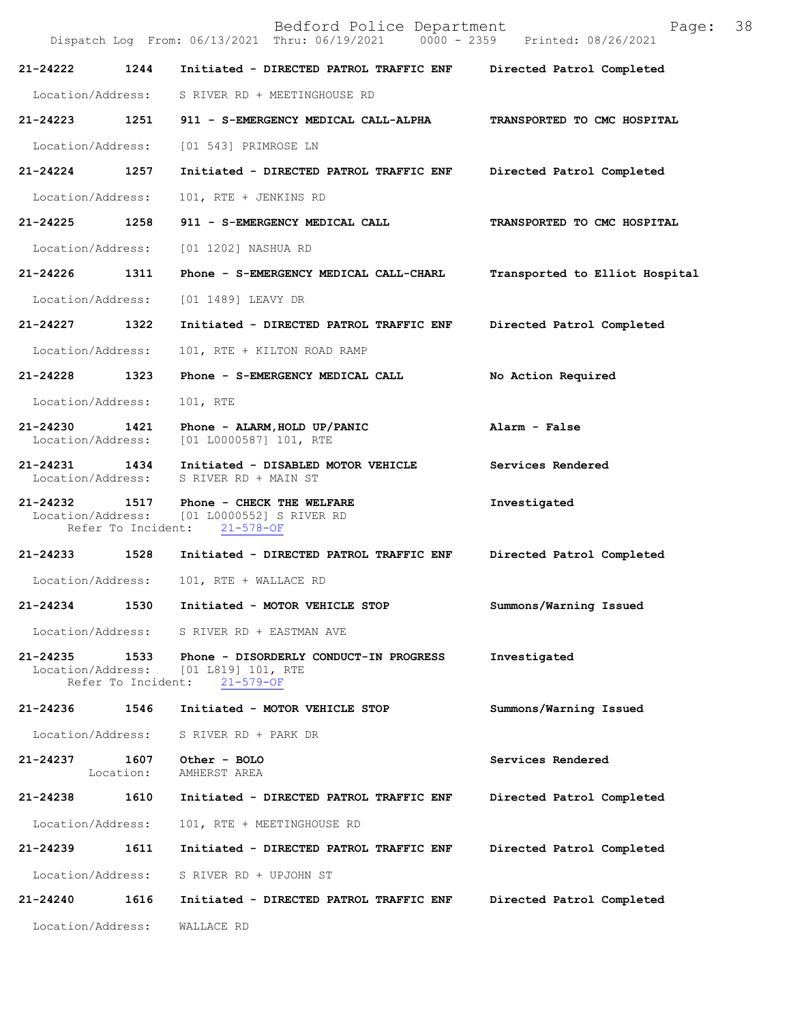Bedford Police Department Page: 38 Dispatch Log From: 06/13/2021 Thru: 06/19/2021 **21-24222 1244 Initiated - DIRECTED PATROL TRAFFIC ENF Directed Patrol Completed**  Location/Address: S RIVER RD + MEETINGHOUSE RD **21-24223 1251 911 - S-EMERGENCY MEDICAL CALL-ALPHA TRANSPORTED TO CMC HOSPITAL**  Location/Address: [01 543] PRIMROSE LN **21-24224 1257 Initiated - DIRECTED PATROL TRAFFIC ENF Directed Patrol Completed**  Location/Address: 101, RTE + JENKINS RD **21-24225 1258 911 - S-EMERGENCY MEDICAL CALL TRANSPORTED TO CMC HOSPITAL**  Location/Address: [01 1202] NASHUA RD **21-24226 1311 Phone - S-EMERGENCY MEDICAL CALL-CHARL Transported to Elliot Hospital** Location/Address: [01 1489] LEAVY DR **21-24227 1322 Initiated - DIRECTED PATROL TRAFFIC ENF Directed Patrol Completed**  Location/Address: 101, RTE + KILTON ROAD RAMP **21-24228 1323 Phone - S-EMERGENCY MEDICAL CALL No Action Required**  Location/Address: 101, RTE **21-24230 1421 Phone - ALARM,HOLD UP/PANIC Alarm - False**  [01 L0000587] 101, RTE **21-24231 1434 Initiated - DISABLED MOTOR VEHICLE Services Rendered** Location/Address: S RIVER RD + MAIN ST S RIVER RD + MAIN ST **21-24232 1517 Phone - CHECK THE WELFARE 100 Investigated Investigated Investigated** [01 L0000552] S RIVER RD<br>nt: 21-578-OF Refer To Incident: **21-24233 1528 Initiated - DIRECTED PATROL TRAFFIC ENF Directed Patrol Completed**  Location/Address: 101, RTE + WALLACE RD **21-24234 1530 Initiated - MOTOR VEHICLE STOP Summons/Warning Issued**  Location/Address: S RIVER RD + EASTMAN AVE **21-24235 1533 Phone - DISORDERLY CONDUCT-IN PROGRESS Investigated**  [01 L819] 101, RTE<br>nt: 21-579-OF Refer To Incident: **21-24236 1546 Initiated - MOTOR VEHICLE STOP Summons/Warning Issued**  Location/Address: S RIVER RD + PARK DR **21-24237 1607 Other - BOLO Services Rendered**  Location: AMHERST AREA **21-24238 1610 Initiated - DIRECTED PATROL TRAFFIC ENF Directed Patrol Completed**  Location/Address: 101, RTE + MEETINGHOUSE RD **21-24239 1611 Initiated - DIRECTED PATROL TRAFFIC ENF Directed Patrol Completed**  Location/Address: S RIVER RD + UPJOHN ST **21-24240 1616 Initiated - DIRECTED PATROL TRAFFIC ENF Directed Patrol Completed**  Location/Address: WALLACE RD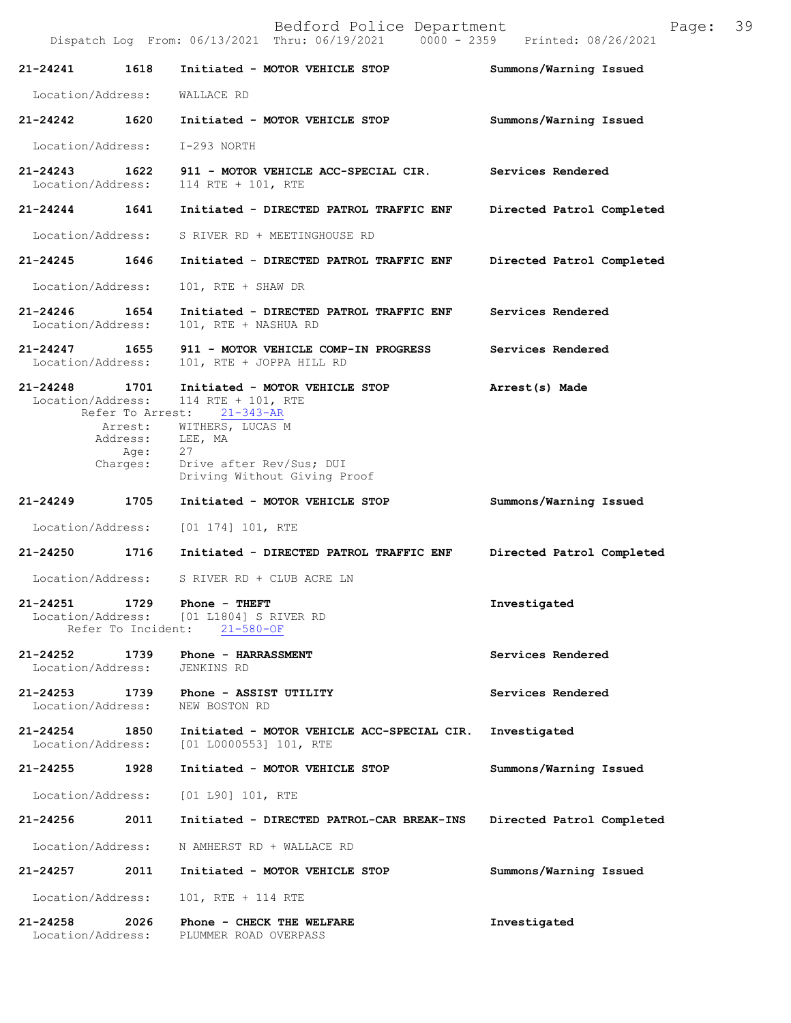|                                    |                                         | Dispatch Log From: 06/13/2021 Thru: 06/19/2021<br>$0000 - 2359$                             | Printed: 08/26/2021       |
|------------------------------------|-----------------------------------------|---------------------------------------------------------------------------------------------|---------------------------|
| 21-24241                           | 1618                                    | Initiated - MOTOR VEHICLE STOP                                                              | Summons/Warning Issued    |
| Location/Address:                  |                                         | WALLACE RD                                                                                  |                           |
| 21-24242 1620                      |                                         | Initiated - MOTOR VEHICLE STOP                                                              | Summons/Warning Issued    |
| Location/Address:                  |                                         | I-293 NORTH                                                                                 |                           |
| $21 - 24243$<br>Location/Address:  | 1622                                    | 911 - MOTOR VEHICLE ACC-SPECIAL CIR.<br>114 RTE + 101, RTE                                  | Services Rendered         |
| $21 - 24244$                       | 1641                                    | Initiated - DIRECTED PATROL TRAFFIC ENF                                                     | Directed Patrol Completed |
| Location/Address:                  |                                         | S RIVER RD + MEETINGHOUSE RD                                                                |                           |
| 21-24245 1646                      |                                         | Initiated - DIRECTED PATROL TRAFFIC ENF                                                     | Directed Patrol Completed |
| Location/Address:                  |                                         | 101, RTE + SHAW DR                                                                          |                           |
| 21-24246<br>Location/Address:      | 1654                                    | Initiated - DIRECTED PATROL TRAFFIC ENF<br>101, RTE + NASHUA RD                             | Services Rendered         |
| 21-24247 1655<br>Location/Address: |                                         | 911 - MOTOR VEHICLE COMP-IN PROGRESS<br>101, RTE + JOPPA HILL RD                            | Services Rendered         |
| $21 - 24248$<br>Location/Address:  | 1701                                    | Initiated - MOTOR VEHICLE STOP<br>114 RTE + 101, RTE                                        | Arrest(s) Made            |
|                                    | Arrest:<br>Address:<br>Age:<br>Charges: | Refer To Arrest: 21-343-AR<br>WITHERS, LUCAS M<br>LEE, MA<br>27<br>Drive after Rev/Sus; DUI |                           |
|                                    |                                         | Driving Without Giving Proof                                                                |                           |
|                                    |                                         |                                                                                             |                           |
| 21-24249                           | 1705                                    | Initiated - MOTOR VEHICLE STOP                                                              | Summons/Warning Issued    |
| Location/Address:                  |                                         | $[01 174] 101$ , RTE                                                                        |                           |
| 21-24250                           | 1716                                    | Initiated - DIRECTED PATROL TRAFFIC ENF                                                     | Directed Patrol Completed |
| Location/Address:                  |                                         | S RIVER RD + CLUB ACRE LN                                                                   |                           |
| 21-24251                           | 1729                                    | Phone - THEFT<br>Location/Address: [01 L1804] S RIVER RD<br>Refer To Incident: 21-580-OF    | Investigated              |
| $21 - 24252$<br>Location/Address:  | 1739                                    | Phone - HARRASSMENT<br>JENKINS RD                                                           | Services Rendered         |
| 21-24253<br>Location/Address:      | 1739                                    | Phone - ASSIST UTILITY<br>NEW BOSTON RD                                                     | Services Rendered         |
| 21-24254 1850<br>Location/Address: |                                         | Initiated - MOTOR VEHICLE ACC-SPECIAL CIR.<br>[01 L0000553] 101, RTE                        | Investigated              |
| 21-24255                           | 1928                                    | Initiated - MOTOR VEHICLE STOP                                                              | Summons/Warning Issued    |
| Location/Address:                  |                                         | [01 190] 101, RTE                                                                           |                           |
| 21-24256                           | 2011                                    | Initiated - DIRECTED PATROL-CAR BREAK-INS                                                   | Directed Patrol Completed |
| Location/Address:                  |                                         | N AMHERST RD + WALLACE RD                                                                   |                           |
| 21-24257                           | 2011                                    | Initiated - MOTOR VEHICLE STOP                                                              | Summons/Warning Issued    |
| Location/Address:                  |                                         | 101, RTE + 114 RTE                                                                          |                           |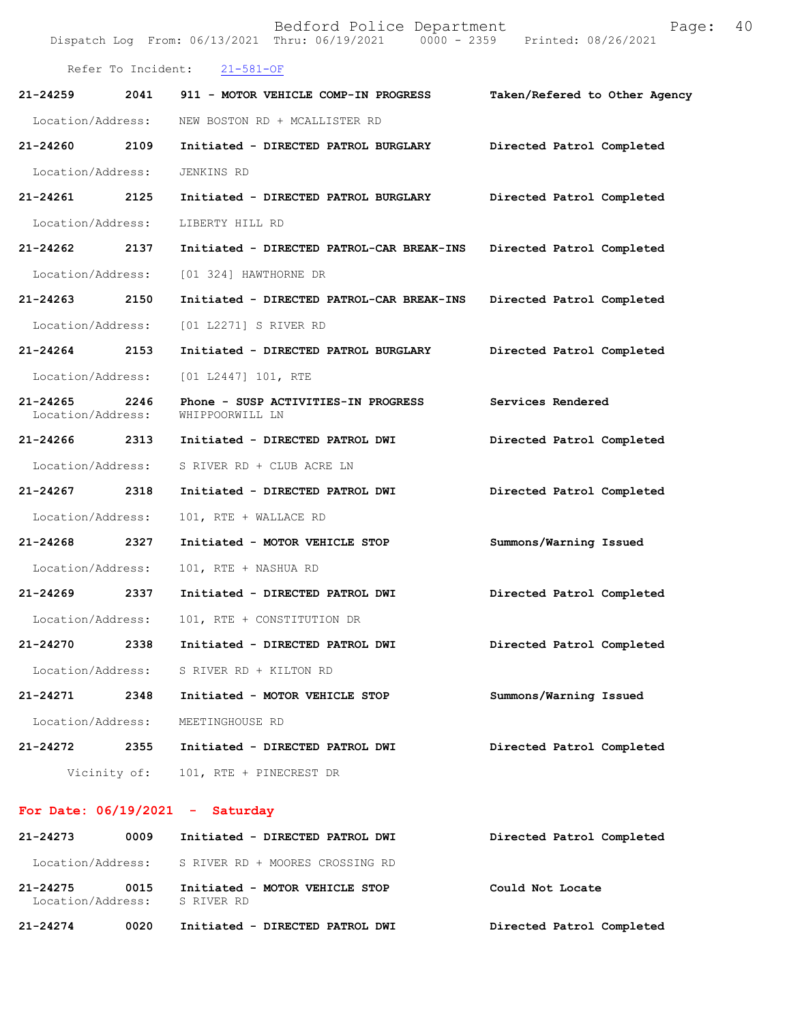|                                   |              | Bedford Police Department<br>Dispatch Log From: 06/13/2021 Thru: 06/19/2021 0000 - 2359 Printed: 08/26/2021 | 40<br>Page:                   |  |
|-----------------------------------|--------------|-------------------------------------------------------------------------------------------------------------|-------------------------------|--|
| Refer To Incident: 21-581-OF      |              |                                                                                                             |                               |  |
| $21 - 24259$                      | 2041         | 911 - MOTOR VEHICLE COMP-IN PROGRESS                                                                        | Taken/Refered to Other Agency |  |
| Location/Address:                 |              | NEW BOSTON RD + MCALLISTER RD                                                                               |                               |  |
| 21-24260                          | 2109         | Initiated - DIRECTED PATROL BURGLARY                                                                        | Directed Patrol Completed     |  |
| Location/Address:                 |              | JENKINS RD                                                                                                  |                               |  |
| 21-24261                          | 2125         | Initiated - DIRECTED PATROL BURGLARY                                                                        | Directed Patrol Completed     |  |
| Location/Address:                 |              | LIBERTY HILL RD                                                                                             |                               |  |
| 21-24262                          | 2137         | Initiated - DIRECTED PATROL-CAR BREAK-INS                                                                   | Directed Patrol Completed     |  |
| Location/Address:                 |              | [01 324] HAWTHORNE DR                                                                                       |                               |  |
| 21-24263                          | 2150         | Initiated - DIRECTED PATROL-CAR BREAK-INS                                                                   | Directed Patrol Completed     |  |
| Location/Address:                 |              | [01 L2271] S RIVER RD                                                                                       |                               |  |
| $21 - 24264$                      | 2153         | Initiated - DIRECTED PATROL BURGLARY                                                                        | Directed Patrol Completed     |  |
| Location/Address:                 |              | [01 L2447] 101, RTE                                                                                         |                               |  |
| $21 - 24265$<br>Location/Address: | 2246         | Phone - SUSP ACTIVITIES-IN PROGRESS<br>WHIPPOORWILL LN                                                      | Services Rendered             |  |
| 21-24266                          | 2313         | Initiated - DIRECTED PATROL DWI                                                                             | Directed Patrol Completed     |  |
| Location/Address:                 |              | S RIVER RD + CLUB ACRE LN                                                                                   |                               |  |
| $21 - 24267$                      | 2318         | Initiated - DIRECTED PATROL DWI                                                                             | Directed Patrol Completed     |  |
| Location/Address:                 |              | 101, RTE + WALLACE RD                                                                                       |                               |  |
| 21-24268                          | 2327         | Initiated - MOTOR VEHICLE STOP                                                                              | Summons/Warning Issued        |  |
| Location/Address:                 |              | 101, RTE + NASHUA RD                                                                                        |                               |  |
| 21-24269                          | 2337         | Initiated - DIRECTED PATROL DWI                                                                             | Directed Patrol Completed     |  |
| Location/Address:                 |              | 101, RTE + CONSTITUTION DR                                                                                  |                               |  |
| 21-24270                          | 2338         | Initiated - DIRECTED PATROL DWI                                                                             | Directed Patrol Completed     |  |
| Location/Address:                 |              | S RIVER RD + KILTON RD                                                                                      |                               |  |
| 21-24271                          | 2348         | Initiated - MOTOR VEHICLE STOP                                                                              | Summons/Warning Issued        |  |
| Location/Address:                 |              | MEETINGHOUSE RD                                                                                             |                               |  |
| 21-24272                          | 2355         | Initiated - DIRECTED PATROL DWI                                                                             | Directed Patrol Completed     |  |
|                                   | Vicinity of: | 101, RTE + PINECREST DR                                                                                     |                               |  |

## **For Date: 06/19/2021 - Saturday**

| 21-24273                      | 0009 | Initiated - DIRECTED PATROL DWI              | Directed Patrol Completed |
|-------------------------------|------|----------------------------------------------|---------------------------|
| Location/Address:             |      | S RIVER RD + MOORES CROSSING RD              |                           |
| 21-24275<br>Location/Address: | 0015 | Initiated - MOTOR VEHICLE STOP<br>S RIVER RD | Could Not Locate          |
| $21 - 24274$                  | 0020 | Initiated - DIRECTED PATROL DWI              | Directed Patrol Completed |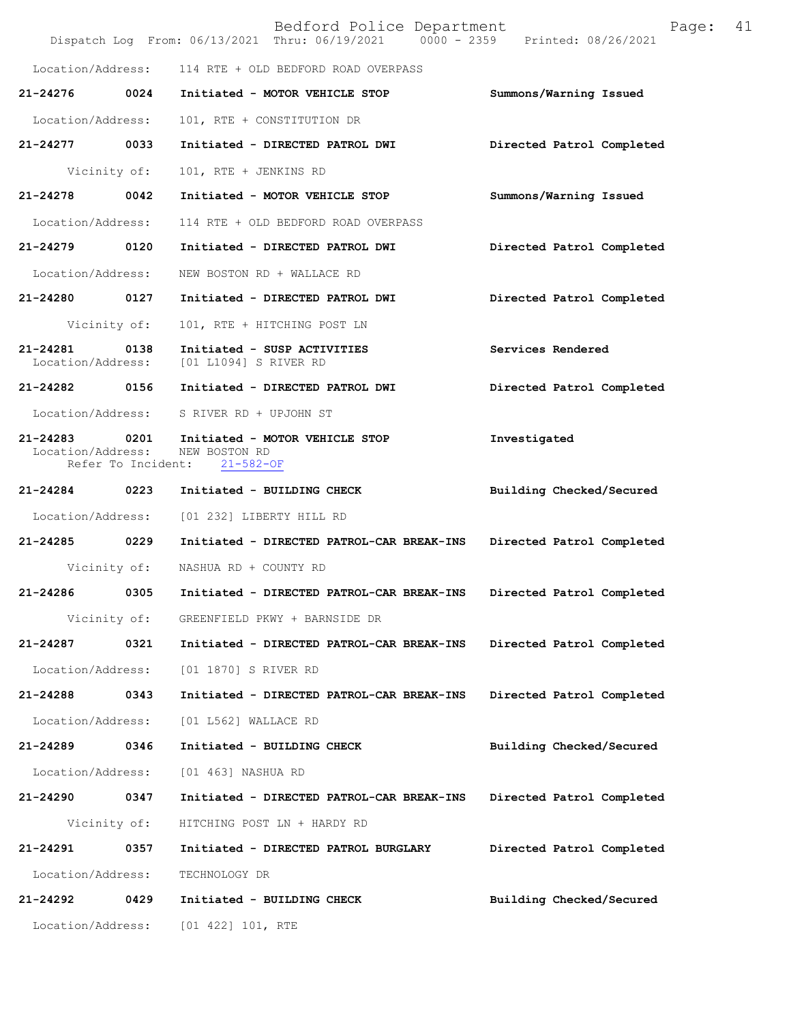|                                    |                    | Bedford Police Department<br>Dispatch Log From: 06/13/2021 Thru: 06/19/2021 0000 - 2359 Printed: 08/26/2021 | Page:                     | 41 |
|------------------------------------|--------------------|-------------------------------------------------------------------------------------------------------------|---------------------------|----|
| Location/Address:                  |                    | 114 RTE + OLD BEDFORD ROAD OVERPASS                                                                         |                           |    |
| 21-24276                           | 0024               | Initiated - MOTOR VEHICLE STOP                                                                              | Summons/Warning Issued    |    |
| Location/Address:                  |                    | 101, RTE + CONSTITUTION DR                                                                                  |                           |    |
| 21-24277 0033                      |                    | Initiated - DIRECTED PATROL DWI                                                                             | Directed Patrol Completed |    |
|                                    | Vicinity of:       | 101, RTE + JENKINS RD                                                                                       |                           |    |
| 21-24278 0042                      |                    | Initiated - MOTOR VEHICLE STOP                                                                              | Summons/Warning Issued    |    |
| Location/Address:                  |                    | 114 RTE + OLD BEDFORD ROAD OVERPASS                                                                         |                           |    |
| 21-24279 0120                      |                    | Initiated - DIRECTED PATROL DWI                                                                             | Directed Patrol Completed |    |
| Location/Address:                  |                    | NEW BOSTON RD + WALLACE RD                                                                                  |                           |    |
| 21-24280 0127                      |                    | Initiated - DIRECTED PATROL DWI                                                                             | Directed Patrol Completed |    |
|                                    | Vicinity of:       | 101, RTE + HITCHING POST LN                                                                                 |                           |    |
| 21-24281 0138<br>Location/Address: |                    | Initiated - SUSP ACTIVITIES<br>[01 L1094] S RIVER RD                                                        | Services Rendered         |    |
| 21-24282 0156                      |                    | Initiated - DIRECTED PATROL DWI                                                                             | Directed Patrol Completed |    |
|                                    |                    | Location/Address: S RIVER RD + UPJOHN ST                                                                    |                           |    |
|                                    | Refer To Incident: | 21-24283 0201 Initiated - MOTOR VEHICLE STOP<br>Location/Address: NEW BOSTON RD<br>$21 - 582 - OF$          | Investigated              |    |
| 21-24284 0223                      |                    | Initiated - BUILDING CHECK                                                                                  | Building Checked/Secured  |    |
| Location/Address:                  |                    | [01 232] LIBERTY HILL RD                                                                                    |                           |    |
| 21-24285 0229                      |                    | Initiated - DIRECTED PATROL-CAR BREAK-INS                                                                   | Directed Patrol Completed |    |
|                                    |                    | Vicinity of: NASHUA RD + COUNTY RD                                                                          |                           |    |
| 21-24286                           | 0305               | Initiated - DIRECTED PATROL-CAR BREAK-INS                                                                   | Directed Patrol Completed |    |
|                                    | Vicinity of:       | GREENFIELD PKWY + BARNSIDE DR                                                                               |                           |    |
| 21-24287                           | 0321               | Initiated - DIRECTED PATROL-CAR BREAK-INS                                                                   | Directed Patrol Completed |    |
| Location/Address:                  |                    | [01 1870] S RIVER RD                                                                                        |                           |    |
| 21-24288                           | 0343               | Initiated - DIRECTED PATROL-CAR BREAK-INS                                                                   | Directed Patrol Completed |    |
| Location/Address:                  |                    | [01 L562] WALLACE RD                                                                                        |                           |    |
| 21-24289                           | 0346               | Initiated - BUILDING CHECK                                                                                  | Building Checked/Secured  |    |
| Location/Address:                  |                    | [01 463] NASHUA RD                                                                                          |                           |    |
| 21-24290                           | 0347               | Initiated - DIRECTED PATROL-CAR BREAK-INS                                                                   | Directed Patrol Completed |    |
|                                    | Vicinity of:       | HITCHING POST LN + HARDY RD                                                                                 |                           |    |
| 21-24291                           | 0357               | Initiated - DIRECTED PATROL BURGLARY                                                                        | Directed Patrol Completed |    |
| Location/Address:                  |                    | TECHNOLOGY DR                                                                                               |                           |    |
| 21-24292                           | 0429               | Initiated - BUILDING CHECK                                                                                  | Building Checked/Secured  |    |
| Location/Address:                  |                    | $[01 422] 101$ , RTE                                                                                        |                           |    |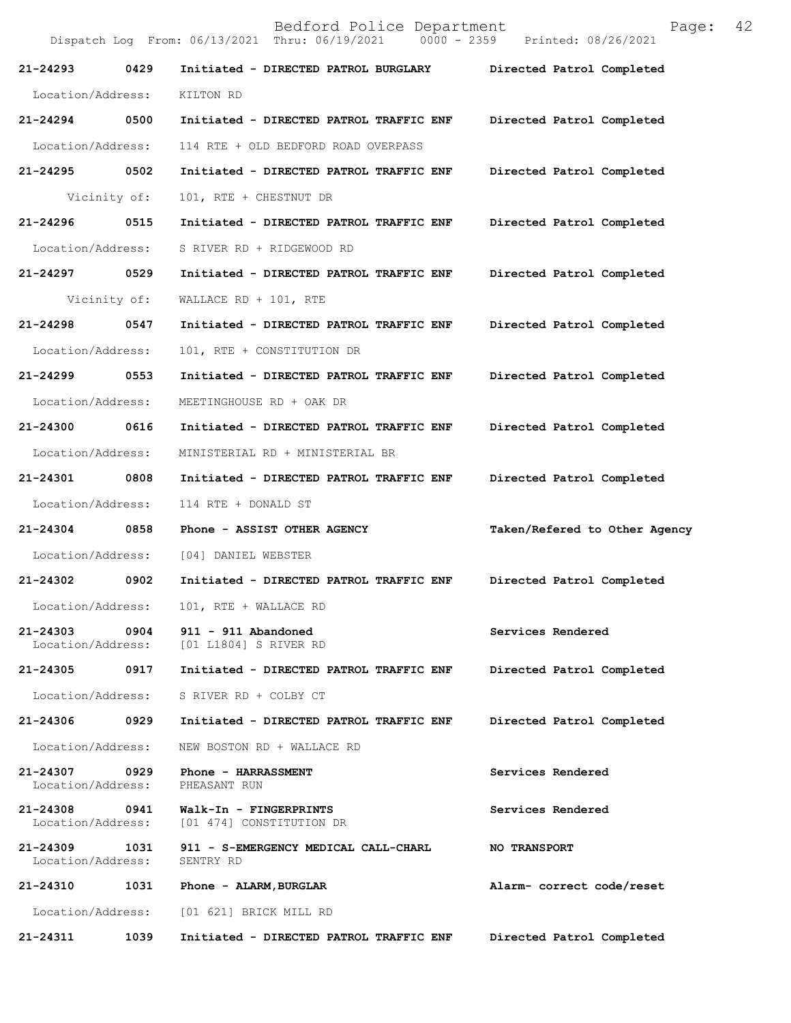|                                    |              | Bedford Police Department<br>Dispatch Log From: 06/13/2021 Thru: 06/19/2021 0000 - 2359 Printed: 08/26/2021 | 42<br>Page:                   |
|------------------------------------|--------------|-------------------------------------------------------------------------------------------------------------|-------------------------------|
| 21-24293                           | 0429         | Initiated - DIRECTED PATROL BURGLARY Directed Patrol Completed                                              |                               |
| Location/Address:                  |              | KILTON RD                                                                                                   |                               |
| 21-24294 0500                      |              | Initiated - DIRECTED PATROL TRAFFIC ENF                                                                     | Directed Patrol Completed     |
| Location/Address:                  |              | 114 RTE + OLD BEDFORD ROAD OVERPASS                                                                         |                               |
| 21-24295                           | 0502         | Initiated - DIRECTED PATROL TRAFFIC ENF                                                                     | Directed Patrol Completed     |
|                                    | Vicinity of: | 101, RTE + CHESTNUT DR                                                                                      |                               |
| 21-24296                           | 0515         | Initiated - DIRECTED PATROL TRAFFIC ENF                                                                     | Directed Patrol Completed     |
| Location/Address:                  |              | S RIVER RD + RIDGEWOOD RD                                                                                   |                               |
| 21-24297 0529                      |              | Initiated - DIRECTED PATROL TRAFFIC ENF                                                                     | Directed Patrol Completed     |
|                                    | Vicinity of: | WALLACE RD + $101$ , RTE                                                                                    |                               |
| 21-24298                           | 0547         | Initiated - DIRECTED PATROL TRAFFIC ENF                                                                     | Directed Patrol Completed     |
| Location/Address:                  |              | 101, RTE + CONSTITUTION DR                                                                                  |                               |
| 21-24299                           | 0553         | Initiated - DIRECTED PATROL TRAFFIC ENF                                                                     | Directed Patrol Completed     |
| Location/Address:                  |              | MEETINGHOUSE RD + OAK DR                                                                                    |                               |
| 21-24300 0616                      |              | Initiated - DIRECTED PATROL TRAFFIC ENF                                                                     | Directed Patrol Completed     |
| Location/Address:                  |              | MINISTERIAL RD + MINISTERIAL BR                                                                             |                               |
| 21-24301                           | 0808         | Initiated - DIRECTED PATROL TRAFFIC ENF                                                                     | Directed Patrol Completed     |
| Location/Address:                  |              | 114 RTE + DONALD ST                                                                                         |                               |
| 21-24304                           | 0858         | Phone - ASSIST OTHER AGENCY                                                                                 | Taken/Refered to Other Agency |
| Location/Address:                  |              | [04] DANIEL WEBSTER                                                                                         |                               |
| 21-24302                           | 0902         | Initiated - DIRECTED PATROL TRAFFIC ENF                                                                     | Directed Patrol Completed     |
| Location/Address:                  |              | 101, RTE + WALLACE RD                                                                                       |                               |
|                                    |              | 21-24303 0904 911 - 911 Abandoned<br>Location/Address: [01 L1804] S RIVER RD                                | Services Rendered             |
| 21-24305 0917                      |              | Initiated - DIRECTED PATROL TRAFFIC ENF                                                                     | Directed Patrol Completed     |
| Location/Address:                  |              | S RIVER RD + COLBY CT                                                                                       |                               |
| 21-24306                           | 0929         | Initiated - DIRECTED PATROL TRAFFIC ENF                                                                     | Directed Patrol Completed     |
| Location/Address:                  |              | NEW BOSTON RD + WALLACE RD                                                                                  |                               |
| 21-24307 0929<br>Location/Address: |              | Phone - HARRASSMENT<br>PHEASANT RUN                                                                         | Services Rendered             |
| 21-24308<br>Location/Address:      | 0941         | Walk-In - FINGERPRINTS<br>[01 474] CONSTITUTION DR                                                          | Services Rendered             |
| Location/Address:                  |              | 21-24309 1031 911 - S-EMERGENCY MEDICAL CALL-CHARL<br>SENTRY RD                                             | <b>NO TRANSPORT</b>           |
| 21-24310 1031                      |              | Phone - ALARM, BURGLAR                                                                                      | Alarm- correct code/reset     |
| Location/Address:                  |              | [01 621] BRICK MILL RD                                                                                      |                               |
| 21-24311                           | 1039         | Initiated - DIRECTED PATROL TRAFFIC ENF                                                                     | Directed Patrol Completed     |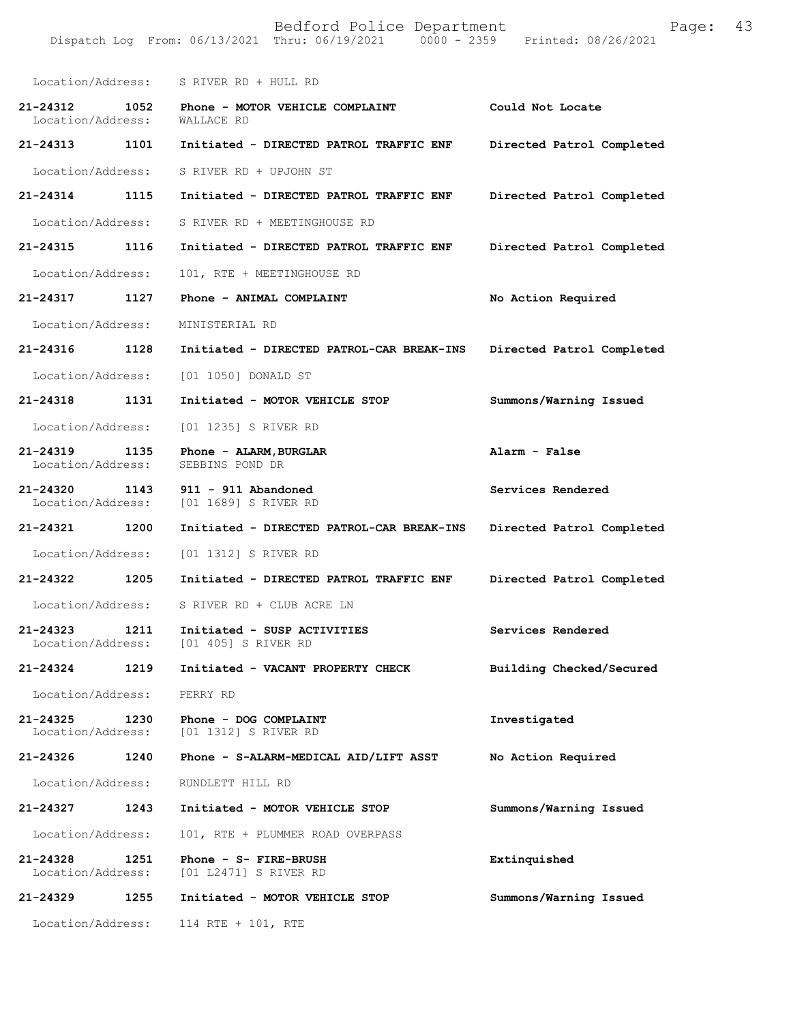Bedford Police Department Page: 43 Dispatch Log From: 06/13/2021 Thru: 06/19/2021 Location/Address: S RIVER RD + HULL RD **21-24312 1052 Phone - MOTOR VEHICLE COMPLAINT Could Not Locate**  Location/Address: **21-24313 1101 Initiated - DIRECTED PATROL TRAFFIC ENF Directed Patrol Completed**  Location/Address: S RIVER RD + UPJOHN ST **21-24314 1115 Initiated - DIRECTED PATROL TRAFFIC ENF Directed Patrol Completed**  Location/Address: S RIVER RD + MEETINGHOUSE RD **21-24315 1116 Initiated - DIRECTED PATROL TRAFFIC ENF Directed Patrol Completed**  Location/Address: 101, RTE + MEETINGHOUSE RD **21-24317 1127 Phone - ANIMAL COMPLAINT No Action Required**  Location/Address: MINISTERIAL RD **21-24316 1128 Initiated - DIRECTED PATROL-CAR BREAK-INS Directed Patrol Completed**  Location/Address: [01 1050] DONALD ST **21-24318 1131 Initiated - MOTOR VEHICLE STOP Summons/Warning Issued**  Location/Address: [01 1235] S RIVER RD **21-24319 1135 Phone - ALARM,BURGLAR Alarm - False**  Location/Address: **21-24320 1143 911 - 911 Abandoned Services Rendered**  Location/Address: [01 1689] S RIVER RD **21-24321 1200 Initiated - DIRECTED PATROL-CAR BREAK-INS Directed Patrol Completed**  Location/Address: [01 1312] S RIVER RD **21-24322 1205 Initiated - DIRECTED PATROL TRAFFIC ENF Directed Patrol Completed**  Location/Address: S RIVER RD + CLUB ACRE LN **21-24323 1211 Initiated - SUSP ACTIVITIES Services Rendered**  Location/Address: [01 405] S RIVER RD **21-24324 1219 Initiated - VACANT PROPERTY CHECK Building Checked/Secured**  Location/Address: PERRY RD **21-24325 1230 Phone - DOG COMPLAINT Investigated**  Location/Address: [01 1312] S RIVER RD **21-24326 1240 Phone - S-ALARM-MEDICAL AID/LIFT ASST No Action Required**  Location/Address: RUNDLETT HILL RD **21-24327 1243 Initiated - MOTOR VEHICLE STOP Summons/Warning Issued**  Location/Address: 101, RTE + PLUMMER ROAD OVERPASS **21-24328 1251 Phone - S- FIRE-BRUSH Extinquished**  Location/Address: [01 L2471] S RIVER RD **21-24329 1255 Initiated - MOTOR VEHICLE STOP Summons/Warning Issued** 

Location/Address: 114 RTE + 101, RTE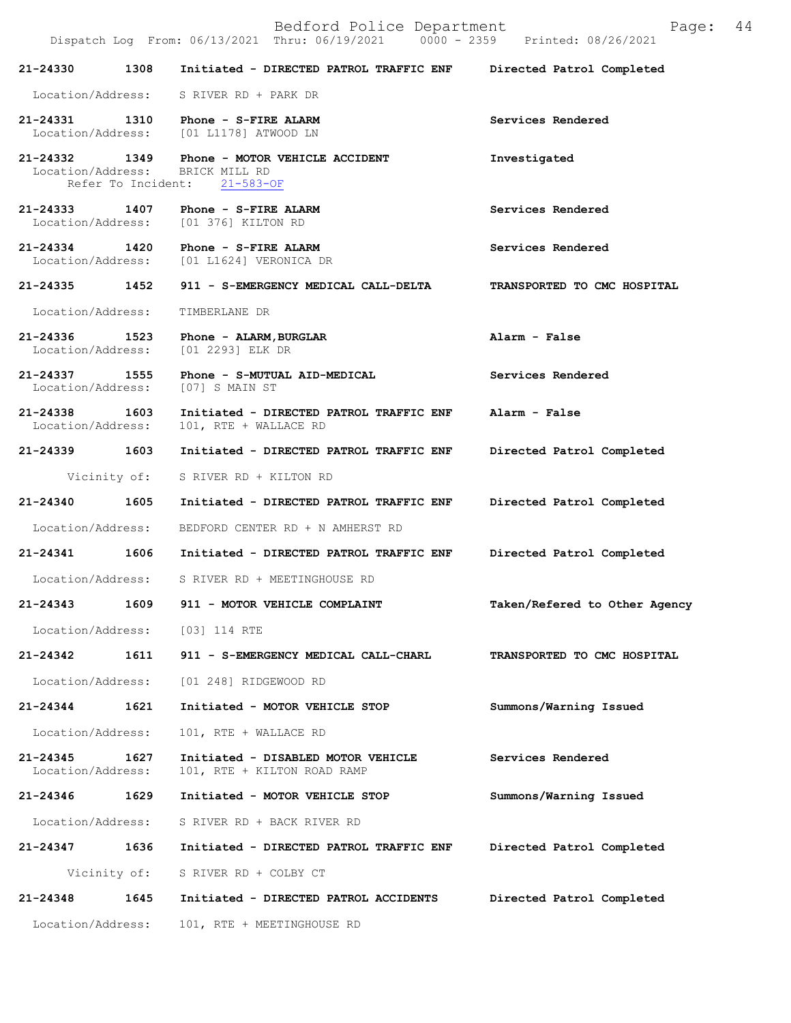Bedford Police Department Page: 44 Dispatch Log From: 06/13/2021 Thru: 06/19/2021 **21-24330 1308 Initiated - DIRECTED PATROL TRAFFIC ENF Directed Patrol Completed**  Location/Address: S RIVER RD + PARK DR **21-24331 1310 Phone - S-FIRE ALARM Services Rendered**  Location/Address: [01 L1178] ATWOOD LN **21-24332 1349 Phone - MOTOR VEHICLE ACCIDENT Investigated**  Location/Address: BRICK MILL RD<br>Refer To Incident: 21-583-OF Refer To Incident: **21-24333 1407 Phone - S-FIRE ALARM Services Rendered**  Location/Address: [01 376] KILTON RD **21-24334 1420 Phone - S-FIRE ALARM Services Rendered**  Location/Address: [01 L1624] VERONICA DR **21-24335 1452 911 - S-EMERGENCY MEDICAL CALL-DELTA TRANSPORTED TO CMC HOSPITAL**  Location/Address: TIMBERLANE DR **21-24336 1523 Phone - ALARM,BURGLAR Alarm - False**  Location/Address: [01 2293] ELK DR **21-24337 1555 Phone - S-MUTUAL AID-MEDICAL Services Rendered**  Location/Address: [07] S MAIN ST **21-24338 1603 Initiated - DIRECTED PATROL TRAFFIC ENF Alarm - False**  Location/Address: 101, RTE + WALLACE RD **21-24339 1603 Initiated - DIRECTED PATROL TRAFFIC ENF Directed Patrol Completed**  Vicinity of: S RIVER RD + KILTON RD **21-24340 1605 Initiated - DIRECTED PATROL TRAFFIC ENF Directed Patrol Completed**  Location/Address: BEDFORD CENTER RD + N AMHERST RD **21-24341 1606 Initiated - DIRECTED PATROL TRAFFIC ENF Directed Patrol Completed**  Location/Address: S RIVER RD + MEETINGHOUSE RD **21-24343 1609 911 - MOTOR VEHICLE COMPLAINT Taken/Refered to Other Agency** Location/Address: [03] 114 RTE **21-24342 1611 911 - S-EMERGENCY MEDICAL CALL-CHARL TRANSPORTED TO CMC HOSPITAL**  Location/Address: [01 248] RIDGEWOOD RD **21-24344 1621 Initiated - MOTOR VEHICLE STOP Summons/Warning Issued**  Location/Address: 101, RTE + WALLACE RD **21-24345 1627 Initiated - DISABLED MOTOR VEHICLE Services Rendered**  Location/Address: 101, RTE + KILTON ROAD RAMP **21-24346 1629 Initiated - MOTOR VEHICLE STOP Summons/Warning Issued**  Location/Address: S RIVER RD + BACK RIVER RD **21-24347 1636 Initiated - DIRECTED PATROL TRAFFIC ENF Directed Patrol Completed**  Vicinity of: S RIVER RD + COLBY CT **21-24348 1645 Initiated - DIRECTED PATROL ACCIDENTS Directed Patrol Completed**  Location/Address: 101, RTE + MEETINGHOUSE RD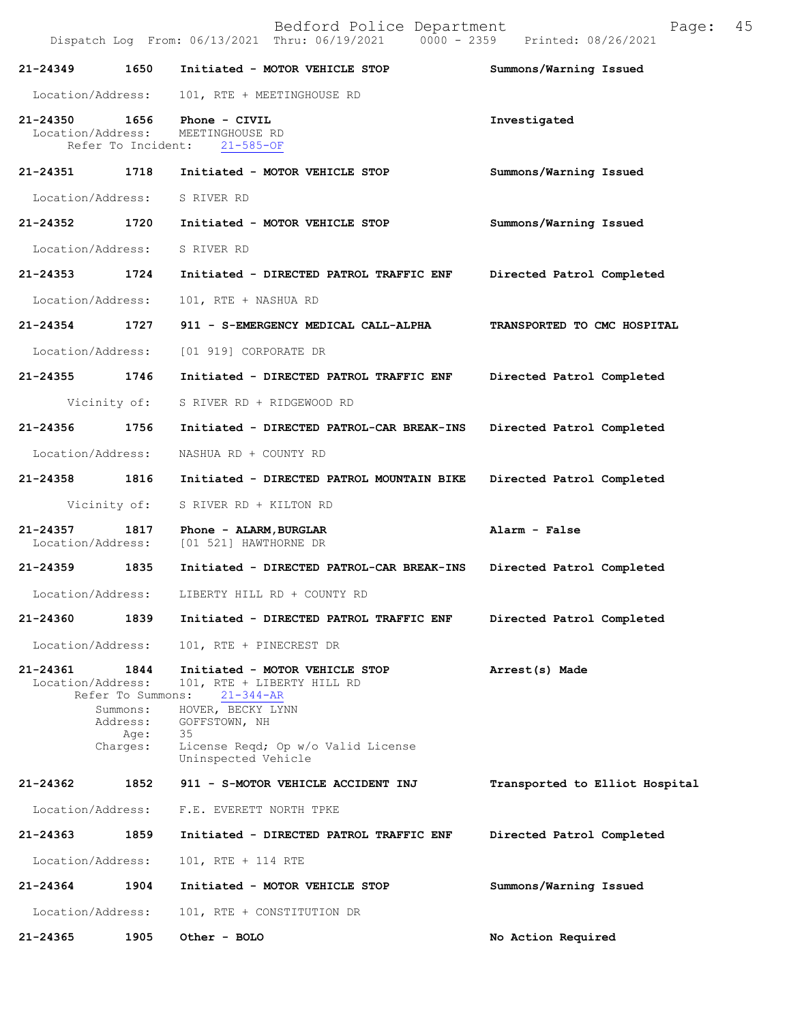Dispatch Log From: 06/13/2021 Thru: 06/19/2021 0000 - 2359 Printed: 08/26/2021

| 21-24349                      | 1650                                                                  | Initiated - MOTOR VEHICLE STOP                                                                                                                                                           | Summons/Warning Issued         |
|-------------------------------|-----------------------------------------------------------------------|------------------------------------------------------------------------------------------------------------------------------------------------------------------------------------------|--------------------------------|
| Location/Address:             |                                                                       | 101, RTE + MEETINGHOUSE RD                                                                                                                                                               |                                |
| 21-24350<br>Location/Address: | 1656<br>Refer To Incident:                                            | Phone - CIVIL<br>MEETINGHOUSE RD<br>$21 - 585 - OF$                                                                                                                                      | Investigated                   |
| 21-24351                      | 1718                                                                  | Initiated - MOTOR VEHICLE STOP                                                                                                                                                           | Summons/Warning Issued         |
| Location/Address:             |                                                                       | S RIVER RD                                                                                                                                                                               |                                |
| 21-24352                      | 1720                                                                  | Initiated - MOTOR VEHICLE STOP                                                                                                                                                           | Summons/Warning Issued         |
| Location/Address:             |                                                                       | S RIVER RD                                                                                                                                                                               |                                |
| 21-24353                      | 1724                                                                  | Initiated - DIRECTED PATROL TRAFFIC ENF                                                                                                                                                  | Directed Patrol Completed      |
| Location/Address:             |                                                                       | 101, RTE + NASHUA RD                                                                                                                                                                     |                                |
| $21 - 24354$                  | 1727                                                                  | 911 - S-EMERGENCY MEDICAL CALL-ALPHA                                                                                                                                                     | TRANSPORTED TO CMC HOSPITAL    |
| Location/Address:             |                                                                       | [01 919] CORPORATE DR                                                                                                                                                                    |                                |
| 21-24355                      | 1746                                                                  | Initiated - DIRECTED PATROL TRAFFIC ENF                                                                                                                                                  | Directed Patrol Completed      |
| Vicinity of:                  |                                                                       | S RIVER RD + RIDGEWOOD RD                                                                                                                                                                |                                |
| 21-24356                      | 1756                                                                  | Initiated - DIRECTED PATROL-CAR BREAK-INS                                                                                                                                                | Directed Patrol Completed      |
| Location/Address:             |                                                                       | NASHUA RD + COUNTY RD                                                                                                                                                                    |                                |
| 21-24358                      | 1816                                                                  | Initiated - DIRECTED PATROL MOUNTAIN BIKE                                                                                                                                                | Directed Patrol Completed      |
| Vicinity of:                  |                                                                       | S RIVER RD + KILTON RD                                                                                                                                                                   |                                |
| 21-24357<br>Location/Address: | 1817                                                                  | Phone - ALARM, BURGLAR<br>[01 521] HAWTHORNE DR                                                                                                                                          | Alarm - False                  |
| 21-24359                      | 1835                                                                  | Initiated - DIRECTED PATROL-CAR BREAK-INS                                                                                                                                                | Directed Patrol Completed      |
| Location/Address:             |                                                                       | LIBERTY HILL RD + COUNTY RD                                                                                                                                                              |                                |
| 21-24360                      | 1839                                                                  | Initiated - DIRECTED PATROL TRAFFIC ENF                                                                                                                                                  | Directed Patrol Completed      |
| Location/Address:             |                                                                       | 101, RTE + PINECREST DR                                                                                                                                                                  |                                |
| 21-24361<br>Location/Address: | 1844<br>Refer To Summons:<br>Summons:<br>Address:<br>Age:<br>Charges: | Initiated - MOTOR VEHICLE STOP<br>101, RTE + LIBERTY HILL RD<br>$21 - 344 - AR$<br>HOVER, BECKY LYNN<br>GOFFSTOWN, NH<br>35<br>License Reqd; Op w/o Valid License<br>Uninspected Vehicle | Arrest(s) Made                 |
| 21-24362                      | 1852                                                                  | 911 - S-MOTOR VEHICLE ACCIDENT INJ                                                                                                                                                       | Transported to Elliot Hospital |
| Location/Address:             |                                                                       | F.E. EVERETT NORTH TPKE                                                                                                                                                                  |                                |
| 21-24363                      | 1859                                                                  | Initiated - DIRECTED PATROL TRAFFIC ENF                                                                                                                                                  | Directed Patrol Completed      |
| Location/Address:             |                                                                       | 101, RTE + 114 RTE                                                                                                                                                                       |                                |
| 21-24364                      | 1904                                                                  | Initiated - MOTOR VEHICLE STOP                                                                                                                                                           | Summons/Warning Issued         |
| Location/Address:             |                                                                       | 101, RTE + CONSTITUTION DR                                                                                                                                                               |                                |
| 21-24365                      | 1905                                                                  | Other - BOLO                                                                                                                                                                             | No Action Required             |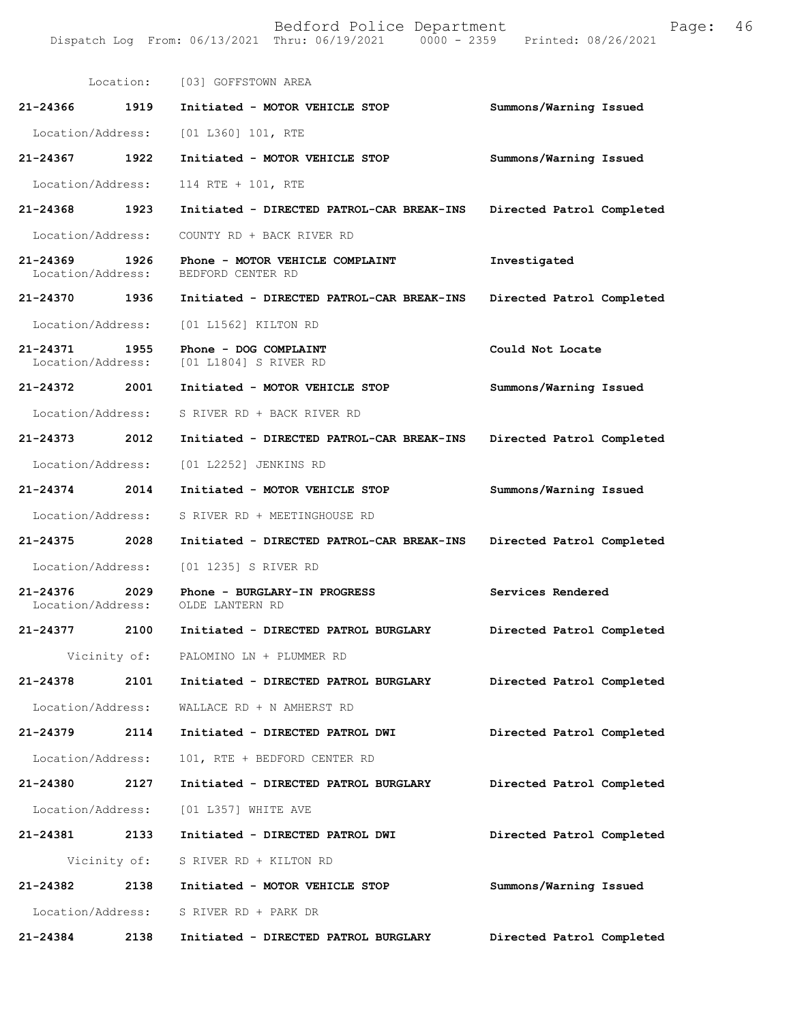|                                           |      | Location: [03] GOFFSTOWN AREA                        |                           |
|-------------------------------------------|------|------------------------------------------------------|---------------------------|
| 21-24366 1919                             |      | Initiated - MOTOR VEHICLE STOP                       | Summons/Warning Issued    |
| Location/Address:                         |      | [01 L360] 101, RTE                                   |                           |
| 21-24367 1922                             |      | Initiated - MOTOR VEHICLE STOP                       | Summons/Warning Issued    |
| Location/Address:                         |      | 114 RTE + 101, RTE                                   |                           |
| 21-24368 1923                             |      | Initiated - DIRECTED PATROL-CAR BREAK-INS            | Directed Patrol Completed |
| Location/Address:                         |      | COUNTY RD + BACK RIVER RD                            |                           |
| 21-24369 1926<br>Location/Address:        |      | Phone - MOTOR VEHICLE COMPLAINT<br>BEDFORD CENTER RD | Investigated              |
| 21-24370 1936                             |      | Initiated - DIRECTED PATROL-CAR BREAK-INS            | Directed Patrol Completed |
| Location/Address:                         |      | [01 L1562] KILTON RD                                 |                           |
| $21 - 24371$<br>1955<br>Location/Address: |      | Phone - DOG COMPLAINT<br>[01 L1804] S RIVER RD       | Could Not Locate          |
| 21-24372 2001                             |      | Initiated - MOTOR VEHICLE STOP                       | Summons/Warning Issued    |
| Location/Address:                         |      | S RIVER RD + BACK RIVER RD                           |                           |
| 21-24373                                  | 2012 | Initiated - DIRECTED PATROL-CAR BREAK-INS            | Directed Patrol Completed |
| Location/Address:                         |      | [01 L2252] JENKINS RD                                |                           |
| 21-24374 2014                             |      | Initiated - MOTOR VEHICLE STOP                       | Summons/Warning Issued    |
| Location/Address:                         |      | S RIVER RD + MEETINGHOUSE RD                         |                           |
| 21-24375 2028                             |      | Initiated - DIRECTED PATROL-CAR BREAK-INS            | Directed Patrol Completed |
| Location/Address:                         |      | [01 1235] S RIVER RD                                 |                           |
| $21 - 24376$<br>Location/Address:         | 2029 | Phone - BURGLARY-IN PROGRESS<br>OLDE LANTERN RD      | Services Rendered         |
| 21-24377                                  | 2100 | Initiated - DIRECTED PATROL BURGLARY                 | Directed Patrol Completed |
| Vicinity of:                              |      | PALOMINO LN + PLUMMER RD                             |                           |
| 21-24378                                  | 2101 | Initiated - DIRECTED PATROL BURGLARY                 | Directed Patrol Completed |
| Location/Address:                         |      | WALLACE RD + N AMHERST RD                            |                           |
| 21-24379 2114                             |      | Initiated - DIRECTED PATROL DWI                      | Directed Patrol Completed |
| Location/Address:                         |      | 101, RTE + BEDFORD CENTER RD                         |                           |
| $21 - 24380$                              | 2127 | Initiated - DIRECTED PATROL BURGLARY                 | Directed Patrol Completed |
| Location/Address:                         |      | [01 L357] WHITE AVE                                  |                           |
| 21-24381                                  | 2133 | Initiated - DIRECTED PATROL DWI                      | Directed Patrol Completed |
| Vicinity of:                              |      | S RIVER RD + KILTON RD                               |                           |
| 21-24382                                  | 2138 | Initiated - MOTOR VEHICLE STOP                       | Summons/Warning Issued    |
| Location/Address:                         |      | S RIVER RD + PARK DR                                 |                           |
| 21-24384                                  | 2138 | Initiated - DIRECTED PATROL BURGLARY                 | Directed Patrol Completed |